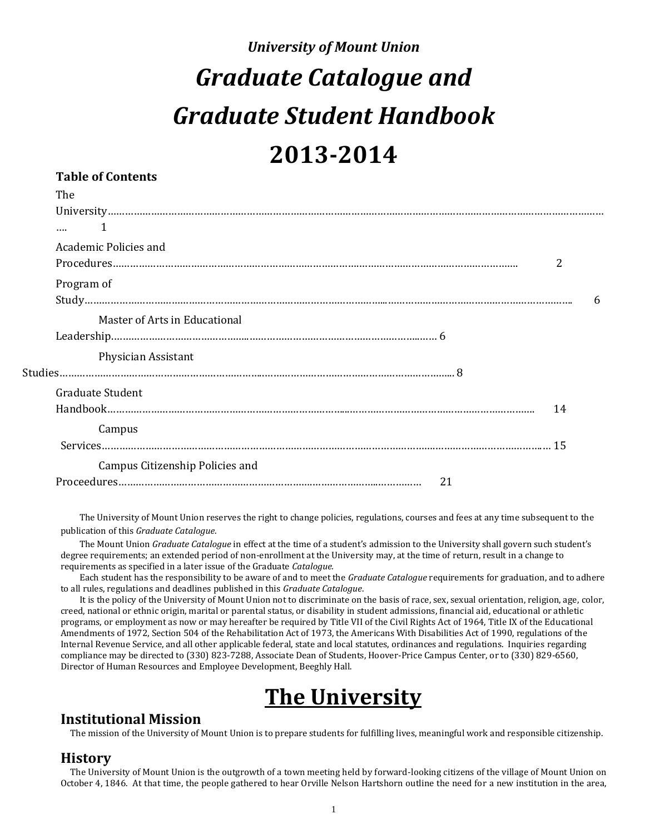# *University of Mount Union Graduate Catalogue and Graduate Student Handbook* **2013-2014**

# **Table of Contents**

| The                             |    |   |
|---------------------------------|----|---|
|                                 |    |   |
|                                 |    |   |
| Academic Policies and           |    |   |
|                                 | 2  |   |
| Program of                      |    |   |
|                                 |    | 6 |
| Master of Arts in Educational   |    |   |
|                                 |    |   |
| Physician Assistant             |    |   |
|                                 |    |   |
| <b>Graduate Student</b>         |    |   |
|                                 | 14 |   |
| Campus                          |    |   |
|                                 |    |   |
| Campus Citizenship Policies and |    |   |
| 21                              |    |   |
|                                 |    |   |

The University of Mount Union reserves the right to change policies, regulations, courses and fees at any time subsequent to the publication of this *Graduate Catalogue*.

The Mount Union *Graduate Catalogue* in effect at the time of a student's admission to the University shall govern such student's degree requirements; an extended period of non-enrollment at the University may, at the time of return, result in a change to requirements as specified in a later issue of the Graduate *Catalogue.*

Each student has the responsibility to be aware of and to meet the *Graduate Catalogue* requirements for graduation, and to adhere to all rules, regulations and deadlines published in this *Graduate Catalogue*.

It is the policy of the University of Mount Union not to discriminate on the basis of race, sex, sexual orientation, religion, age, color, creed, national or ethnic origin, marital or parental status, or disability in student admissions, financial aid, educational or athletic programs, or employment as now or may hereafter be required by Title VII of the Civil Rights Act of 1964, Title IX of the Educational Amendments of 1972, Section 504 of the Rehabilitation Act of 1973, the Americans With Disabilities Act of 1990, regulations of the Internal Revenue Service, and all other applicable federal, state and local statutes, ordinances and regulations. Inquiries regarding compliance may be directed to (330) 823-7288, Associate Dean of Students, Hoover-Price Campus Center, or to (330) 829-6560, Director of Human Resources and Employee Development, Beeghly Hall.

# **The University**

# **Institutional Mission**

The mission of the University of Mount Union is to prepare students for fulfilling lives, meaningful work and responsible citizenship.

# **History**

The University of Mount Union is the outgrowth of a town meeting held by forward-looking citizens of the village of Mount Union on October 4, 1846. At that time, the people gathered to hear Orville Nelson Hartshorn outline the need for a new institution in the area,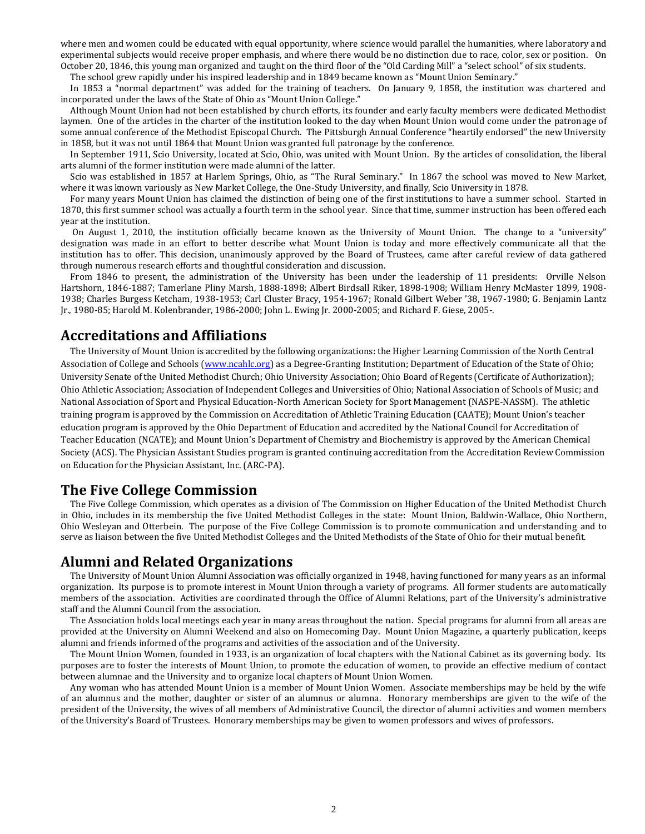where men and women could be educated with equal opportunity, where science would parallel the humanities, where laboratory and experimental subjects would receive proper emphasis, and where there would be no distinction due to race, color, sex or position. On October 20, 1846, this young man organized and taught on the third floor of the "Old Carding Mill" a "select school" of six students.

The school grew rapidly under his inspired leadership and in 1849 became known as "Mount Union Seminary."

In 1853 a "normal department" was added for the training of teachers. On January 9, 1858, the institution was chartered and incorporated under the laws of the State of Ohio as "Mount Union College."

Although Mount Union had not been established by church efforts, its founder and early faculty members were dedicated Methodist laymen. One of the articles in the charter of the institution looked to the day when Mount Union would come under the patronage of some annual conference of the Methodist Episcopal Church. The Pittsburgh Annual Conference "heartily endorsed" the new University in 1858, but it was not until 1864 that Mount Union was granted full patronage by the conference.

In September 1911, Scio University, located at Scio, Ohio, was united with Mount Union. By the articles of consolidation, the liberal arts alumni of the former institution were made alumni of the latter.

Scio was established in 1857 at Harlem Springs, Ohio, as "The Rural Seminary." In 1867 the school was moved to New Market, where it was known variously as New Market College, the One-Study University, and finally, Scio University in 1878.

For many years Mount Union has claimed the distinction of being one of the first institutions to have a summer school. Started in 1870, this first summer school was actually a fourth term in the school year. Since that time, summer instruction has been offered each year at the institution.

On August 1, 2010, the institution officially became known as the University of Mount Union. The change to a "university" designation was made in an effort to better describe what Mount Union is today and more effectively communicate all that the institution has to offer. This decision, unanimously approved by the Board of Trustees, came after careful review of data gathered through numerous research efforts and thoughtful consideration and discussion.

From 1846 to present, the administration of the University has been under the leadership of 11 presidents: Orville Nelson Hartshorn, 1846-1887; Tamerlane Pliny Marsh, 1888-1898; Albert Birdsall Riker, 1898-1908; William Henry McMaster 1899, 1908- 1938; Charles Burgess Ketcham, 1938-1953; Carl Cluster Bracy, 1954-1967; Ronald Gilbert Weber '38, 1967-1980; G. Benjamin Lantz Jr., 1980-85; Harold M. Kolenbrander, 1986-2000; John L. Ewing Jr. 2000-2005; and Richard F. Giese, 2005-.

# **Accreditations and Affiliations**

The University of Mount Union is accredited by the following organizations: the Higher Learning Commission of the North Central Association of College and Schools [\(www.ncahlc.org\)](http://www.ncahlc.org/) as a Degree-Granting Institution; Department of Education of the State of Ohio; University Senate of the United Methodist Church; Ohio University Association; Ohio Board of Regents (Certificate of Authorization); Ohio Athletic Association; Association of Independent Colleges and Universities of Ohio; National Association of Schools of Music; and National Association of Sport and Physical Education-North American Society for Sport Management (NASPE-NASSM). The athletic training program is approved by the Commission on Accreditation of Athletic Training Education (CAATE); Mount Union's teacher education program is approved by the Ohio Department of Education and accredited by the National Council for Accreditation of Teacher Education (NCATE); and Mount Union's Department of Chemistry and Biochemistry is approved by the American Chemical Society (ACS). The Physician Assistant Studies program is granted continuing accreditation from the Accreditation Review Commission on Education for the Physician Assistant, Inc. (ARC-PA).

# **The Five College Commission**

The Five College Commission, which operates as a division of The Commission on Higher Education of the United Methodist Church in Ohio, includes in its membership the five United Methodist Colleges in the state: Mount Union, Baldwin-Wallace, Ohio Northern, Ohio Wesleyan and Otterbein. The purpose of the Five College Commission is to promote communication and understanding and to serve as liaison between the five United Methodist Colleges and the United Methodists of the State of Ohio for their mutual benefit.

# **Alumni and Related Organizations**

The University of Mount Union Alumni Association was officially organized in 1948, having functioned for many years as an informal organization. Its purpose is to promote interest in Mount Union through a variety of programs. All former students are automatically members of the association. Activities are coordinated through the Office of Alumni Relations, part of the University's administrative staff and the Alumni Council from the association.

The Association holds local meetings each year in many areas throughout the nation. Special programs for alumni from all areas are provided at the University on Alumni Weekend and also on Homecoming Day. Mount Union Magazine, a quarterly publication, keeps alumni and friends informed of the programs and activities of the association and of the University.

The Mount Union Women, founded in 1933, is an organization of local chapters with the National Cabinet as its governing body. Its purposes are to foster the interests of Mount Union, to promote the education of women, to provide an effective medium of contact between alumnae and the University and to organize local chapters of Mount Union Women.

Any woman who has attended Mount Union is a member of Mount Union Women. Associate memberships may be held by the wife of an alumnus and the mother, daughter or sister of an alumnus or alumna. Honorary memberships are given to the wife of the president of the University, the wives of all members of Administrative Council, the director of alumni activities and women members of the University's Board of Trustees. Honorary memberships may be given to women professors and wives of professors.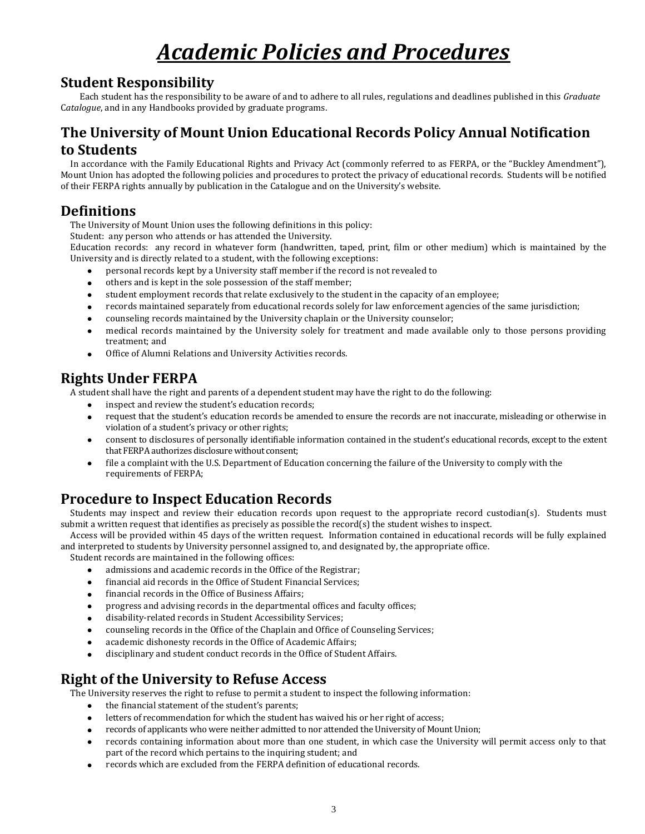# *Academic Policies and Procedures*

# **Student Responsibility**

Each student has the responsibility to be aware of and to adhere to all rules, regulations and deadlines published in this *Graduate*  C*atalogue*, and in any Handbooks provided by graduate programs.

# **The University of Mount Union Educational Records Policy Annual Notification to Students**

In accordance with the Family Educational Rights and Privacy Act (commonly referred to as FERPA, or the "Buckley Amendment"), Mount Union has adopted the following policies and procedures to protect the privacy of educational records. Students will be notified of their FERPA rights annually by publication in the Catalogue and on the University's website.

# **Definitions**

The University of Mount Union uses the following definitions in this policy:

Student: any person who attends or has attended the University.

Education records: any record in whatever form (handwritten, taped, print, film or other medium) which is maintained by the University and is directly related to a student, with the following exceptions:

- personal records kept by a University staff member if the record is not revealed to
- others and is kept in the sole possession of the staff member;
- student employment records that relate exclusively to the student in the capacity of an employee;
- records maintained separately from educational records solely for law enforcement agencies of the same jurisdiction;
- counseling records maintained by the University chaplain or the University counselor;
- medical records maintained by the University solely for treatment and made available only to those persons providing treatment; and
- Office of Alumni Relations and University Activities records.

# **Rights Under FERPA**

A student shall have the right and parents of a dependent student may have the right to do the following:

- inspect and review the student's education records;
- request that the student's education records be amended to ensure the records are not inaccurate, misleading or otherwise in violation of a student's privacy or other rights;
- consent to disclosures of personally identifiable information contained in the student's educational records, except to the extent that FERPA authorizes disclosure without consent;
- file a complaint with the U.S. Department of Education concerning the failure of the University to comply with the requirements of FERPA;

# **Procedure to Inspect Education Records**

Students may inspect and review their education records upon request to the appropriate record custodian(s). Students must submit a written request that identifies as precisely as possible the record(s) the student wishes to inspect.

Access will be provided within 45 days of the written request. Information contained in educational records will be fully explained and interpreted to students by University personnel assigned to, and designated by, the appropriate office.

Student records are maintained in the following offices:

- admissions and academic records in the Office of the Registrar;
- financial aid records in the Office of Student Financial Services;
- financial records in the Office of Business Affairs;
- progress and advising records in the departmental offices and faculty offices;
- disability-related records in Student Accessibility Services;
- counseling records in the Office of the Chaplain and Office of Counseling Services;
- academic dishonesty records in the Office of Academic Affairs;
- disciplinary and student conduct records in the Office of Student Affairs.

# **Right of the University to Refuse Access**

The University reserves the right to refuse to permit a student to inspect the following information:

- the financial statement of the student's parents;
- letters of recommendation for which the student has waived his or her right of access;
- records of applicants who were neither admitted to nor attended the University of Mount Union;
- records containing information about more than one student, in which case the University will permit access only to that part of the record which pertains to the inquiring student; and
- records which are excluded from the FERPA definition of educational records.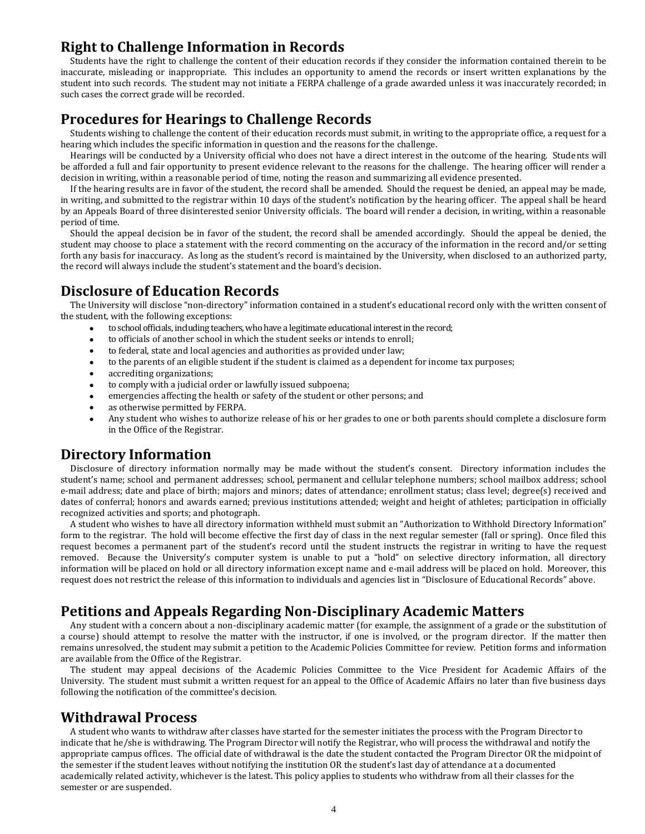# **Right to Challenge Information in Records**

Students have the right to challenge the content of their education records if they consider the information contained therein to be inaccurate, misleading or inappropriate. This includes an opportunity to amend the records or insert written explanations by the student into such records. The student may not initiate a FERPA challenge of a grade awarded unless it was inaccurately recorded; in such cases the correct grade will be recorded.

# **Procedures for Hearings to Challenge Records**

Students wishing to challenge the content of their education records must submit, in writing to the appropriate office, a request for a hearing which includes the specific information in question and the reasons for the challenge.

Hearings will be conducted by a University official who does not have a direct interest in the outcome of the hearing. Students will be afforded a full and fair opportunity to present evidence relevant to the reasons for the challenge. The hearing officer will render a decision in writing, within a reasonable period of time, noting the reason and summarizing all evidence presented.

If the hearing results are in favor of the student, the record shall be amended. Should the request be denied, an appeal may be made, in writing, and submitted to the registrar within 10 days of the student's notification by the hearing officer. The appeal shall be heard by an Appeals Board of three disinterested senior University officials. The board will render a decision, in writing, within a reasonable period of time.

Should the appeal decision be in favor of the student, the record shall be amended accordingly. Should the appeal be denied, the student may choose to place a statement with the record commenting on the accuracy of the information in the record and/or setting forth any basis for inaccuracy. As long as the student's record is maintained by the University, when disclosed to an authorized party, the record will always include the student's statement and the board's decision.

# **Disclosure of Education Records**

The University will disclose "non-directory" information contained in a student's educational record only with the written consent of the student, with the following exceptions:

- to school officials, including teachers, who have a legitimate educational interest in the record;
- to officials of another school in which the student seeks or intends to enroll;
- to federal, state and local agencies and authorities as provided under law;
- to the parents of an eligible student if the student is claimed as a dependent for income tax purposes;
- accrediting organizations;
- to comply with a judicial order or lawfully issued subpoena;
- emergencies affecting the health or safety of the student or other persons; and
- as otherwise permitted by FERPA.
- Any student who wishes to authorize release of his or her grades to one or both parents should complete a disclosure form in the Office of the Registrar.

# **Directory Information**

Disclosure of directory information normally may be made without the student's consent. Directory information includes the student's name; school and permanent addresses; school, permanent and cellular telephone numbers; school mailbox address; school e-mail address; date and place of birth; majors and minors; dates of attendance; enrollment status; class level; degree(s) received and dates of conferral; honors and awards earned; previous institutions attended; weight and height of athletes; participation in officially recognized activities and sports; and photograph.

A student who wishes to have all directory information withheld must submit an "Authorization to Withhold Directory Information" form to the registrar. The hold will become effective the first day of class in the next regular semester (fall or spring). Once filed this request becomes a permanent part of the student's record until the student instructs the registrar in writing to have the request removed. Because the University's computer system is unable to put a "hold" on selective directory information, all directory information will be placed on hold or all directory information except name and e-mail address will be placed on hold. Moreover, this request does not restrict the release of this information to individuals and agencies list in "Disclosure of Educational Records" above.

# **Petitions and Appeals Regarding Non-Disciplinary Academic Matters**

Any student with a concern about a non-disciplinary academic matter (for example, the assignment of a grade or the substitution of a course) should attempt to resolve the matter with the instructor, if one is involved, or the program director. If the matter then remains unresolved, the student may submit a petition to the Academic Policies Committee for review. Petition forms and information are available from the Office of the Registrar.

The student may appeal decisions of the Academic Policies Committee to the Vice President for Academic Affairs of the University. The student must submit a written request for an appeal to the Office of Academic Affairs no later than five business days following the notification of the committee's decision.

# **Withdrawal Process**

A student who wants to withdraw after classes have started for the semester initiates the process with the Program Director to indicate that he/she is withdrawing. The Program Director will notify the Registrar, who will process the withdrawal and notify the appropriate campus offices. The official date of withdrawal is the date the student contacted the Program Director OR the midpoint of the semester if the student leaves without notifying the institution OR the student's last day of attendance at a documented academically related activity, whichever is the latest. This policy applies to students who withdraw from all their classes for the semester or are suspended.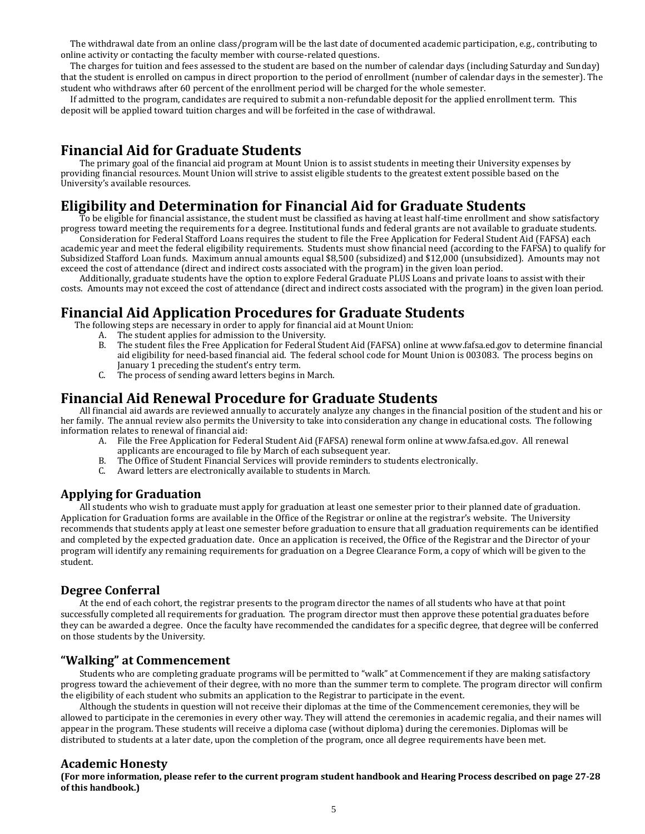The withdrawal date from an online class/program will be the last date of documented academic participation, e.g., contributing to online activity or contacting the faculty member with course-related questions.

The charges for tuition and fees assessed to the student are based on the number of calendar days (including Saturday and Sunday) that the student is enrolled on campus in direct proportion to the period of enrollment (number of calendar days in the semester). The student who withdraws after 60 percent of the enrollment period will be charged for the whole semester.

If admitted to the program, candidates are required to submit a non-refundable deposit for the applied enrollment term. This deposit will be applied toward tuition charges and will be forfeited in the case of withdrawal.

# **Financial Aid for Graduate Students**

The primary goal of the financial aid program at Mount Union is to assist students in meeting their University expenses by providing financial resources. Mount Union will strive to assist eligible students to the greatest extent possible based on the University's available resources.

# **Eligibility and Determination for Financial Aid for Graduate Students**

To be eligible for financial assistance, the student must be classified as having at least half-time enrollment and show satisfactory progress toward meeting the requirements for a degree. Institutional funds and federal grants are not available to graduate students.

Consideration for Federal Stafford Loans requires the student to file the Free Application for Federal Student Aid (FAFSA) each academic year and meet the federal eligibility requirements. Students must show financial need (according to the FAFSA) to qualify for Subsidized Stafford Loan funds. Maximum annual amounts equal \$8,500 (subsidized) and \$12,000 (unsubsidized). Amounts may not exceed the cost of attendance (direct and indirect costs associated with the program) in the given loan period.

Additionally, graduate students have the option to explore Federal Graduate PLUS Loans and private loans to assist with their costs. Amounts may not exceed the cost of attendance (direct and indirect costs associated with the program) in the given loan period.

# **Financial Aid Application Procedures for Graduate Students**

The following steps are necessary in order to apply for financial aid at Mount Union:

- A. The student applies for admission to the University.
- B. The student files the Free Application for Federal Student Aid (FAFSA) online at www.fafsa.ed.gov to determine financial aid eligibility for need-based financial aid. The federal school code for Mount Union is 003083. The process begins on January 1 preceding the student's entry term.
- C. The process of sending award letters begins in March.

# **Financial Aid Renewal Procedure for Graduate Students**

All financial aid awards are reviewed annually to accurately analyze any changes in the financial position of the student and his or her family. The annual review also permits the University to take into consideration any change in educational costs. The following information relates to renewal of financial aid:

- A. File the Free Application for Federal Student Aid (FAFSA) renewal form online at www.fafsa.ed.gov. All renewal applicants are encouraged to file by March of each subsequent year.
- B. The Office of Student Financial Services will provide reminders to students electronically.<br>C. Award letters are electronically available to students in March.
- Award letters are electronically available to students in March.

# **Applying for Graduation**

All students who wish to graduate must apply for graduation at least one semester prior to their planned date of graduation. Application for Graduation forms are available in the Office of the Registrar or online at the registrar's website. The University recommends that students apply at least one semester before graduation to ensure that all graduation requirements can be identified and completed by the expected graduation date. Once an application is received, the Office of the Registrar and the Director of your program will identify any remaining requirements for graduation on a Degree Clearance Form, a copy of which will be given to the student.

# **Degree Conferral**

At the end of each cohort, the registrar presents to the program director the names of all students who have at that point successfully completed all requirements for graduation. The program director must then approve these potential graduates before they can be awarded a degree. Once the faculty have recommended the candidates for a specific degree, that degree will be conferred on those students by the University.

# **"Walking" at Commencement**

Students who are completing graduate programs will be permitted to "walk" at Commencement if they are making satisfactory progress toward the achievement of their degree, with no more than the summer term to complete. The program director will confirm the eligibility of each student who submits an application to the Registrar to participate in the event.

Although the students in question will not receive their diplomas at the time of the Commencement ceremonies, they will be allowed to participate in the ceremonies in every other way. They will attend the ceremonies in academic regalia, and their names will appear in the program. These students will receive a diploma case (without diploma) during the ceremonies. Diplomas will be distributed to students at a later date, upon the completion of the program, once all degree requirements have been met.

# **Academic Honesty**

**(For more information, please refer to the current program student handbook and Hearing Process described on page 27-28 of this handbook.)**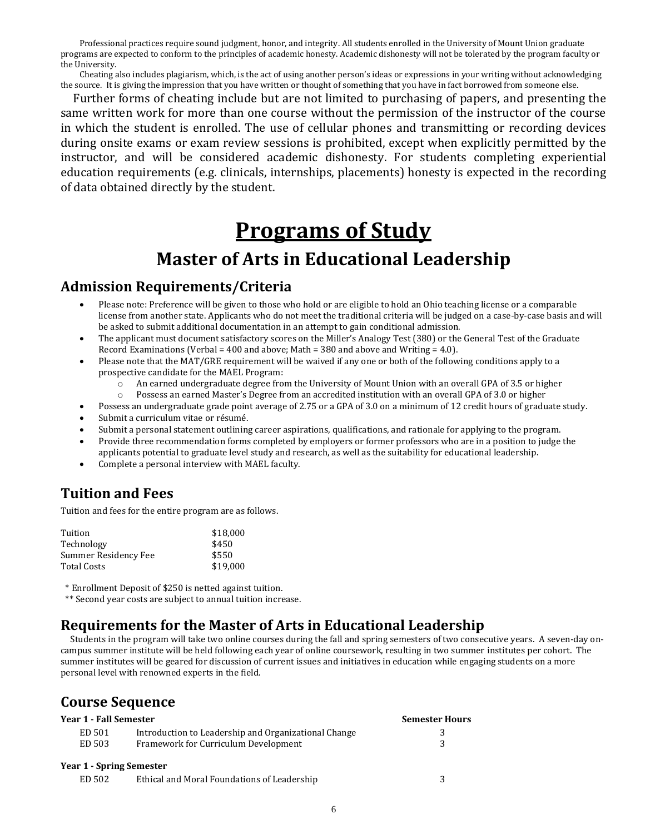Professional practices require sound judgment, honor, and integrity. All students enrolled in the University of Mount Union graduate programs are expected to conform to the principles of academic honesty. Academic dishonesty will not be tolerated by the program faculty or the University.

Cheating also includes plagiarism, which, is the act of using another person's ideas or expressions in your writing without acknowledging the source. It is giving the impression that you have written or thought of something that you have in fact borrowed from someone else.

Further forms of cheating include but are not limited to purchasing of papers, and presenting the same written work for more than one course without the permission of the instructor of the course in which the student is enrolled. The use of cellular phones and transmitting or recording devices during onsite exams or exam review sessions is prohibited, except when explicitly permitted by the instructor, and will be considered academic dishonesty. For students completing experiential education requirements (e.g. clinicals, internships, placements) honesty is expected in the recording of data obtained directly by the student.

# **Programs of Study Master of Arts in Educational Leadership**

# **Admission Requirements/Criteria**

- Please note: Preference will be given to those who hold or are eligible to hold an Ohio teaching license or a comparable license from another state. Applicants who do not meet the traditional criteria will be judged on a case-by-case basis and will be asked to submit additional documentation in an attempt to gain conditional admission.
- The applicant must document satisfactory scores on the Miller's Analogy Test (380) or the General Test of the Graduate Record Examinations (Verbal = 400 and above; Math = 380 and above and Writing = 4.0).
- Please note that the MAT/GRE requirement will be waived if any one or both of the following conditions apply to a prospective candidate for the MAEL Program:
	- o An earned undergraduate degree from the University of Mount Union with an overall GPA of 3.5 or higher
	- o Possess an earned Master's Degree from an accredited institution with an overall GPA of 3.0 or higher
- Possess an undergraduate grade point average of 2.75 or a GPA of 3.0 on a minimum of 12 credit hours of graduate study.
- Submit a curriculum vitae or résumé.
- Submit a personal statement outlining career aspirations, qualifications, and rationale for applying to the program.
- Provide three recommendation forms completed by employers or former professors who are in a position to judge the applicants potential to graduate level study and research, as well as the suitability for educational leadership.
- Complete a personal interview with MAEL faculty.

# **Tuition and Fees**

Tuition and fees for the entire program are as follows.

| Tuition              | \$18,000 |
|----------------------|----------|
| Technology           | \$450    |
| Summer Residency Fee | \$550    |
| Total Costs          | \$19,000 |

\* Enrollment Deposit of \$250 is netted against tuition.

\*\* Second year costs are subject to annual tuition increase.

# **Requirements for the Master of Arts in Educational Leadership**

Students in the program will take two online courses during the fall and spring semesters of two consecutive years. A seven-day oncampus summer institute will be held following each year of online coursework, resulting in two summer institutes per cohort. The summer institutes will be geared for discussion of current issues and initiatives in education while engaging students on a more personal level with renowned experts in the field.

# **Course Sequence**

| Year 1 - Fall Semester          | <b>Semester Hours</b>                                    |   |
|---------------------------------|----------------------------------------------------------|---|
| ED 501                          | Introduction to Leadership and Organizational Change     |   |
| ED 503                          | Framework for Curriculum Development                     | ર |
| <b>Year 1 - Spring Semester</b> |                                                          |   |
| <b>PD F00</b>                   | $P \cdot 1$ is $P \cdot 1$ is $P \cdot 1$ if $P \cdot 1$ |   |

ED 502 Ethical and Moral Foundations of Leadership 3

6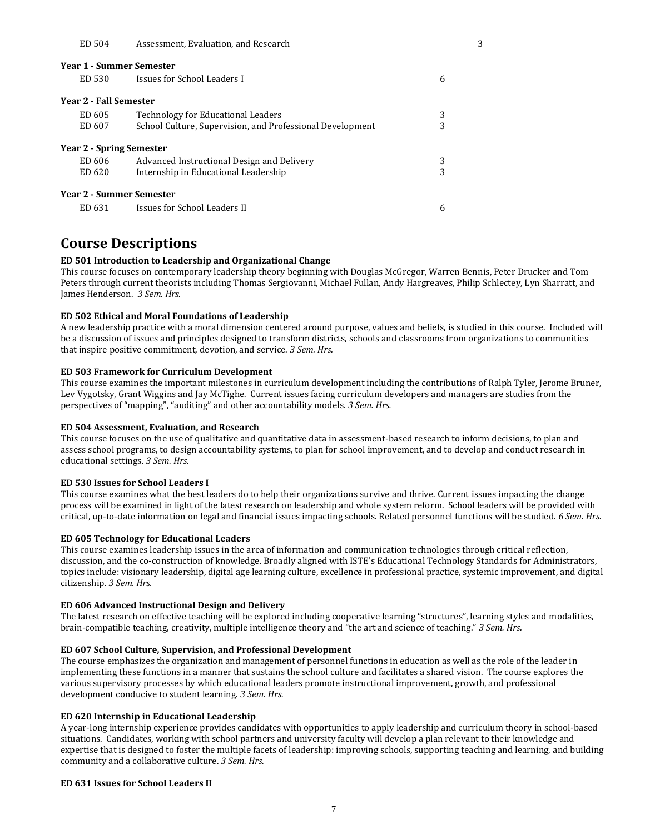#### ED 504 Assessment, Evaluation, and Research 3

| Year 1 - Summer Semester |                                                           |   |
|--------------------------|-----------------------------------------------------------|---|
| ED 530                   | Issues for School Leaders I                               | 6 |
| Year 2 - Fall Semester   |                                                           |   |
| ED 605                   | Technology for Educational Leaders                        | 3 |
| ED 607                   | School Culture, Supervision, and Professional Development | 3 |
| Year 2 - Spring Semester |                                                           |   |
| ED 606                   | Advanced Instructional Design and Delivery                | 3 |
| ED 620                   | Internship in Educational Leadership                      | 3 |
| Year 2 - Summer Semester |                                                           |   |
| ED 631                   | Issues for School Leaders II                              | 6 |

# **Course Descriptions**

# **ED 501 Introduction to Leadership and Organizational Change**

This course focuses on contemporary leadership theory beginning with Douglas McGregor, Warren Bennis, Peter Drucker and Tom Peters through current theorists including Thomas Sergiovanni, Michael Fullan, Andy Hargreaves, Philip Schlectey, Lyn Sharratt, and James Henderson. *3 Sem. Hrs.*

### **ED 502 Ethical and Moral Foundations of Leadership**

A new leadership practice with a moral dimension centered around purpose, values and beliefs, is studied in this course. Included will be a discussion of issues and principles designed to transform districts, schools and classrooms from organizations to communities that inspire positive commitment, devotion, and service. *3 Sem. Hrs.*

#### **ED 503 Framework for Curriculum Development**

This course examines the important milestones in curriculum development including the contributions of Ralph Tyler, Jerome Bruner, Lev Vygotsky, Grant Wiggins and Jay McTighe. Current issues facing curriculum developers and managers are studies from the perspectives of "mapping", "auditing" and other accountability models. *3 Sem. Hrs.*

### **ED 504 Assessment, Evaluation, and Research**

This course focuses on the use of qualitative and quantitative data in assessment-based research to inform decisions, to plan and assess school programs, to design accountability systems, to plan for school improvement, and to develop and conduct research in educational settings. *3 Sem. Hrs.*

### **ED 530 Issues for School Leaders I**

This course examines what the best leaders do to help their organizations survive and thrive. Current issues impacting the change process will be examined in light of the latest research on leadership and whole system reform. School leaders will be provided with critical, up-to-date information on legal and financial issues impacting schools. Related personnel functions will be studied. *6 Sem. Hrs.*

### **ED 605 Technology for Educational Leaders**

This course examines leadership issues in the area of information and communication technologies through critical reflection, discussion, and the co-construction of knowledge. Broadly aligned with ISTE's Educational Technology Standards for Administrators, topics include: visionary leadership, digital age learning culture, excellence in professional practice, systemic improvement, and digital citizenship. *3 Sem. Hrs.*

### **ED 606 Advanced Instructional Design and Delivery**

The latest research on effective teaching will be explored including cooperative learning "structures", learning styles and modalities, brain-compatible teaching, creativity, multiple intelligence theory and "the art and science of teaching." *3 Sem. Hrs.*

### **ED 607 School Culture, Supervision, and Professional Development**

The course emphasizes the organization and management of personnel functions in education as well as the role of the leader in implementing these functions in a manner that sustains the school culture and facilitates a shared vision. The course explores the various supervisory processes by which educational leaders promote instructional improvement, growth, and professional development conducive to student learning. *3 Sem. Hrs.*

#### **ED 620 Internship in Educational Leadership**

A year-long internship experience provides candidates with opportunities to apply leadership and curriculum theory in school-based situations. Candidates, working with school partners and university faculty will develop a plan relevant to their knowledge and expertise that is designed to foster the multiple facets of leadership: improving schools, supporting teaching and learning, and building community and a collaborative culture. *3 Sem. Hrs.*

#### **ED 631 Issues for School Leaders II**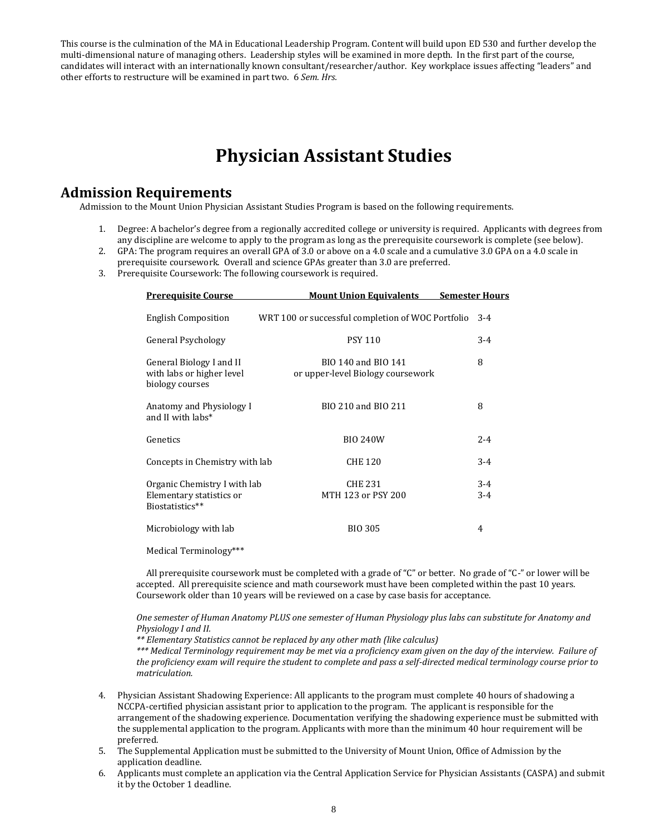This course is the culmination of the MA in Educational Leadership Program. Content will build upon ED 530 and further develop the multi-dimensional nature of managing others. Leadership styles will be examined in more depth. In the first part of the course, candidates will interact with an internationally known consultant/researcher/author. Key workplace issues affecting "leaders" and other efforts to restructure will be examined in part two. 6 *Sem. Hrs.*

# **Physician Assistant Studies**

# **Admission Requirements**

Admission to the Mount Union Physician Assistant Studies Program is based on the following requirements.

- 1. Degree: A bachelor's degree from a regionally accredited college or university is required. Applicants with degrees from any discipline are welcome to apply to the program as long as the prerequisite coursework is complete (see below).
- 2. GPA: The program requires an overall GPA of 3.0 or above on a 4.0 scale and a cumulative 3.0 GPA on a 4.0 scale in
- prerequisite coursework. Overall and science GPAs greater than 3.0 are preferred.
- 3. Prerequisite Coursework: The following coursework is required.

| <b>Prerequisite Course</b>                                                  | <b>Mount Union Equivalents</b>                           | <b>Semester Hours</b> |
|-----------------------------------------------------------------------------|----------------------------------------------------------|-----------------------|
| <b>English Composition</b>                                                  | WRT 100 or successful completion of WOC Portfolio        | $3-4$                 |
| General Psychology                                                          | <b>PSY 110</b>                                           | $3 - 4$               |
| General Biology I and II<br>with labs or higher level<br>biology courses    | BIO 140 and BIO 141<br>or upper-level Biology coursework | 8                     |
| Anatomy and Physiology I<br>and II with labs*                               | BIO 210 and BIO 211                                      | 8                     |
| Genetics                                                                    | <b>BIO 240W</b>                                          | $2 - 4$               |
| Concepts in Chemistry with lab                                              | <b>CHE 120</b>                                           | $3 - 4$               |
| Organic Chemistry I with lab<br>Elementary statistics or<br>Biostatistics** | <b>CHE 231</b><br>MTH 123 or PSY 200                     | $3 - 4$<br>$3 - 4$    |
| Microbiology with lab                                                       | <b>BIO 305</b>                                           | 4                     |
| Medical Terminology***                                                      |                                                          |                       |

All prerequisite coursework must be completed with a grade of "C" or better. No grade of "C-" or lower will be accepted. All prerequisite science and math coursework must have been completed within the past 10 years. Coursework older than 10 years will be reviewed on a case by case basis for acceptance.

*One semester of Human Anatomy PLUS one semester of Human Physiology plus labs can substitute for Anatomy and Physiology I and II.*

*\*\* Elementary Statistics cannot be replaced by any other math (like calculus)* 

*\*\*\* Medical Terminology requirement may be met via a proficiency exam given on the day of the interview. Failure of the proficiency exam will require the student to complete and pass a self-directed medical terminology course prior to matriculation.*

- 4. Physician Assistant Shadowing Experience: All applicants to the program must complete 40 hours of shadowing a NCCPA-certified physician assistant prior to application to the program. The applicant is responsible for the arrangement of the shadowing experience. Documentation verifying the shadowing experience must be submitted with the supplemental application to the program. Applicants with more than the minimum 40 hour requirement will be preferred.
- 5. The Supplemental Application must be submitted to the University of Mount Union, Office of Admission by the application deadline.
- 6. Applicants must complete an application via the Central Application Service for Physician Assistants (CASPA) and submit it by the October 1 deadline.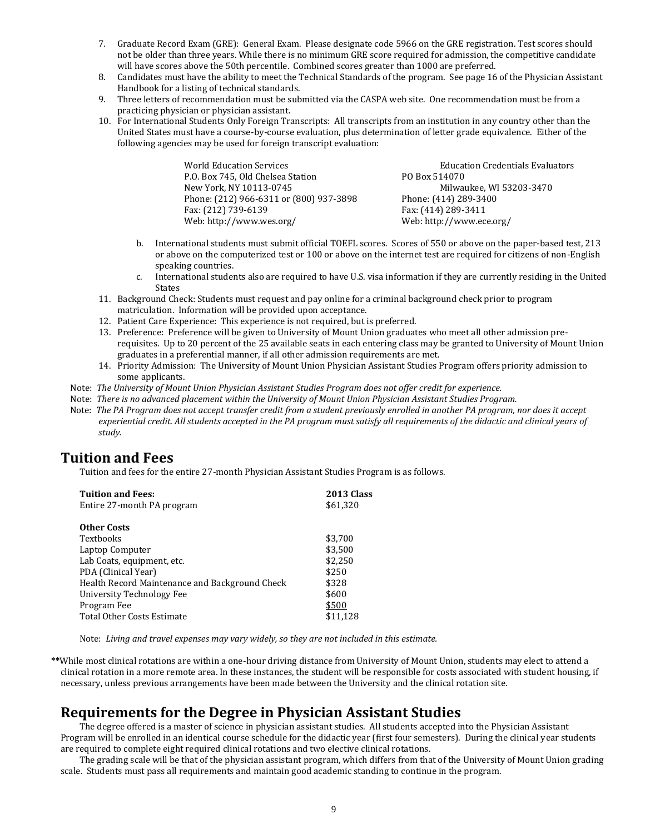- 7. Graduate Record Exam (GRE): General Exam. Please designate code 5966 on the GRE registration. Test scores should not be older than three years. While there is no minimum GRE score required for admission, the competitive candidate will have scores above the 50th percentile. Combined scores greater than 1000 are preferred.
- 8. Candidates must have the ability to meet the Technical Standards of the program. See page 16 of the Physician Assistant Handbook for a listing of technical standards.
- 9. Three letters of recommendation must be submitted via the CASPA web site. One recommendation must be from a practicing physician or physician assistant.
- 10. For International Students Only Foreign Transcripts: All transcripts from an institution in any country other than the United States must have a course-by-course evaluation, plus determination of letter grade equivalence. Either of the following agencies may be used for foreign transcript evaluation:

World Education Services **Education Credentials Evaluators** Education Credentials Evaluators P.O. Box 745, Old Chelsea Station PO Box 514070 New York, NY 10113-0745 Milwaukee, WI 53203-3470 Phone: (212) 966-6311 or (800) 937-3898 Phone: (414) 289-3400 Fax: (212) 739-6139 Fax: (414) 289-3411 Web: http://www.wes.org/ Web: http://www.ece.org/

- b. International students must submit official TOEFL scores. Scores of 550 or above on the paper-based test, 213 or above on the computerized test or 100 or above on the internet test are required for citizens of non-English speaking countries.
- c. International students also are required to have U.S. visa information if they are currently residing in the United States
- 11. Background Check: Students must request and pay online for a criminal background check prior to program matriculation. Information will be provided upon acceptance.
- 12. Patient Care Experience: This experience is not required, but is preferred.
- 13. Preference: Preference will be given to University of Mount Union graduates who meet all other admission prerequisites. Up to 20 percent of the 25 available seats in each entering class may be granted to University of Mount Union graduates in a preferential manner, if all other admission requirements are met.
- 14. Priority Admission: The University of Mount Union Physician Assistant Studies Program offers priority admission to some applicants.
- Note: *The University of Mount Union Physician Assistant Studies Program does not offer credit for experience.*
- Note: *There is no advanced placement within the University of Mount Union Physician Assistant Studies Program.*
- Note: *The PA Program does not accept transfer credit from a student previously enrolled in another PA program, nor does it accept experiential credit. All students accepted in the PA program must satisfy all requirements of the didactic and clinical years of study.*

# **Tuition and Fees**

Tuition and fees for the entire 27-month Physician Assistant Studies Program is as follows.

| <b>Tuition and Fees:</b>                       | 2013 Class |
|------------------------------------------------|------------|
| Entire 27-month PA program                     | \$61,320   |
| Other Costs                                    |            |
| Textbooks                                      | \$3,700    |
| Laptop Computer                                | \$3,500    |
| Lab Coats, equipment, etc.                     | \$2,250    |
| PDA (Clinical Year)                            | \$250      |
| Health Record Maintenance and Background Check | \$328      |
| <b>University Technology Fee</b>               | \$600      |
| Program Fee                                    | \$500      |
| Total Other Costs Estimate                     | \$11,128   |

Note: *Living and travel expenses may vary widely, so they are not included in this estimate.*

**\*\***While most clinical rotations are within a one-hour driving distance from University of Mount Union, students may elect to attend a clinical rotation in a more remote area. In these instances, the student will be responsible for costs associated with student housing, if necessary, unless previous arrangements have been made between the University and the clinical rotation site.

# **Requirements for the Degree in Physician Assistant Studies**

The degree offered is a master of science in physician assistant studies. All students accepted into the Physician Assistant Program will be enrolled in an identical course schedule for the didactic year (first four semesters). During the clinical year students are required to complete eight required clinical rotations and two elective clinical rotations.

The grading scale will be that of the physician assistant program, which differs from that of the University of Mount Union grading scale. Students must pass all requirements and maintain good academic standing to continue in the program.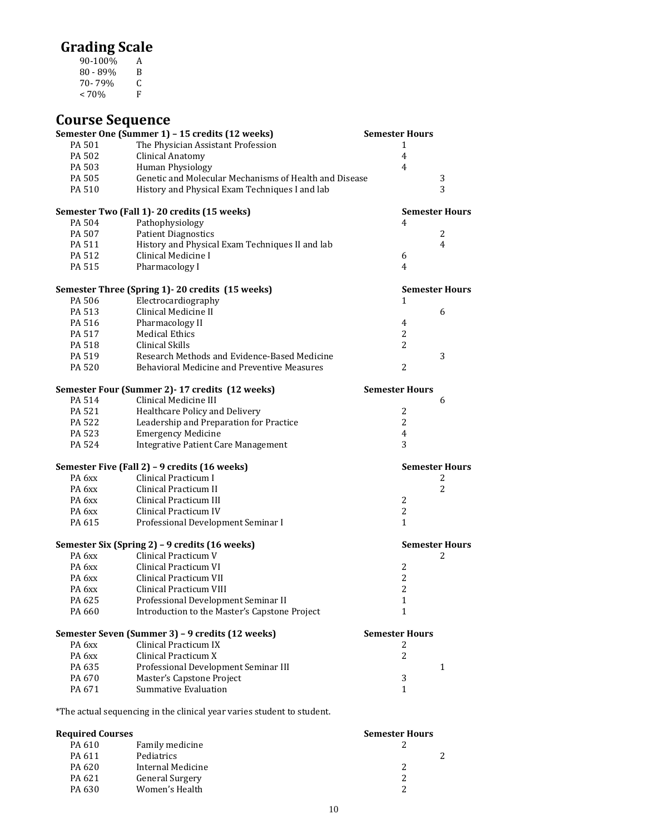# **Grading Scale**

90-100% A 80 - 89% B  $70 - 79\%$  C<br>< 70% F  $< 70\%$ 

| <b>Course Sequence</b> |                                                        |                       |   |
|------------------------|--------------------------------------------------------|-----------------------|---|
|                        | Semester One (Summer 1) - 15 credits (12 weeks)        | <b>Semester Hours</b> |   |
| PA 501                 | The Physician Assistant Profession                     | 1                     |   |
| PA 502                 | <b>Clinical Anatomy</b>                                | $\overline{4}$        |   |
| PA 503                 | Human Physiology                                       | 4                     |   |
| PA 505                 | Genetic and Molecular Mechanisms of Health and Disease |                       | 3 |
| PA 510                 | History and Physical Exam Techniques I and lab         |                       | 3 |
|                        | Semester Two (Fall 1) - 20 credits (15 weeks)          | <b>Semester Hours</b> |   |
| PA 504                 | Pathophysiology                                        | 4                     |   |
| PA 507                 | <b>Patient Diagnostics</b>                             |                       | 2 |
| PA 511                 | History and Physical Exam Techniques II and lab        |                       | 4 |
| PA 512                 | Clinical Medicine I                                    | 6                     |   |
| PA 515                 | Pharmacology I                                         | 4                     |   |
|                        | Semester Three (Spring 1) - 20 credits (15 weeks)      | <b>Semester Hours</b> |   |
| PA 506                 | Electrocardiography                                    | 1                     |   |
| PA 513                 | Clinical Medicine II                                   |                       | 6 |
| PA 516                 | Pharmacology II                                        | $\overline{4}$        |   |
| PA 517                 | <b>Medical Ethics</b>                                  | 2                     |   |
| PA 518                 | Clinical Skills                                        | $\overline{2}$        |   |
| PA 519                 | Research Methods and Evidence-Based Medicine           |                       | 3 |
| PA 520                 | Behavioral Medicine and Preventive Measures            | $\overline{2}$        |   |
|                        | Semester Four (Summer 2) - 17 credits (12 weeks)       | <b>Semester Hours</b> |   |
| PA 514                 | Clinical Medicine III                                  |                       | 6 |
| PA 521                 | Healthcare Policy and Delivery                         | 2                     |   |
| PA 522                 | Leadership and Preparation for Practice                | $\overline{2}$        |   |
| PA 523                 | <b>Emergency Medicine</b>                              | $\overline{4}$        |   |
| PA 524                 | <b>Integrative Patient Care Management</b>             | 3                     |   |
|                        | Semester Five (Fall 2) - 9 credits (16 weeks)          | <b>Semester Hours</b> |   |
| PA <sub>6</sub> xx     | Clinical Practicum I                                   |                       | 2 |
| PA <sub>6</sub> xx     | Clinical Practicum II                                  |                       | 2 |
| PA 6xx                 | Clinical Practicum III                                 | $\overline{2}$        |   |
| PA <sub>6</sub> xx     | Clinical Practicum IV                                  | $\overline{2}$        |   |
| PA 615                 | Professional Development Seminar I                     | $\mathbf{1}$          |   |
|                        | Semester Six (Spring 2) - 9 credits (16 weeks)         | <b>Semester Hours</b> |   |
| PA <sub>6</sub> xx     | Clinical Practicum V                                   |                       | 2 |
| PA 6xx                 | Clinical Practicum VI                                  | 2                     |   |
| PA <sub>6</sub> xx     | Clinical Practicum VII                                 | $\overline{2}$        |   |
| PA 6xx                 | Clinical Practicum VIII                                | 2                     |   |
| PA 625                 | Professional Development Seminar II                    | 1                     |   |
| PA 660                 | Introduction to the Master's Capstone Project          | $\mathbf{1}$          |   |
|                        | Semester Seven (Summer 3) - 9 credits (12 weeks)       | <b>Semester Hours</b> |   |
| PA <sub>6</sub> xx     | Clinical Practicum IX                                  | 2                     |   |
| PA <sub>6</sub> xx     | Clinical Practicum X                                   | 2                     |   |
| PA 635                 | Professional Development Seminar III                   |                       | 1 |
| PA 670                 | Master's Capstone Project                              | 3                     |   |
| PA 671                 | <b>Summative Evaluation</b>                            | $\mathbf{1}$          |   |
|                        |                                                        |                       |   |

\*The actual sequencing in the clinical year varies student to student.

| <b>Required Courses</b> |                        | <b>Semester Hours</b> |  |
|-------------------------|------------------------|-----------------------|--|
| PA 610                  | Family medicine        |                       |  |
| PA 611                  | Pediatrics             |                       |  |
| PA 620                  | Internal Medicine      |                       |  |
| PA 621                  | <b>General Surgery</b> |                       |  |
| PA 630                  | Women's Health         |                       |  |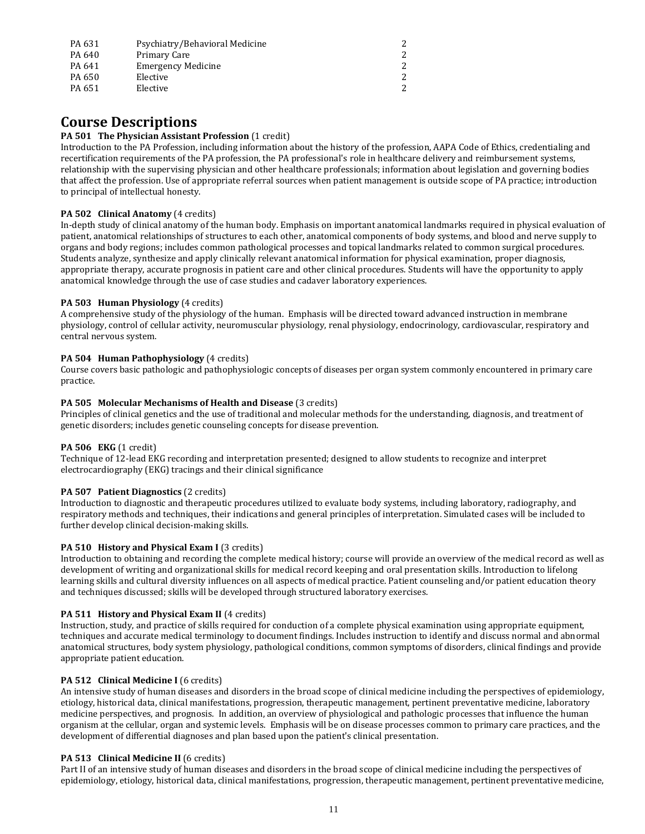| PA 631 | Psychiatry/Behavioral Medicine |  |
|--------|--------------------------------|--|
| PA 640 | Primary Care                   |  |
| PA 641 | <b>Emergency Medicine</b>      |  |
| PA 650 | Elective                       |  |
| PA 651 | Elective                       |  |

# **Course Descriptions**

### **PA 501 The Physician Assistant Profession** (1 credit)

Introduction to the PA Profession, including information about the history of the profession, AAPA Code of Ethics, credentialing and recertification requirements of the PA profession, the PA professional's role in healthcare delivery and reimbursement systems, relationship with the supervising physician and other healthcare professionals; information about legislation and governing bodies that affect the profession. Use of appropriate referral sources when patient management is outside scope of PA practice; introduction to principal of intellectual honesty.

# **PA 502 Clinical Anatomy** (4 credits)

In-depth study of clinical anatomy of the human body. Emphasis on important anatomical landmarks required in physical evaluation of patient, anatomical relationships of structures to each other, anatomical components of body systems, and blood and nerve supply to organs and body regions; includes common pathological processes and topical landmarks related to common surgical procedures. Students analyze, synthesize and apply clinically relevant anatomical information for physical examination, proper diagnosis, appropriate therapy, accurate prognosis in patient care and other clinical procedures. Students will have the opportunity to apply anatomical knowledge through the use of case studies and cadaver laboratory experiences.

# **PA 503 Human Physiology** (4 credits)

A comprehensive study of the physiology of the human. Emphasis will be directed toward advanced instruction in membrane physiology, control of cellular activity, neuromuscular physiology, renal physiology, endocrinology, cardiovascular, respiratory and central nervous system.

# **PA 504 Human Pathophysiology** (4 credits)

Course covers basic pathologic and pathophysiologic concepts of diseases per organ system commonly encountered in primary care practice.

# **PA 505 Molecular Mechanisms of Health and Disease** (3 credits)

Principles of clinical genetics and the use of traditional and molecular methods for the understanding, diagnosis, and treatment of genetic disorders; includes genetic counseling concepts for disease prevention.

### **PA 506 EKG** (1 credit)

Technique of 12-lead EKG recording and interpretation presented; designed to allow students to recognize and interpret electrocardiography (EKG) tracings and their clinical significance

### **PA 507 Patient Diagnostics** (2 credits)

Introduction to diagnostic and therapeutic procedures utilized to evaluate body systems, including laboratory, radiography, and respiratory methods and techniques, their indications and general principles of interpretation. Simulated cases will be included to further develop clinical decision-making skills.

### **PA 510 History and Physical Exam I** (3 credits)

Introduction to obtaining and recording the complete medical history; course will provide an overview of the medical record as well as development of writing and organizational skills for medical record keeping and oral presentation skills. Introduction to lifelong learning skills and cultural diversity influences on all aspects of medical practice. Patient counseling and/or patient education theory and techniques discussed; skills will be developed through structured laboratory exercises.

# **PA 511 History and Physical Exam II** (4 credits)

Instruction, study, and practice of skills required for conduction of a complete physical examination using appropriate equipment, techniques and accurate medical terminology to document findings. Includes instruction to identify and discuss normal and abnormal anatomical structures, body system physiology, pathological conditions, common symptoms of disorders, clinical findings and provide appropriate patient education.

# **PA 512 Clinical Medicine I** (6 credits)

An intensive study of human diseases and disorders in the broad scope of clinical medicine including the perspectives of epidemiology, etiology, historical data, clinical manifestations, progression, therapeutic management, pertinent preventative medicine, laboratory medicine perspectives, and prognosis. In addition, an overview of physiological and pathologic processes that influence the human organism at the cellular, organ and systemic levels. Emphasis will be on disease processes common to primary care practices, and the development of differential diagnoses and plan based upon the patient's clinical presentation.

# **PA 513 Clinical Medicine II** (6 credits)

Part II of an intensive study of human diseases and disorders in the broad scope of clinical medicine including the perspectives of epidemiology, etiology, historical data, clinical manifestations, progression, therapeutic management, pertinent preventative medicine,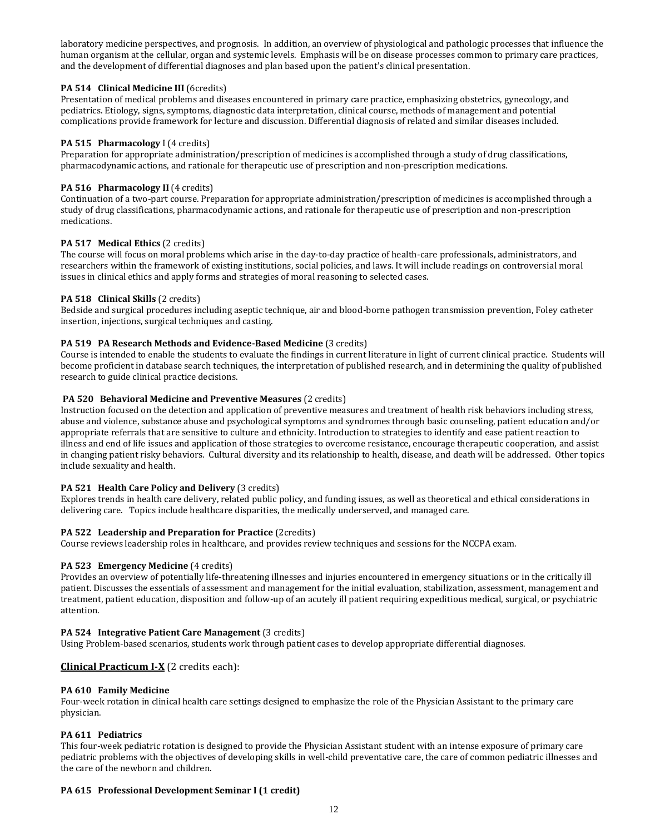laboratory medicine perspectives, and prognosis. In addition, an overview of physiological and pathologic processes that influence the human organism at the cellular, organ and systemic levels. Emphasis will be on disease processes common to primary care practices, and the development of differential diagnoses and plan based upon the patient's clinical presentation.

# **PA 514 Clinical Medicine III** (6credits)

Presentation of medical problems and diseases encountered in primary care practice, emphasizing obstetrics, gynecology, and pediatrics. Etiology, signs, symptoms, diagnostic data interpretation, clinical course, methods of management and potential complications provide framework for lecture and discussion. Differential diagnosis of related and similar diseases included.

# **PA 515 Pharmacology** I (4 credits)

Preparation for appropriate administration/prescription of medicines is accomplished through a study of drug classifications, pharmacodynamic actions, and rationale for therapeutic use of prescription and non-prescription medications.

# **PA 516 Pharmacology II** (4 credits)

Continuation of a two-part course. Preparation for appropriate administration/prescription of medicines is accomplished through a study of drug classifications, pharmacodynamic actions, and rationale for therapeutic use of prescription and non-prescription medications.

### **PA 517 Medical Ethics** (2 credits)

The course will focus on moral problems which arise in the day-to-day practice of health-care professionals, administrators, and researchers within the framework of existing institutions, social policies, and laws. It will include readings on controversial moral issues in clinical ethics and apply forms and strategies of moral reasoning to selected cases.

### **PA 518 Clinical Skills** (2 credits)

Bedside and surgical procedures including aseptic technique, air and blood-borne pathogen transmission prevention, Foley catheter insertion, injections, surgical techniques and casting.

# **PA 519 PA Research Methods and Evidence-Based Medicine (3 credits)**

Course is intended to enable the students to evaluate the findings in current literature in light of current clinical practice. Students will become proficient in database search techniques, the interpretation of published research, and in determining the quality of published research to guide clinical practice decisions.

### **PA 520 Behavioral Medicine and Preventive Measures** (2 credits)

Instruction focused on the detection and application of preventive measures and treatment of health risk behaviors including stress, abuse and violence, substance abuse and psychological symptoms and syndromes through basic counseling, patient education and/or appropriate referrals that are sensitive to culture and ethnicity. Introduction to strategies to identify and ease patient reaction to illness and end of life issues and application of those strategies to overcome resistance, encourage therapeutic cooperation, and assist in changing patient risky behaviors. Cultural diversity and its relationship to health, disease, and death will be addressed. Other topics include sexuality and health.

### **PA 521 Health Care Policy and Delivery** (3 credits)

Explores trends in health care delivery, related public policy, and funding issues, as well as theoretical and ethical considerations in delivering care. Topics include healthcare disparities, the medically underserved, and managed care.

# **PA 522 Leadership and Preparation for Practice** (2credits)

Course reviews leadership roles in healthcare, and provides review techniques and sessions for the NCCPA exam.

### **PA 523 Emergency Medicine** (4 credits)

Provides an overview of potentially life-threatening illnesses and injuries encountered in emergency situations or in the critically ill patient. Discusses the essentials of assessment and management for the initial evaluation, stabilization, assessment, management and treatment, patient education, disposition and follow-up of an acutely ill patient requiring expeditious medical, surgical, or psychiatric attention.

### **PA 524 Integrative Patient Care Management** (3 credits)

Using Problem-based scenarios, students work through patient cases to develop appropriate differential diagnoses.

# **Clinical Practicum I-X** (2 credits each):

### **PA 610 Family Medicine**

Four-week rotation in clinical health care settings designed to emphasize the role of the Physician Assistant to the primary care physician.

### **PA 611 Pediatrics**

This four-week pediatric rotation is designed to provide the Physician Assistant student with an intense exposure of primary care pediatric problems with the objectives of developing skills in well-child preventative care, the care of common pediatric illnesses and the care of the newborn and children.

### **PA 615 Professional Development Seminar I (1 credit)**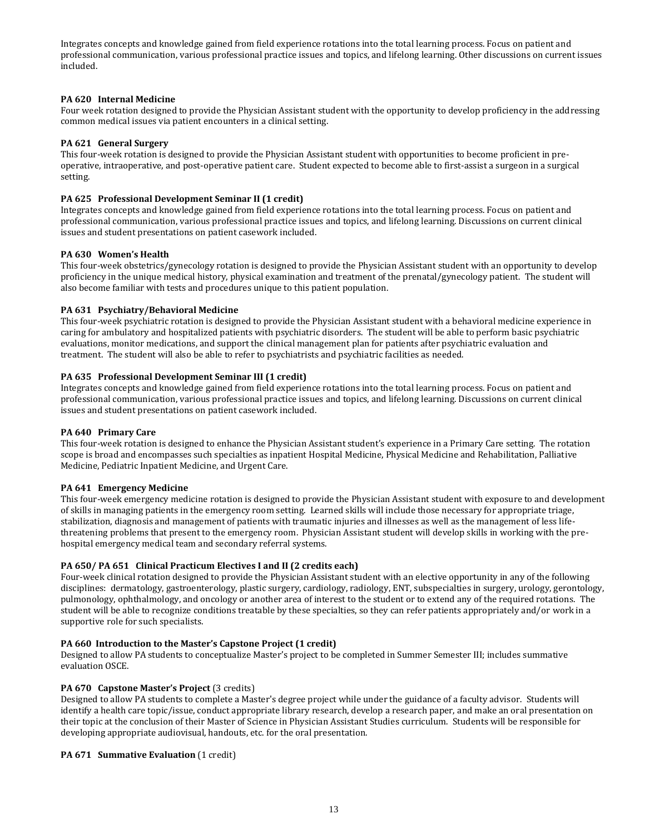Integrates concepts and knowledge gained from field experience rotations into the total learning process. Focus on patient and professional communication, various professional practice issues and topics, and lifelong learning. Other discussions on current issues included.

### **PA 620 Internal Medicine**

Four week rotation designed to provide the Physician Assistant student with the opportunity to develop proficiency in the addressing common medical issues via patient encounters in a clinical setting.

# **PA 621 General Surgery**

This four-week rotation is designed to provide the Physician Assistant student with opportunities to become proficient in preoperative, intraoperative, and post-operative patient care. Student expected to become able to first-assist a surgeon in a surgical setting.

### **PA 625 Professional Development Seminar II (1 credit)**

Integrates concepts and knowledge gained from field experience rotations into the total learning process. Focus on patient and professional communication, various professional practice issues and topics, and lifelong learning. Discussions on current clinical issues and student presentations on patient casework included.

# **PA 630 Women's Health**

This four-week obstetrics/gynecology rotation is designed to provide the Physician Assistant student with an opportunity to develop proficiency in the unique medical history, physical examination and treatment of the prenatal/gynecology patient. The student will also become familiar with tests and procedures unique to this patient population.

# **PA 631 Psychiatry/Behavioral Medicine**

This four-week psychiatric rotation is designed to provide the Physician Assistant student with a behavioral medicine experience in caring for ambulatory and hospitalized patients with psychiatric disorders. The student will be able to perform basic psychiatric evaluations, monitor medications, and support the clinical management plan for patients after psychiatric evaluation and treatment. The student will also be able to refer to psychiatrists and psychiatric facilities as needed.

# **PA 635 Professional Development Seminar III (1 credit)**

Integrates concepts and knowledge gained from field experience rotations into the total learning process. Focus on patient and professional communication, various professional practice issues and topics, and lifelong learning. Discussions on current clinical issues and student presentations on patient casework included.

### **PA 640 Primary Care**

This four-week rotation is designed to enhance the Physician Assistant student's experience in a Primary Care setting. The rotation scope is broad and encompasses such specialties as inpatient Hospital Medicine, Physical Medicine and Rehabilitation, Palliative Medicine, Pediatric Inpatient Medicine, and Urgent Care.

# **PA 641 Emergency Medicine**

This four-week emergency medicine rotation is designed to provide the Physician Assistant student with exposure to and development of skills in managing patients in the emergency room setting. Learned skills will include those necessary for appropriate triage, stabilization, diagnosis and management of patients with traumatic injuries and illnesses as well as the management of less lifethreatening problems that present to the emergency room. Physician Assistant student will develop skills in working with the prehospital emergency medical team and secondary referral systems.

# **PA 650/ PA 651 Clinical Practicum Electives I and II (2 credits each)**

Four-week clinical rotation designed to provide the Physician Assistant student with an elective opportunity in any of the following disciplines: dermatology, gastroenterology, plastic surgery, cardiology, radiology, ENT, subspecialties in surgery, urology, gerontology, pulmonology, ophthalmology, and oncology or another area of interest to the student or to extend any of the required rotations. The student will be able to recognize conditions treatable by these specialties, so they can refer patients appropriately and/or work in a supportive role for such specialists.

### **PA 660 Introduction to the Master's Capstone Project (1 credit)**

Designed to allow PA students to conceptualize Master's project to be completed in Summer Semester III; includes summative evaluation OSCE.

### **PA 670 Capstone Master's Project** (3 credits)

Designed to allow PA students to complete a Master's degree project while under the guidance of a faculty advisor. Students will identify a health care topic/issue, conduct appropriate library research, develop a research paper, and make an oral presentation on their topic at the conclusion of their Master of Science in Physician Assistant Studies curriculum. Students will be responsible for developing appropriate audiovisual, handouts, etc. for the oral presentation.

### **PA 671 Summative Evaluation** (1 credit)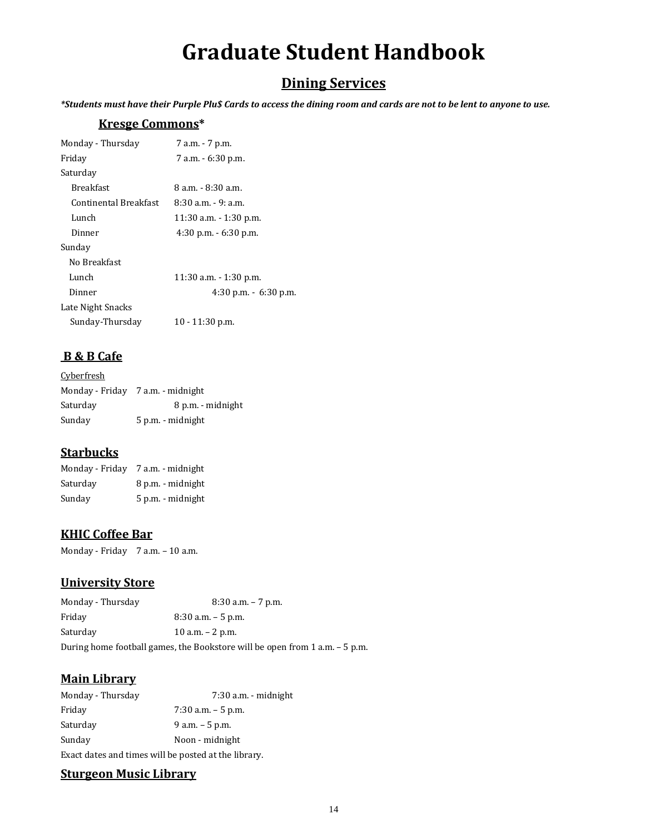# **Graduate Student Handbook**

# **Dining Services**

*\*Students must have their Purple Plu\$ Cards to access the dining room and cards are not to be lent to anyone to use.*

# **Kresge Commons\***

| Monday - Thursday     | 7 a.m. - 7 p.m.           |
|-----------------------|---------------------------|
| Friday                | 7 a.m. - 6:30 p.m.        |
| Saturdav              |                           |
| <b>Breakfast</b>      | 8 a.m. - 8:30 a.m.        |
| Continental Breakfast | $8:30$ a.m. $-9:$ a.m.    |
| Lunch                 | $11:30$ a.m. $-1:30$ p.m. |
| Dinner                | $4:30$ p.m. $-6:30$ p.m.  |
| Sunday                |                           |
| No Breakfast          |                           |
| Lunch                 | $11:30$ a.m. $-1:30$ p.m. |
| Dinner                | $4:30$ p.m. $-6:30$ p.m.  |
| Late Night Snacks     |                           |
| Sunday-Thursday       | $10 - 11:30$ p.m.         |
|                       |                           |

# **B & B Cafe**

| Cyberfresh |                                   |
|------------|-----------------------------------|
|            | Monday - Friday 7 a.m. - midnight |
| Saturday   | 8 p.m. - midnight                 |
| Sunday     | 5 p.m. - midnight                 |

# **Starbucks**

| Monday - Friday | 7 a.m. - midnight |
|-----------------|-------------------|
| Saturday        | 8 p.m. - midnight |
| Sunday          | 5 p.m. - midnight |

# **KHIC Coffee Bar**

Monday - Friday 7 a.m. - 10 a.m.

# **University Store**

| Monday - Thursday                                                              | $8:30$ a.m. $-7$ p.m. |
|--------------------------------------------------------------------------------|-----------------------|
| Friday                                                                         | $8:30$ a.m. $-5$ p.m. |
| Saturday                                                                       | 10 a.m. $-$ 2 p.m.    |
| During home football games, the Bookstore will be open from $1$ a.m. $-5$ p.m. |                       |

# **Main Library**

| Monday - Thursday | 7:30 a.m. - midnight                                 |
|-------------------|------------------------------------------------------|
| Friday            | $7:30$ a.m. $-5$ p.m.                                |
| Saturday          | $9$ a.m. $-5$ p.m.                                   |
| Sunday            | Noon - midnight                                      |
|                   | Exact dates and times will be posted at the library. |

# **Sturgeon Music Library**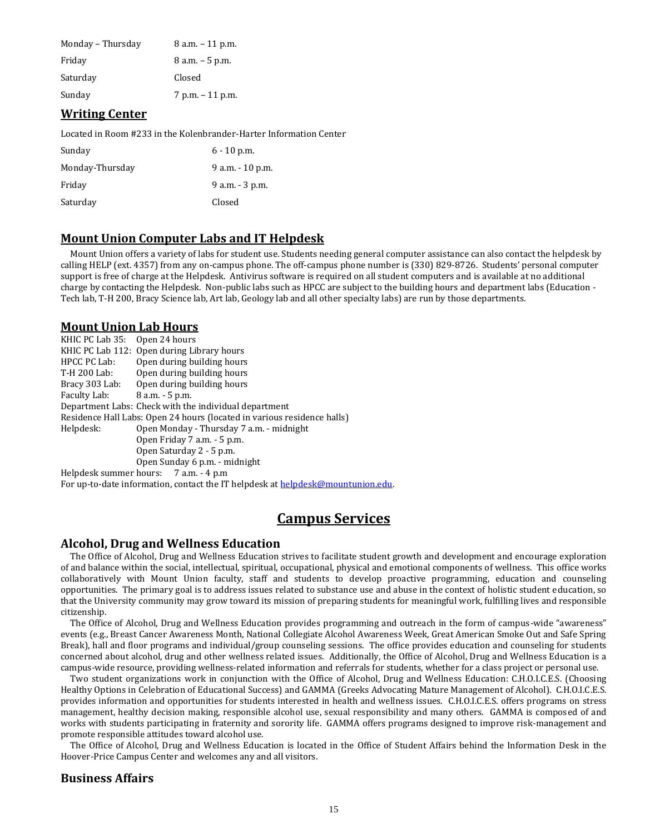| Monday - Thursday | $8$ a.m. $-11$ p.m. |
|-------------------|---------------------|
| Friday            | $8$ a.m. $-5$ p.m.  |
| Saturday          | Closed              |
| Sunday            | 7 p.m. – 11 p.m.    |

# **Writing Center**

Located in Room #233 in the Kolenbrander-Harter Information Center

| Sunday          | $6 - 10$ p.m.    |
|-----------------|------------------|
| Monday-Thursday | 9 a.m. - 10 p.m. |
| Friday          | 9 a.m. - 3 p.m.  |
| Saturday        | Closed           |

# **Mount Union Computer Labs and IT Helpdesk**

Mount Union offers a variety of labs for student use. Students needing general computer assistance can also contact the helpdesk by calling HELP (ext. 4357) from any on-campus phone. The off-campus phone number is (330) 829-8726. Students' personal computer support is free of charge at the Helpdesk. Antivirus software is required on all student computers and is available at no additional charge by contacting the Helpdesk. Non-public labs such as HPCC are subject to the building hours and department labs (Education - Tech lab, T-H 200, Bracy Science lab, Art lab, Geology lab and all other specialty labs) are run by those departments.

# **Mount Union Lab Hours**

KHIC PC Lab 35: Open 24 hours KHIC PC Lab 112: Open during Library hours HPCC PC Lab: Open during building hours T-H 200 Lab: Open during building hours Bracy 303 Lab: Open during building hours Faculty Lab: 8 a.m. - 5 p.m. Department Labs: Check with the individual department Residence Hall Labs: Open 24 hours (located in various residence halls) Helpdesk: Open Monday - Thursday 7 a.m. - midnight Open Friday 7 a.m. - 5 p.m. Open Saturday 2 - 5 p.m. Open Sunday 6 p.m. - midnight Helpdesk summer hours: 7 a.m. - 4 p.m For up-to-date information, contact the IT helpdesk at helpdesk@mountunion.edu.

# **Campus Services**

# **Alcohol, Drug and Wellness Education**

The Office of Alcohol, Drug and Wellness Education strives to facilitate student growth and development and encourage exploration of and balance within the social, intellectual, spiritual, occupational, physical and emotional components of wellness. This office works collaboratively with Mount Union faculty, staff and students to develop proactive programming, education and counseling opportunities. The primary goal is to address issues related to substance use and abuse in the context of holistic student education, so that the University community may grow toward its mission of preparing students for meaningful work, fulfilling lives and responsible citizenship.

The Office of Alcohol, Drug and Wellness Education provides programming and outreach in the form of campus-wide "awareness" events (e.g., Breast Cancer Awareness Month, National Collegiate Alcohol Awareness Week, Great American Smoke Out and Safe Spring Break), hall and floor programs and individual/group counseling sessions. The office provides education and counseling for students concerned about alcohol, drug and other wellness related issues. Additionally, the Office of Alcohol, Drug and Wellness Education is a campus-wide resource, providing wellness-related information and referrals for students, whether for a class project or personal use.

Two student organizations work in conjunction with the Office of Alcohol, Drug and Wellness Education: C.H.O.I.C.E.S. (Choosing Healthy Options in Celebration of Educational Success) and GAMMA (Greeks Advocating Mature Management of Alcohol). C.H.O.I.C.E.S. provides information and opportunities for students interested in health and wellness issues. C.H.O.I.C.E.S. offers programs on stress management, healthy decision making, responsible alcohol use, sexual responsibility and many others. GAMMA is composed of and works with students participating in fraternity and sorority life. GAMMA offers programs designed to improve risk-management and promote responsible attitudes toward alcohol use.

The Office of Alcohol, Drug and Wellness Education is located in the Office of Student Affairs behind the Information Desk in the Hoover-Price Campus Center and welcomes any and all visitors.

# **Business Affairs**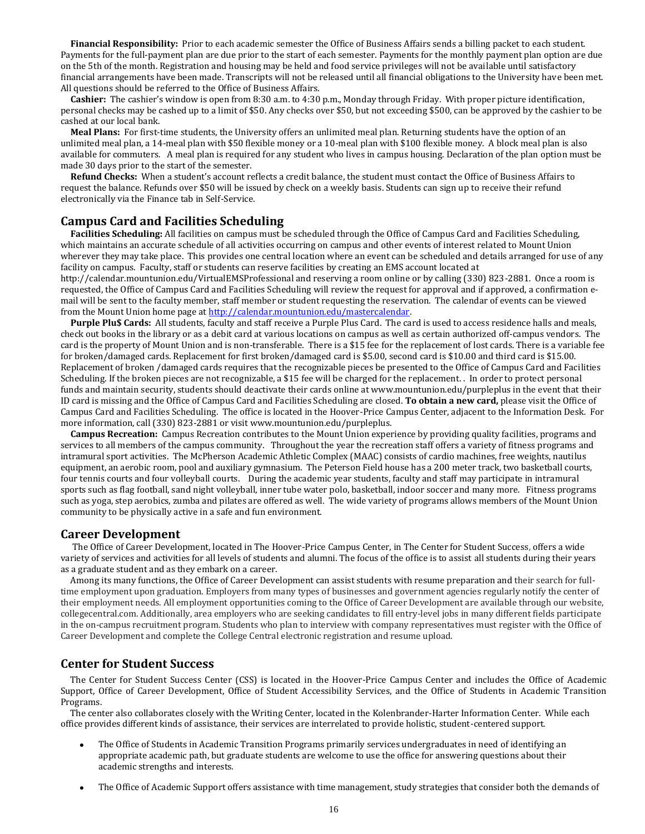**Financial Responsibility:** Prior to each academic semester the Office of Business Affairs sends a billing packet to each student. Payments for the full-payment plan are due prior to the start of each semester. Payments for the monthly payment plan option are due on the 5th of the month. Registration and housing may be held and food service privileges will not be available until satisfactory financial arrangements have been made. Transcripts will not be released until all financial obligations to the University have been met. All questions should be referred to the Office of Business Affairs.

**Cashier:** The cashier's window is open from 8:30 a.m. to 4:30 p.m., Monday through Friday. With proper picture identification, personal checks may be cashed up to a limit of \$50. Any checks over \$50, but not exceeding \$500, can be approved by the cashier to be cashed at our local bank.

**Meal Plans:** For first-time students, the University offers an unlimited meal plan. Returning students have the option of an unlimited meal plan, a 14-meal plan with \$50 flexible money or a 10-meal plan with \$100 flexible money. A block meal plan is also available for commuters. A meal plan is required for any student who lives in campus housing. Declaration of the plan option must be made 30 days prior to the start of the semester.

**Refund Checks:** When a student's account reflects a credit balance, the student must contact the Office of Business Affairs to request the balance. Refunds over \$50 will be issued by check on a weekly basis. Students can sign up to receive their refund electronically via the Finance tab in Self-Service.

# **Campus Card and Facilities Scheduling**

**Facilities Scheduling:** All facilities on campus must be scheduled through the Office of Campus Card and Facilities Scheduling, which maintains an accurate schedule of all activities occurring on campus and other events of interest related to Mount Union wherever they may take place. This provides one central location where an event can be scheduled and details arranged for use of any facility on campus. Faculty, staff or students can reserve facilities by creating an EMS account located at

http://calendar.mountunion.edu/VirtualEMSProfessional and reserving a room online or by calling (330) 823-2881. Once a room is requested, the Office of Campus Card and Facilities Scheduling will review the request for approval and if approved, a confirmation email will be sent to the faculty member, staff member or student requesting the reservation. The calendar of events can be viewed from the Mount Union home page a[t http://calendar.mountunion.edu/mastercalendar.](http://calendar.mountunion.edu/mastercalendar)

**Purple Plu\$ Cards:** All students, faculty and staff receive a Purple Plus Card. The card is used to access residence halls and meals, check out books in the library or as a debit card at various locations on campus as well as certain authorized off-campus vendors. The card is the property of Mount Union and is non-transferable. There is a \$15 fee for the replacement of lost cards. There is a variable fee for broken/damaged cards. Replacement for first broken/damaged card is \$5.00, second card is \$10.00 and third card is \$15.00. Replacement of broken /damaged cards requires that the recognizable pieces be presented to the Office of Campus Card and Facilities Scheduling. If the broken pieces are not recognizable, a \$15 fee will be charged for the replacement. . In order to protect personal funds and maintain security, students should deactivate their cards online at www.mountunion.edu/purpleplus in the event that their ID card is missing and the Office of Campus Card and Facilities Scheduling are closed. **To obtain a new card,** please visit the Office of Campus Card and Facilities Scheduling. The office is located in the Hoover-Price Campus Center, adjacent to the Information Desk. For more information, call (330) 823-2881 or visit www.mountunion.edu/purpleplus.

**Campus Recreation:** Campus Recreation contributes to the Mount Union experience by providing quality facilities, programs and services to all members of the campus community. Throughout the year the recreation staff offers a variety of fitness programs and intramural sport activities. The McPherson Academic Athletic Complex (MAAC) consists of cardio machines, free weights, nautilus equipment, an aerobic room, pool and auxiliary gymnasium. The Peterson Field house has a 200 meter track, two basketball courts, four tennis courts and four volleyball courts. During the academic year students, faculty and staff may participate in intramural sports such as flag football, sand night volleyball, inner tube water polo, basketball, indoor soccer and many more. Fitness programs such as yoga, step aerobics, zumba and pilates are offered as well. The wide variety of programs allows members of the Mount Union community to be physically active in a safe and fun environment.

# **Career Development**

The Office of Career Development, located in The Hoover-Price Campus Center, in The Center for Student Success, offers a wide variety of services and activities for all levels of students and alumni. The focus of the office is to assist all students during their years as a graduate student and as they embark on a career.

Among its many functions, the Office of Career Development can assist students with resume preparation and their search for fulltime employment upon graduation. Employers from many types of businesses and government agencies regularly notify the center of their employment needs. All employment opportunities coming to the Office of Career Development are available through our website, collegecentral.com. Additionally, area employers who are seeking candidates to fill entry-level jobs in many different fields participate in the on-campus recruitment program. Students who plan to interview with company representatives must register with the Office of Career Development and complete the College Central electronic registration and resume upload.

# **Center for Student Success**

The Center for Student Success Center (CSS) is located in the Hoover-Price Campus Center and includes the Office of Academic Support, Office of Career Development, Office of Student Accessibility Services, and the Office of Students in Academic Transition Programs.

The center also collaborates closely with the Writing Center, located in the Kolenbrander-Harter Information Center. While each office provides different kinds of assistance, their services are interrelated to provide holistic, student-centered support.

- The Office of Students in Academic Transition Programs primarily services undergraduates in need of identifying an appropriate academic path, but graduate students are welcome to use the office for answering questions about their academic strengths and interests.
- The Office of Academic Support offers assistance with time management, study strategies that consider both the demands of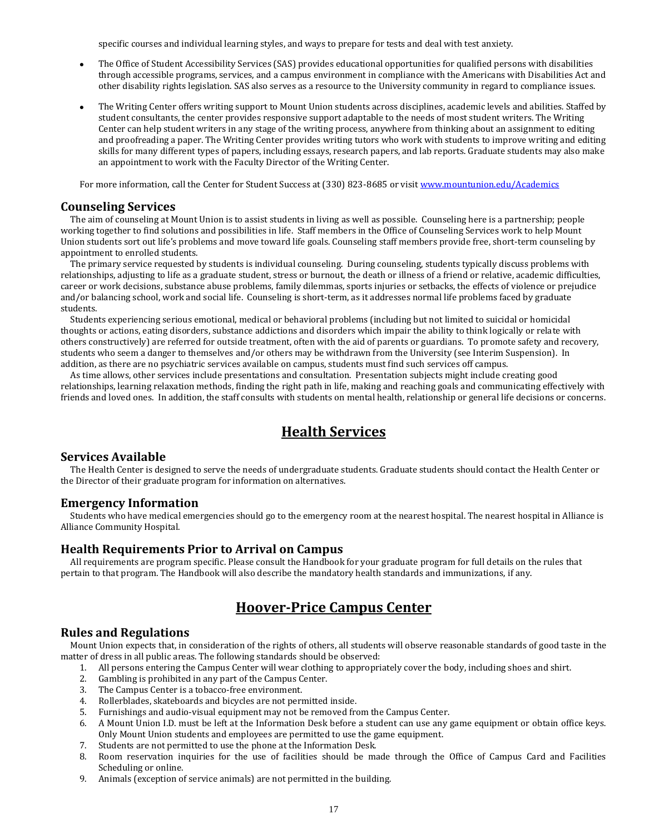specific courses and individual learning styles, and ways to prepare for tests and deal with test anxiety.

- The Office of Student Accessibility Services (SAS) provides educational opportunities for qualified persons with disabilities through accessible programs, services, and a campus environment in compliance with the Americans with Disabilities Act and other disability rights legislation. SAS also serves as a resource to the University community in regard to compliance issues.
- The Writing Center offers writing support to Mount Union students across disciplines, academic levels and abilities. Staffed by student consultants, the center provides responsive support adaptable to the needs of most student writers. The Writing Center can help student writers in any stage of the writing process, anywhere from thinking about an assignment to editing and proofreading a paper. The Writing Center provides writing tutors who work with students to improve writing and editing skills for many different types of papers, including essays, research papers, and lab reports. Graduate students may also make an appointment to work with the Faculty Director of the Writing Center.

For more information, call the Center for Student Success at (330) 823-8685 or visi[t www.mountunion.edu/Academics](http://www.mountunion.edu/Academics)

# **Counseling Services**

The aim of counseling at Mount Union is to assist students in living as well as possible. Counseling here is a partnership; people working together to find solutions and possibilities in life. Staff members in the Office of Counseling Services work to help Mount Union students sort out life's problems and move toward life goals. Counseling staff members provide free, short-term counseling by appointment to enrolled students.

The primary service requested by students is individual counseling. During counseling, students typically discuss problems with relationships, adjusting to life as a graduate student, stress or burnout, the death or illness of a friend or relative, academic difficulties, career or work decisions, substance abuse problems, family dilemmas, sports injuries or setbacks, the effects of violence or prejudice and/or balancing school, work and social life. Counseling is short-term, as it addresses normal life problems faced by graduate students.

Students experiencing serious emotional, medical or behavioral problems (including but not limited to suicidal or homicidal thoughts or actions, eating disorders, substance addictions and disorders which impair the ability to think logically or relate with others constructively) are referred for outside treatment, often with the aid of parents or guardians. To promote safety and recovery, students who seem a danger to themselves and/or others may be withdrawn from the University (see Interim Suspension). In addition, as there are no psychiatric services available on campus, students must find such services off campus.

As time allows, other services include presentations and consultation. Presentation subjects might include creating good relationships, learning relaxation methods, finding the right path in life, making and reaching goals and communicating effectively with friends and loved ones. In addition, the staff consults with students on mental health, relationship or general life decisions or concerns.

# **Health Services**

# **Services Available**

The Health Center is designed to serve the needs of undergraduate students. Graduate students should contact the Health Center or the Director of their graduate program for information on alternatives.

### **Emergency Information**

Students who have medical emergencies should go to the emergency room at the nearest hospital. The nearest hospital in Alliance is Alliance Community Hospital.

# **Health Requirements Prior to Arrival on Campus**

All requirements are program specific. Please consult the Handbook for your graduate program for full details on the rules that pertain to that program. The Handbook will also describe the mandatory health standards and immunizations, if any.

# **Hoover-Price Campus Center**

# **Rules and Regulations**

Mount Union expects that, in consideration of the rights of others, all students will observe reasonable standards of good taste in the matter of dress in all public areas. The following standards should be observed:

- 1. All persons entering the Campus Center will wear clothing to appropriately cover the body, including shoes and shirt.
- 2. Gambling is prohibited in any part of the Campus Center.
- 3. The Campus Center is a tobacco-free environment.
- 4. Rollerblades, skateboards and bicycles are not permitted inside.
- 5. Furnishings and audio-visual equipment may not be removed from the Campus Center.
- 6. A Mount Union I.D. must be left at the Information Desk before a student can use any game equipment or obtain office keys. Only Mount Union students and employees are permitted to use the game equipment.
- 7. Students are not permitted to use the phone at the Information Desk.
- 8. Room reservation inquiries for the use of facilities should be made through the Office of Campus Card and Facilities Scheduling or online.
- 9. Animals (exception of service animals) are not permitted in the building.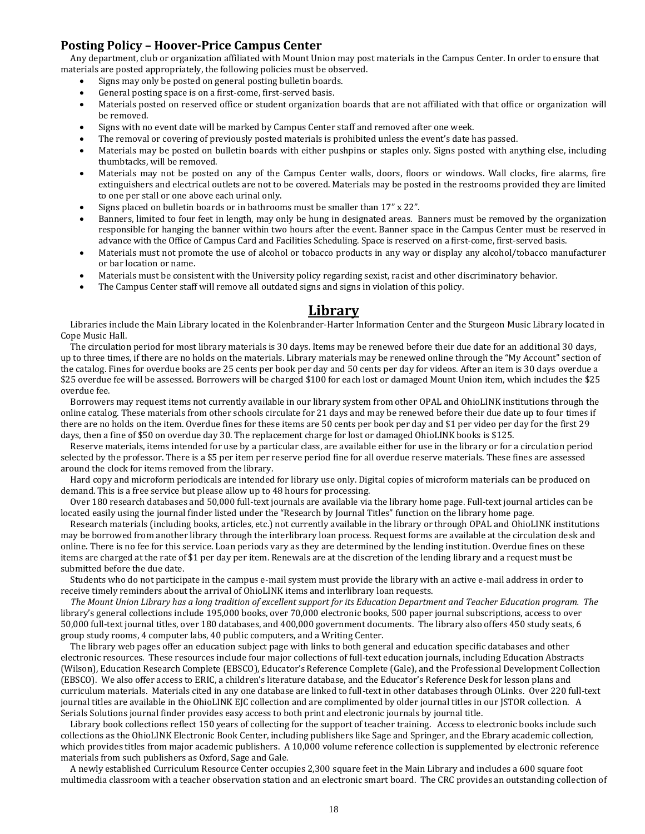# **Posting Policy – Hoover-Price Campus Center**

Any department, club or organization affiliated with Mount Union may post materials in the Campus Center. In order to ensure that materials are posted appropriately, the following policies must be observed.

- Signs may only be posted on general posting bulletin boards.
- General posting space is on a first-come, first-served basis.
- Materials posted on reserved office or student organization boards that are not affiliated with that office or organization will be removed.
- Signs with no event date will be marked by Campus Center staff and removed after one week.
- The removal or covering of previously posted materials is prohibited unless the event's date has passed.
- Materials may be posted on bulletin boards with either pushpins or staples only. Signs posted with anything else, including thumbtacks, will be removed.
- Materials may not be posted on any of the Campus Center walls, doors, floors or windows. Wall clocks, fire alarms, fire extinguishers and electrical outlets are not to be covered. Materials may be posted in the restrooms provided they are limited to one per stall or one above each urinal only.
- Signs placed on bulletin boards or in bathrooms must be smaller than 17" x 22".
- Banners, limited to four feet in length, may only be hung in designated areas. Banners must be removed by the organization responsible for hanging the banner within two hours after the event. Banner space in the Campus Center must be reserved in advance with the Office of Campus Card and Facilities Scheduling. Space is reserved on a first-come, first-served basis.
- Materials must not promote the use of alcohol or tobacco products in any way or display any alcohol/tobacco manufacturer or bar location or name.
- Materials must be consistent with the University policy regarding sexist, racist and other discriminatory behavior.
- The Campus Center staff will remove all outdated signs and signs in violation of this policy.

# **Library**

Libraries include the Main Library located in the Kolenbrander-Harter Information Center and the Sturgeon Music Library located in Cope Music Hall.

The circulation period for most library materials is 30 days. Items may be renewed before their due date for an additional 30 days, up to three times, if there are no holds on the materials. Library materials may be renewed online through the "My Account" section of the catalog. Fines for overdue books are 25 cents per book per day and 50 cents per day for videos. After an item is 30 days overdue a \$25 overdue fee will be assessed. Borrowers will be charged \$100 for each lost or damaged Mount Union item, which includes the \$25 overdue fee.

Borrowers may request items not currently available in our library system from other OPAL and OhioLINK institutions through the online catalog. These materials from other schools circulate for 21 days and may be renewed before their due date up to four times if there are no holds on the item. Overdue fines for these items are 50 cents per book per day and \$1 per video per day for the first 29 days, then a fine of \$50 on overdue day 30. The replacement charge for lost or damaged OhioLINK books is \$125.

Reserve materials, items intended for use by a particular class, are available either for use in the library or for a circulation period selected by the professor. There is a \$5 per item per reserve period fine for all overdue reserve materials. These fines are assessed around the clock for items removed from the library.

Hard copy and microform periodicals are intended for library use only. Digital copies of microform materials can be produced on demand. This is a free service but please allow up to 48 hours for processing.

Over 180 research databases and 50,000 full-text journals are available via the library home page. Full-text journal articles can be located easily using the journal finder listed under the "Research by Journal Titles" function on the library home page.

Research materials (including books, articles, etc.) not currently available in the library or through OPAL and OhioLINK institutions may be borrowed from another library through the interlibrary loan process. Request forms are available at the circulation desk and online. There is no fee for this service. Loan periods vary as they are determined by the lending institution. Overdue fines on these items are charged at the rate of \$1 per day per item. Renewals are at the discretion of the lending library and a request must be submitted before the due date.

Students who do not participate in the campus e-mail system must provide the library with an active e-mail address in order to receive timely reminders about the arrival of OhioLINK items and interlibrary loan requests.

*The Mount Union Library has a long tradition of excellent support for its Education Department and Teacher Education program. The*  library's general collections include 195,000 books, over 70,000 electronic books, 500 paper journal subscriptions, access to over 50,000 full-text journal titles, over 180 databases, and 400,000 government documents. The library also offers 450 study seats, 6 group study rooms, 4 computer labs, 40 public computers, and a Writing Center.

The library web pages offer an education subject page with links to both general and education specific databases and other electronic resources. These resources include four major collections of full-text education journals, including Education Abstracts (Wilson), Education Research Complete (EBSCO), Educator's Reference Complete (Gale), and the Professional Development Collection (EBSCO). We also offer access to ERIC, a children's literature database, and the Educator's Reference Desk for lesson plans and curriculum materials. Materials cited in any one database are linked to full-text in other databases through OLinks. Over 220 full-text journal titles are available in the OhioLINK EJC collection and are complimented by older journal titles in our JSTOR collection. A Serials Solutions journal finder provides easy access to both print and electronic journals by journal title.

Library book collections reflect 150 years of collecting for the support of teacher training. Access to electronic books include such collections as the OhioLINK Electronic Book Center, including publishers like Sage and Springer, and the Ebrary academic collection, which provides titles from major academic publishers. A 10,000 volume reference collection is supplemented by electronic reference materials from such publishers as Oxford, Sage and Gale.

A newly established Curriculum Resource Center occupies 2,300 square feet in the Main Library and includes a 600 square foot multimedia classroom with a teacher observation station and an electronic smart board. The CRC provides an outstanding collection of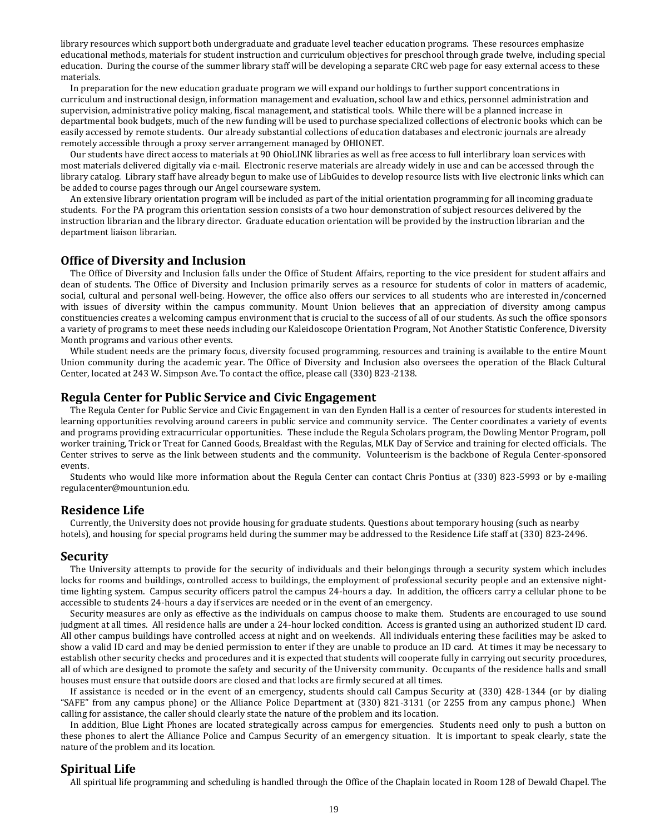library resources which support both undergraduate and graduate level teacher education programs. These resources emphasize educational methods, materials for student instruction and curriculum objectives for preschool through grade twelve, including special education. During the course of the summer library staff will be developing a separate CRC web page for easy external access to these materials.

In preparation for the new education graduate program we will expand our holdings to further support concentrations in curriculum and instructional design, information management and evaluation, school law and ethics, personnel administration and supervision, administrative policy making, fiscal management, and statistical tools. While there will be a planned increase in departmental book budgets, much of the new funding will be used to purchase specialized collections of electronic books which can be easily accessed by remote students. Our already substantial collections of education databases and electronic journals are already remotely accessible through a proxy server arrangement managed by OHIONET.

Our students have direct access to materials at 90 OhioLINK libraries as well as free access to full interlibrary loan services with most materials delivered digitally via e-mail. Electronic reserve materials are already widely in use and can be accessed through the library catalog. Library staff have already begun to make use of LibGuides to develop resource lists with live electronic links which can be added to course pages through our Angel courseware system.

An extensive library orientation program will be included as part of the initial orientation programming for all incoming graduate students. For the PA program this orientation session consists of a two hour demonstration of subject resources delivered by the instruction librarian and the library director. Graduate education orientation will be provided by the instruction librarian and the department liaison librarian.

# **Office of Diversity and Inclusion**

The Office of Diversity and Inclusion falls under the Office of Student Affairs, reporting to the vice president for student affairs and dean of students. The Office of Diversity and Inclusion primarily serves as a resource for students of color in matters of academic, social, cultural and personal well-being. However, the office also offers our services to all students who are interested in/concerned with issues of diversity within the campus community. Mount Union believes that an appreciation of diversity among campus constituencies creates a welcoming campus environment that is crucial to the success of all of our students. As such the office sponsors a variety of programs to meet these needs including our Kaleidoscope Orientation Program, Not Another Statistic Conference, Diversity Month programs and various other events.

While student needs are the primary focus, diversity focused programming, resources and training is available to the entire Mount Union community during the academic year. The Office of Diversity and Inclusion also oversees the operation of the Black Cultural Center, located at 243 W. Simpson Ave. To contact the office, please call (330) 823-2138.

### **Regula Center for Public Service and Civic Engagement**

The Regula Center for Public Service and Civic Engagement in van den Eynden Hall is a center of resources for students interested in learning opportunities revolving around careers in public service and community service. The Center coordinates a variety of events and programs providing extracurricular opportunities. These include the Regula Scholars program, the Dowling Mentor Program, poll worker training, Trick or Treat for Canned Goods, Breakfast with the Regulas, MLK Day of Service and training for elected officials. The Center strives to serve as the link between students and the community. Volunteerism is the backbone of Regula Center-sponsored events.

Students who would like more information about the Regula Center can contact Chris Pontius at (330) 823-5993 or by e-mailing regulacenter@mountunion.edu.

# **Residence Life**

Currently, the University does not provide housing for graduate students. Questions about temporary housing (such as nearby hotels), and housing for special programs held during the summer may be addressed to the Residence Life staff at (330) 823-2496.

### **Security**

The University attempts to provide for the security of individuals and their belongings through a security system which includes locks for rooms and buildings, controlled access to buildings, the employment of professional security people and an extensive nighttime lighting system. Campus security officers patrol the campus 24-hours a day. In addition, the officers carry a cellular phone to be accessible to students 24-hours a day if services are needed or in the event of an emergency.

Security measures are only as effective as the individuals on campus choose to make them. Students are encouraged to use sound judgment at all times. All residence halls are under a 24-hour locked condition. Access is granted using an authorized student ID card. All other campus buildings have controlled access at night and on weekends. All individuals entering these facilities may be asked to show a valid ID card and may be denied permission to enter if they are unable to produce an ID card. At times it may be necessary to establish other security checks and procedures and it is expected that students will cooperate fully in carrying out security procedures, all of which are designed to promote the safety and security of the University community. Occupants of the residence halls and small houses must ensure that outside doors are closed and that locks are firmly secured at all times.

If assistance is needed or in the event of an emergency, students should call Campus Security at (330) 428-1344 (or by dialing "SAFE" from any campus phone) or the Alliance Police Department at (330) 821-3131 (or 2255 from any campus phone.) When calling for assistance, the caller should clearly state the nature of the problem and its location.

In addition, Blue Light Phones are located strategically across campus for emergencies. Students need only to push a button on these phones to alert the Alliance Police and Campus Security of an emergency situation. It is important to speak clearly, state the nature of the problem and its location.

# **Spiritual Life**

All spiritual life programming and scheduling is handled through the Office of the Chaplain located in Room 128 of Dewald Chapel. The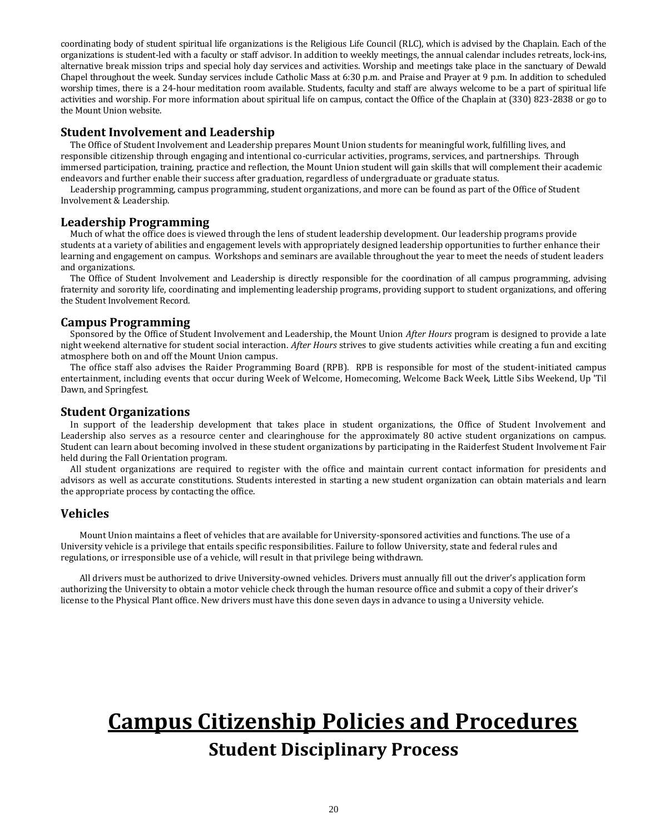coordinating body of student spiritual life organizations is the Religious Life Council (RLC), which is advised by the Chaplain. Each of the organizations is student-led with a faculty or staff advisor. In addition to weekly meetings, the annual calendar includes retreats, lock-ins, alternative break mission trips and special holy day services and activities. Worship and meetings take place in the sanctuary of Dewald Chapel throughout the week. Sunday services include Catholic Mass at 6:30 p.m. and Praise and Prayer at 9 p.m. In addition to scheduled worship times, there is a 24-hour meditation room available. Students, faculty and staff are always welcome to be a part of spiritual life activities and worship. For more information about spiritual life on campus, contact the Office of the Chaplain at (330) 823-2838 or go to the Mount Union website.

# **Student Involvement and Leadership**

The Office of Student Involvement and Leadership prepares Mount Union students for meaningful work, fulfilling lives, and responsible citizenship through engaging and intentional co-curricular activities, programs, services, and partnerships. Through immersed participation, training, practice and reflection, the Mount Union student will gain skills that will complement their academic endeavors and further enable their success after graduation, regardless of undergraduate or graduate status.

Leadership programming, campus programming, student organizations, and more can be found as part of the Office of Student Involvement & Leadership.

# **Leadership Programming**

Much of what the office does is viewed through the lens of student leadership development. Our leadership programs provide students at a variety of abilities and engagement levels with appropriately designed leadership opportunities to further enhance their learning and engagement on campus. Workshops and seminars are available throughout the year to meet the needs of student leaders and organizations.

The Office of Student Involvement and Leadership is directly responsible for the coordination of all campus programming, advising fraternity and sorority life, coordinating and implementing leadership programs, providing support to student organizations, and offering the Student Involvement Record.

# **Campus Programming**

Sponsored by the Office of Student Involvement and Leadership, the Mount Union *After Hours* program is designed to provide a late night weekend alternative for student social interaction. *After Hours* strives to give students activities while creating a fun and exciting atmosphere both on and off the Mount Union campus.

The office staff also advises the Raider Programming Board (RPB). RPB is responsible for most of the student-initiated campus entertainment, including events that occur during Week of Welcome, Homecoming, Welcome Back Week, Little Sibs Weekend, Up 'Til Dawn, and Springfest.

# **Student Organizations**

In support of the leadership development that takes place in student organizations, the Office of Student Involvement and Leadership also serves as a resource center and clearinghouse for the approximately 80 active student organizations on campus. Student can learn about becoming involved in these student organizations by participating in the Raiderfest Student Involvement Fair held during the Fall Orientation program.

All student organizations are required to register with the office and maintain current contact information for presidents and advisors as well as accurate constitutions. Students interested in starting a new student organization can obtain materials and learn the appropriate process by contacting the office.

# **Vehicles**

Mount Union maintains a fleet of vehicles that are available for University-sponsored activities and functions. The use of a University vehicle is a privilege that entails specific responsibilities. Failure to follow University, state and federal rules and regulations, or irresponsible use of a vehicle, will result in that privilege being withdrawn.

All drivers must be authorized to drive University-owned vehicles. Drivers must annually fill out the driver's application form authorizing the University to obtain a motor vehicle check through the human resource office and submit a copy of their driver's license to the Physical Plant office. New drivers must have this done seven days in advance to using a University vehicle.

# **Campus Citizenship Policies and Procedures Student Disciplinary Process**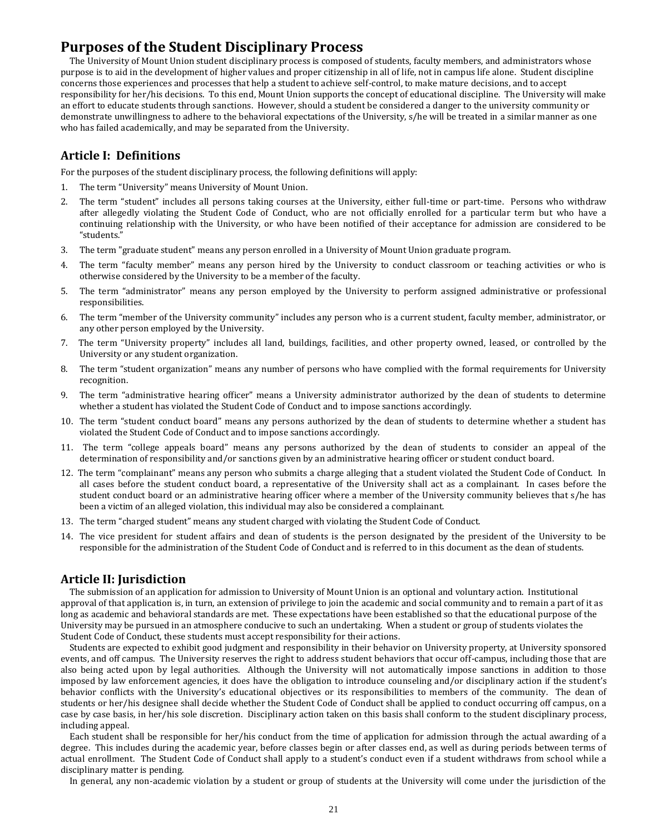# **Purposes of the Student Disciplinary Process**

The University of Mount Union student disciplinary process is composed of students, faculty members, and administrators whose purpose is to aid in the development of higher values and proper citizenship in all of life, not in campus life alone. Student discipline concerns those experiences and processes that help a student to achieve self-control, to make mature decisions, and to accept responsibility for her/his decisions. To this end, Mount Union supports the concept of educational discipline. The University will make an effort to educate students through sanctions. However, should a student be considered a danger to the university community or demonstrate unwillingness to adhere to the behavioral expectations of the University, s/he will be treated in a similar manner as one who has failed academically, and may be separated from the University.

# **Article I: Definitions**

For the purposes of the student disciplinary process, the following definitions will apply:

- 1. The term "University" means University of Mount Union.
- 2. The term "student" includes all persons taking courses at the University, either full-time or part-time. Persons who withdraw after allegedly violating the Student Code of Conduct, who are not officially enrolled for a particular term but who have a continuing relationship with the University, or who have been notified of their acceptance for admission are considered to be "students."
- 3. The term "graduate student" means any person enrolled in a University of Mount Union graduate program.
- 4. The term "faculty member" means any person hired by the University to conduct classroom or teaching activities or who is otherwise considered by the University to be a member of the faculty.
- 5. The term "administrator" means any person employed by the University to perform assigned administrative or professional responsibilities.
- 6. The term "member of the University community" includes any person who is a current student, faculty member, administrator, or any other person employed by the University.
- 7. The term "University property" includes all land, buildings, facilities, and other property owned, leased, or controlled by the University or any student organization.
- 8. The term "student organization" means any number of persons who have complied with the formal requirements for University recognition.
- 9. The term "administrative hearing officer" means a University administrator authorized by the dean of students to determine whether a student has violated the Student Code of Conduct and to impose sanctions accordingly.
- 10. The term "student conduct board" means any persons authorized by the dean of students to determine whether a student has violated the Student Code of Conduct and to impose sanctions accordingly.
- 11. The term "college appeals board" means any persons authorized by the dean of students to consider an appeal of the determination of responsibility and/or sanctions given by an administrative hearing officer or student conduct board.
- 12. The term "complainant" means any person who submits a charge alleging that a student violated the Student Code of Conduct. In all cases before the student conduct board, a representative of the University shall act as a complainant. In cases before the student conduct board or an administrative hearing officer where a member of the University community believes that s/he has been a victim of an alleged violation, this individual may also be considered a complainant.
- 13. The term "charged student" means any student charged with violating the Student Code of Conduct.
- 14. The vice president for student affairs and dean of students is the person designated by the president of the University to be responsible for the administration of the Student Code of Conduct and is referred to in this document as the dean of students.

# **Article II: Jurisdiction**

The submission of an application for admission to University of Mount Union is an optional and voluntary action. Institutional approval of that application is, in turn, an extension of privilege to join the academic and social community and to remain a part of it as long as academic and behavioral standards are met. These expectations have been established so that the educational purpose of the University may be pursued in an atmosphere conducive to such an undertaking. When a student or group of students violates the Student Code of Conduct, these students must accept responsibility for their actions.

Students are expected to exhibit good judgment and responsibility in their behavior on University property, at University sponsored events, and off campus. The University reserves the right to address student behaviors that occur off-campus, including those that are also being acted upon by legal authorities. Although the University will not automatically impose sanctions in addition to those imposed by law enforcement agencies, it does have the obligation to introduce counseling and/or disciplinary action if the student's behavior conflicts with the University's educational objectives or its responsibilities to members of the community. The dean of students or her/his designee shall decide whether the Student Code of Conduct shall be applied to conduct occurring off campus, on a case by case basis, in her/his sole discretion. Disciplinary action taken on this basis shall conform to the student disciplinary process, including appeal.

Each student shall be responsible for her/his conduct from the time of application for admission through the actual awarding of a degree. This includes during the academic year, before classes begin or after classes end, as well as during periods between terms of actual enrollment. The Student Code of Conduct shall apply to a student's conduct even if a student withdraws from school while a disciplinary matter is pending.

In general, any non-academic violation by a student or group of students at the University will come under the jurisdiction of the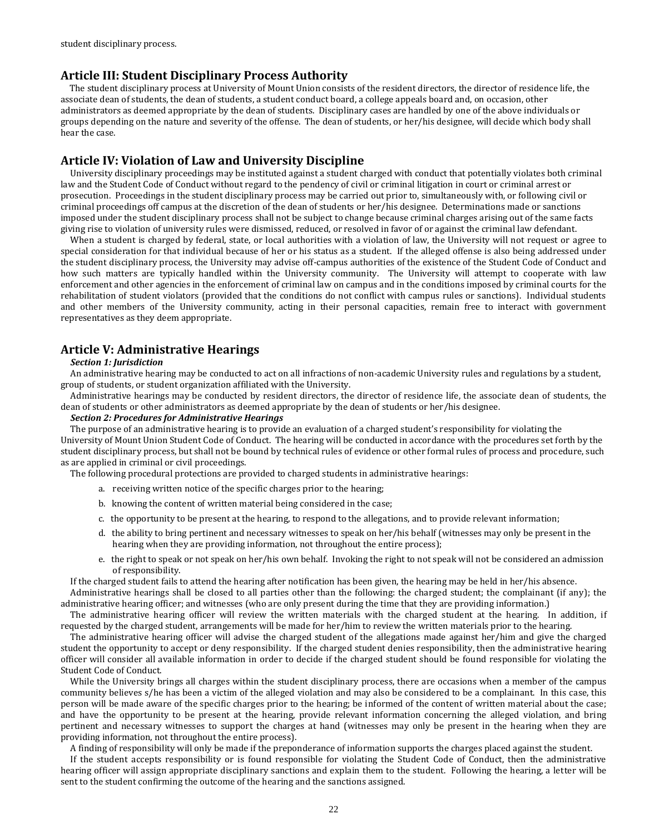# **Article III: Student Disciplinary Process Authority**

The student disciplinary process at University of Mount Union consists of the resident directors, the director of residence life, the associate dean of students, the dean of students, a student conduct board, a college appeals board and, on occasion, other administrators as deemed appropriate by the dean of students. Disciplinary cases are handled by one of the above individuals or groups depending on the nature and severity of the offense. The dean of students, or her/his designee, will decide which body shall hear the case.

# **Article IV: Violation of Law and University Discipline**

University disciplinary proceedings may be instituted against a student charged with conduct that potentially violates both criminal law and the Student Code of Conduct without regard to the pendency of civil or criminal litigation in court or criminal arrest or prosecution. Proceedings in the student disciplinary process may be carried out prior to, simultaneously with, or following civil or criminal proceedings off campus at the discretion of the dean of students or her/his designee. Determinations made or sanctions imposed under the student disciplinary process shall not be subject to change because criminal charges arising out of the same facts giving rise to violation of university rules were dismissed, reduced, or resolved in favor of or against the criminal law defendant.

When a student is charged by federal, state, or local authorities with a violation of law, the University will not request or agree to special consideration for that individual because of her or his status as a student. If the alleged offense is also being addressed under the student disciplinary process, the University may advise off-campus authorities of the existence of the Student Code of Conduct and how such matters are typically handled within the University community. The University will attempt to cooperate with law enforcement and other agencies in the enforcement of criminal law on campus and in the conditions imposed by criminal courts for the rehabilitation of student violators (provided that the conditions do not conflict with campus rules or sanctions). Individual students and other members of the University community, acting in their personal capacities, remain free to interact with government representatives as they deem appropriate.

# **Article V: Administrative Hearings**

#### *Section 1: Jurisdiction*

An administrative hearing may be conducted to act on all infractions of non-academic University rules and regulations by a student, group of students, or student organization affiliated with the University.

Administrative hearings may be conducted by resident directors, the director of residence life, the associate dean of students, the dean of students or other administrators as deemed appropriate by the dean of students or her/his designee.

# *Section 2: Procedures for Administrative Hearings*

The purpose of an administrative hearing is to provide an evaluation of a charged student's responsibility for violating the University of Mount Union Student Code of Conduct. The hearing will be conducted in accordance with the procedures set forth by the student disciplinary process, but shall not be bound by technical rules of evidence or other formal rules of process and procedure, such as are applied in criminal or civil proceedings.

The following procedural protections are provided to charged students in administrative hearings:

- a. receiving written notice of the specific charges prior to the hearing;
- b. knowing the content of written material being considered in the case;
- c. the opportunity to be present at the hearing, to respond to the allegations, and to provide relevant information;
- d. the ability to bring pertinent and necessary witnesses to speak on her/his behalf (witnesses may only be present in the hearing when they are providing information, not throughout the entire process);
- e. the right to speak or not speak on her/his own behalf. Invoking the right to not speak will not be considered an admission of responsibility.

If the charged student fails to attend the hearing after notification has been given, the hearing may be held in her/his absence.

Administrative hearings shall be closed to all parties other than the following: the charged student; the complainant (if any); the administrative hearing officer; and witnesses (who are only present during the time that they are providing information.)

The administrative hearing officer will review the written materials with the charged student at the hearing. In addition, if requested by the charged student, arrangements will be made for her/him to review the written materials prior to the hearing.

The administrative hearing officer will advise the charged student of the allegations made against her/him and give the charged student the opportunity to accept or deny responsibility. If the charged student denies responsibility, then the administrative hearing officer will consider all available information in order to decide if the charged student should be found responsible for violating the Student Code of Conduct.

While the University brings all charges within the student disciplinary process, there are occasions when a member of the campus community believes s/he has been a victim of the alleged violation and may also be considered to be a complainant. In this case, this person will be made aware of the specific charges prior to the hearing; be informed of the content of written material about the case; and have the opportunity to be present at the hearing, provide relevant information concerning the alleged violation, and bring pertinent and necessary witnesses to support the charges at hand (witnesses may only be present in the hearing when they are providing information, not throughout the entire process).

A finding of responsibility will only be made if the preponderance of information supports the charges placed against the student.

If the student accepts responsibility or is found responsible for violating the Student Code of Conduct, then the administrative hearing officer will assign appropriate disciplinary sanctions and explain them to the student. Following the hearing, a letter will be sent to the student confirming the outcome of the hearing and the sanctions assigned.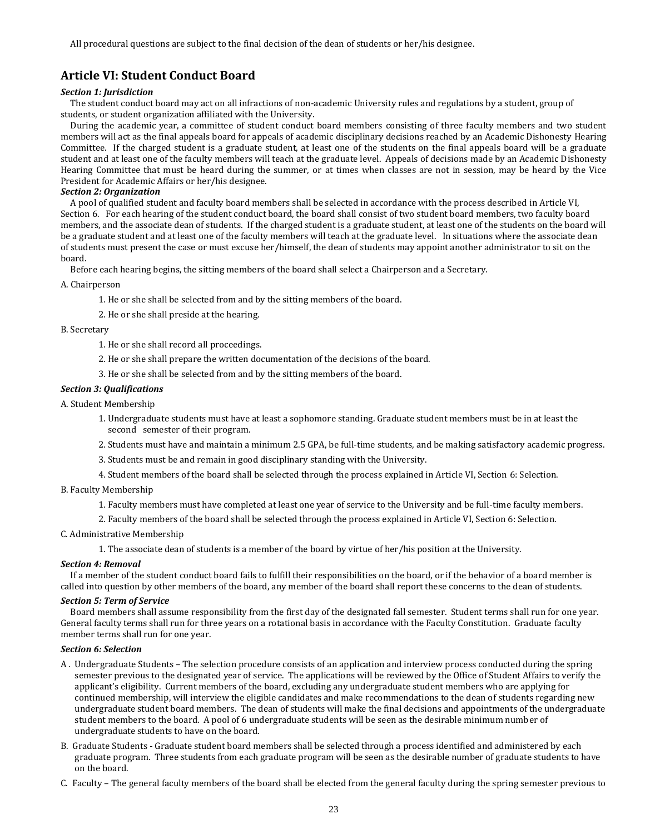# **Article VI: Student Conduct Board**

#### *Section 1: Jurisdiction*

The student conduct board may act on all infractions of non-academic University rules and regulations by a student, group of students, or student organization affiliated with the University.

During the academic year, a committee of student conduct board members consisting of three faculty members and two student members will act as the final appeals board for appeals of academic disciplinary decisions reached by an Academic Dishonesty Hearing Committee. If the charged student is a graduate student, at least one of the students on the final appeals board will be a graduate student and at least one of the faculty members will teach at the graduate level. Appeals of decisions made by an Academic Dishonesty Hearing Committee that must be heard during the summer, or at times when classes are not in session, may be heard by the Vice President for Academic Affairs or her/his designee.

#### *Section 2: Organization*

A pool of qualified student and faculty board members shall be selected in accordance with the process described in Article VI, Section 6. For each hearing of the student conduct board, the board shall consist of two student board members, two faculty board members, and the associate dean of students. If the charged student is a graduate student, at least one of the students on the board will be a graduate student and at least one of the faculty members will teach at the graduate level. In situations where the associate dean of students must present the case or must excuse her/himself, the dean of students may appoint another administrator to sit on the board.

Before each hearing begins, the sitting members of the board shall select a Chairperson and a Secretary.

A. Chairperson

1. He or she shall be selected from and by the sitting members of the board.

2. He or she shall preside at the hearing.

#### B. Secretary

1. He or she shall record all proceedings.

- 2. He or she shall prepare the written documentation of the decisions of the board.
- 3. He or she shall be selected from and by the sitting members of the board.

#### *Section 3: Qualifications*

A. Student Membership

- 1. Undergraduate students must have at least a sophomore standing. Graduate student members must be in at least the second semester of their program.
- 2. Students must have and maintain a minimum 2.5 GPA, be full-time students, and be making satisfactory academic progress.
- 3. Students must be and remain in good disciplinary standing with the University.
- 4. Student members of the board shall be selected through the process explained in Article VI, Section 6: Selection.

#### B. Faculty Membership

- 1. Faculty members must have completed at least one year of service to the University and be full-time faculty members.
- 2. Faculty members of the board shall be selected through the process explained in Article VI, Section 6: Selection.

#### C. Administrative Membership

1. The associate dean of students is a member of the board by virtue of her/his position at the University.

#### *Section 4: Removal*

If a member of the student conduct board fails to fulfill their responsibilities on the board, or if the behavior of a board member is called into question by other members of the board, any member of the board shall report these concerns to the dean of students.

#### *Section 5: Term of Service*

Board members shall assume responsibility from the first day of the designated fall semester. Student terms shall run for one year. General faculty terms shall run for three years on a rotational basis in accordance with the Faculty Constitution. Graduate faculty member terms shall run for one year.

#### *Section 6: Selection*

- A . Undergraduate Students The selection procedure consists of an application and interview process conducted during the spring semester previous to the designated year of service. The applications will be reviewed by the Office of Student Affairs to verify the applicant's eligibility. Current members of the board, excluding any undergraduate student members who are applying for continued membership, will interview the eligible candidates and make recommendations to the dean of students regarding new undergraduate student board members. The dean of students will make the final decisions and appointments of the undergraduate student members to the board. A pool of 6 undergraduate students will be seen as the desirable minimum number of undergraduate students to have on the board.
- B. Graduate Students Graduate student board members shall be selected through a process identified and administered by each graduate program. Three students from each graduate program will be seen as the desirable number of graduate students to have on the board.
- C. Faculty The general faculty members of the board shall be elected from the general faculty during the spring semester previous to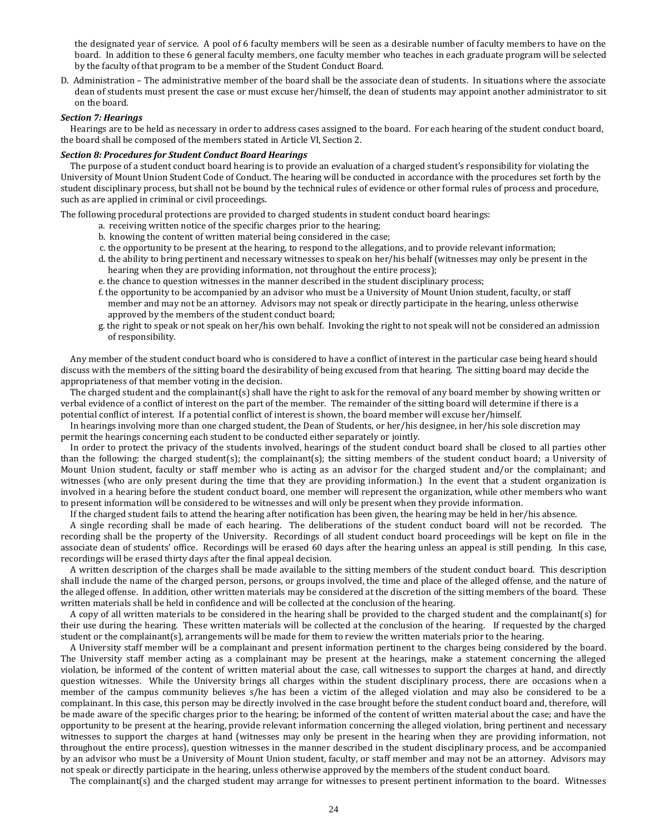the designated year of service. A pool of 6 faculty members will be seen as a desirable number of faculty members to have on the board. In addition to these 6 general faculty members, one faculty member who teaches in each graduate program will be selected by the faculty of that program to be a member of the Student Conduct Board.

D. Administration – The administrative member of the board shall be the associate dean of students. In situations where the associate dean of students must present the case or must excuse her/himself, the dean of students may appoint another administrator to sit on the board.

### *Section 7: Hearings*

Hearings are to be held as necessary in order to address cases assigned to the board. For each hearing of the student conduct board, the board shall be composed of the members stated in Article VI, Section 2.

#### *Section 8: Procedures for Student Conduct Board Hearings*

The purpose of a student conduct board hearing is to provide an evaluation of a charged student's responsibility for violating the University of Mount Union Student Code of Conduct. The hearing will be conducted in accordance with the procedures set forth by the student disciplinary process, but shall not be bound by the technical rules of evidence or other formal rules of process and procedure, such as are applied in criminal or civil proceedings.

The following procedural protections are provided to charged students in student conduct board hearings:

- a. receiving written notice of the specific charges prior to the hearing;
- b. knowing the content of written material being considered in the case;
- c. the opportunity to be present at the hearing, to respond to the allegations, and to provide relevant information;
- d. the ability to bring pertinent and necessary witnesses to speak on her/his behalf (witnesses may only be present in the hearing when they are providing information, not throughout the entire process);
- e. the chance to question witnesses in the manner described in the student disciplinary process;
- f. the opportunity to be accompanied by an advisor who must be a University of Mount Union student, faculty, or staff member and may not be an attorney. Advisors may not speak or directly participate in the hearing, unless otherwise approved by the members of the student conduct board;
- g. the right to speak or not speak on her/his own behalf. Invoking the right to not speak will not be considered an admission of responsibility.

Any member of the student conduct board who is considered to have a conflict of interest in the particular case being heard should discuss with the members of the sitting board the desirability of being excused from that hearing. The sitting board may decide the appropriateness of that member voting in the decision.

The charged student and the complainant(s) shall have the right to ask for the removal of any board member by showing written or verbal evidence of a conflict of interest on the part of the member. The remainder of the sitting board will determine if there is a potential conflict of interest. If a potential conflict of interest is shown, the board member will excuse her/himself.

In hearings involving more than one charged student, the Dean of Students, or her/his designee, in her/his sole discretion may permit the hearings concerning each student to be conducted either separately or jointly.

In order to protect the privacy of the students involved, hearings of the student conduct board shall be closed to all parties other than the following: the charged student(s); the complainant(s); the sitting members of the student conduct board; a University of Mount Union student, faculty or staff member who is acting as an advisor for the charged student and/or the complainant; and witnesses (who are only present during the time that they are providing information.) In the event that a student organization is involved in a hearing before the student conduct board, one member will represent the organization, while other members who want to present information will be considered to be witnesses and will only be present when they provide information.

If the charged student fails to attend the hearing after notification has been given, the hearing may be held in her/his absence.

A single recording shall be made of each hearing. The deliberations of the student conduct board will not be recorded. The recording shall be the property of the University. Recordings of all student conduct board proceedings will be kept on file in the associate dean of students' office. Recordings will be erased 60 days after the hearing unless an appeal is still pending. In this case, recordings will be erased thirty days after the final appeal decision.

A written description of the charges shall be made available to the sitting members of the student conduct board. This description shall include the name of the charged person, persons, or groups involved, the time and place of the alleged offense, and the nature of the alleged offense. In addition, other written materials may be considered at the discretion of the sitting members of the board. These written materials shall be held in confidence and will be collected at the conclusion of the hearing.

A copy of all written materials to be considered in the hearing shall be provided to the charged student and the complainant(s) for their use during the hearing. These written materials will be collected at the conclusion of the hearing. If requested by the charged student or the complainant(s), arrangements will be made for them to review the written materials prior to the hearing.

A University staff member will be a complainant and present information pertinent to the charges being considered by the board. The University staff member acting as a complainant may be present at the hearings, make a statement concerning the alleged violation, be informed of the content of written material about the case, call witnesses to support the charges at hand, and directly question witnesses. While the University brings all charges within the student disciplinary process, there are occasions when a member of the campus community believes s/he has been a victim of the alleged violation and may also be considered to be a complainant. In this case, this person may be directly involved in the case brought before the student conduct board and, therefore, will be made aware of the specific charges prior to the hearing; be informed of the content of written material about the case; and have the opportunity to be present at the hearing, provide relevant information concerning the alleged violation, bring pertinent and necessary witnesses to support the charges at hand (witnesses may only be present in the hearing when they are providing information, not throughout the entire process), question witnesses in the manner described in the student disciplinary process, and be accompanied by an advisor who must be a University of Mount Union student, faculty, or staff member and may not be an attorney. Advisors may not speak or directly participate in the hearing, unless otherwise approved by the members of the student conduct board.

The complainant(s) and the charged student may arrange for witnesses to present pertinent information to the board. Witnesses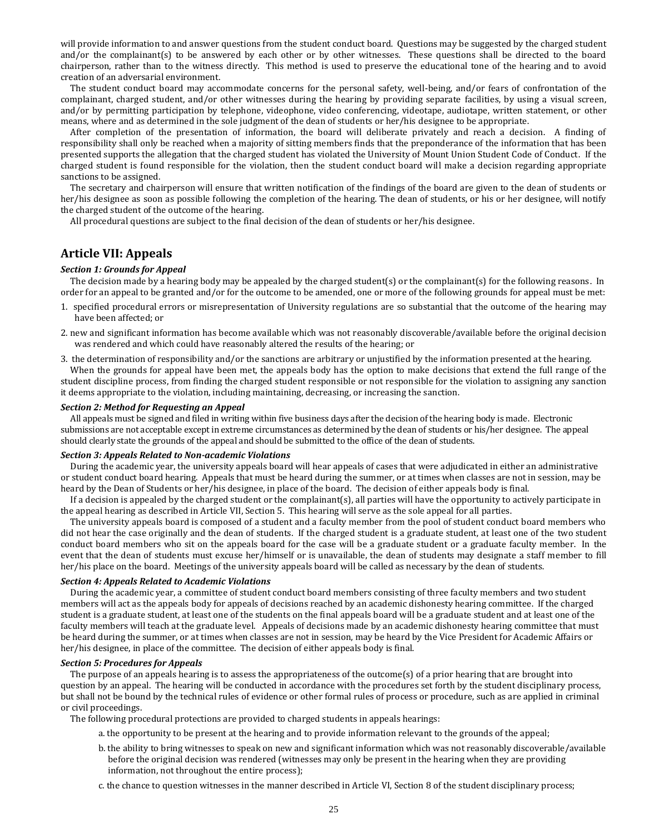will provide information to and answer questions from the student conduct board. Questions may be suggested by the charged student and/or the complainant(s) to be answered by each other or by other witnesses. These questions shall be directed to the board chairperson, rather than to the witness directly. This method is used to preserve the educational tone of the hearing and to avoid creation of an adversarial environment.

The student conduct board may accommodate concerns for the personal safety, well-being, and/or fears of confrontation of the complainant, charged student, and/or other witnesses during the hearing by providing separate facilities, by using a visual screen, and/or by permitting participation by telephone, videophone, video conferencing, videotape, audiotape, written statement, or other means, where and as determined in the sole judgment of the dean of students or her/his designee to be appropriate.

After completion of the presentation of information, the board will deliberate privately and reach a decision. A finding of responsibility shall only be reached when a majority of sitting members finds that the preponderance of the information that has been presented supports the allegation that the charged student has violated the University of Mount Union Student Code of Conduct. If the charged student is found responsible for the violation, then the student conduct board will make a decision regarding appropriate sanctions to be assigned.

The secretary and chairperson will ensure that written notification of the findings of the board are given to the dean of students or her/his designee as soon as possible following the completion of the hearing. The dean of students, or his or her designee, will notify the charged student of the outcome of the hearing.

All procedural questions are subject to the final decision of the dean of students or her/his designee.

# **Article VII: Appeals**

#### *Section 1: Grounds for Appeal*

The decision made by a hearing body may be appealed by the charged student(s) or the complainant(s) for the following reasons. In order for an appeal to be granted and/or for the outcome to be amended, one or more of the following grounds for appeal must be met:

- 1. specified procedural errors or misrepresentation of University regulations are so substantial that the outcome of the hearing may have been affected; or
- 2. new and significant information has become available which was not reasonably discoverable/available before the original decision was rendered and which could have reasonably altered the results of the hearing; or
- 3. the determination of responsibility and/or the sanctions are arbitrary or unjustified by the information presented at the hearing.

When the grounds for appeal have been met, the appeals body has the option to make decisions that extend the full range of the student discipline process, from finding the charged student responsible or not responsible for the violation to assigning any sanction it deems appropriate to the violation, including maintaining, decreasing, or increasing the sanction.

#### *Section 2: Method for Requesting an Appeal*

All appeals must be signed and filed in writing within five business days after the decision of the hearing body is made. Electronic submissions are not acceptable except in extreme circumstances as determined by the dean of students or his/her designee. The appeal should clearly state the grounds of the appeal and should be submitted to the office of the dean of students.

#### *Section 3: Appeals Related to Non-academic Violations*

During the academic year, the university appeals board will hear appeals of cases that were adjudicated in either an administrative or student conduct board hearing. Appeals that must be heard during the summer, or at times when classes are not in session, may be heard by the Dean of Students or her/his designee, in place of the board. The decision of either appeals body is final.

If a decision is appealed by the charged student or the complainant(s), all parties will have the opportunity to actively participate in the appeal hearing as described in Article VII, Section 5. This hearing will serve as the sole appeal for all parties.

The university appeals board is composed of a student and a faculty member from the pool of student conduct board members who did not hear the case originally and the dean of students. If the charged student is a graduate student, at least one of the two student conduct board members who sit on the appeals board for the case will be a graduate student or a graduate faculty member. In the event that the dean of students must excuse her/himself or is unavailable, the dean of students may designate a staff member to fill her/his place on the board. Meetings of the university appeals board will be called as necessary by the dean of students.

#### *Section 4: Appeals Related to Academic Violations*

During the academic year, a committee of student conduct board members consisting of three faculty members and two student members will act as the appeals body for appeals of decisions reached by an academic dishonesty hearing committee. If the charged student is a graduate student, at least one of the students on the final appeals board will be a graduate student and at least one of the faculty members will teach at the graduate level. Appeals of decisions made by an academic dishonesty hearing committee that must be heard during the summer, or at times when classes are not in session, may be heard by the Vice President for Academic Affairs or her/his designee, in place of the committee. The decision of either appeals body is final.

#### *Section 5: Procedures for Appeals*

The purpose of an appeals hearing is to assess the appropriateness of the outcome(s) of a prior hearing that are brought into question by an appeal. The hearing will be conducted in accordance with the procedures set forth by the student disciplinary process, but shall not be bound by the technical rules of evidence or other formal rules of process or procedure, such as are applied in criminal or civil proceedings.

The following procedural protections are provided to charged students in appeals hearings:

- a. the opportunity to be present at the hearing and to provide information relevant to the grounds of the appeal;
- b. the ability to bring witnesses to speak on new and significant information which was not reasonably discoverable/available before the original decision was rendered (witnesses may only be present in the hearing when they are providing information, not throughout the entire process);
- c. the chance to question witnesses in the manner described in Article VI, Section 8 of the student disciplinary process;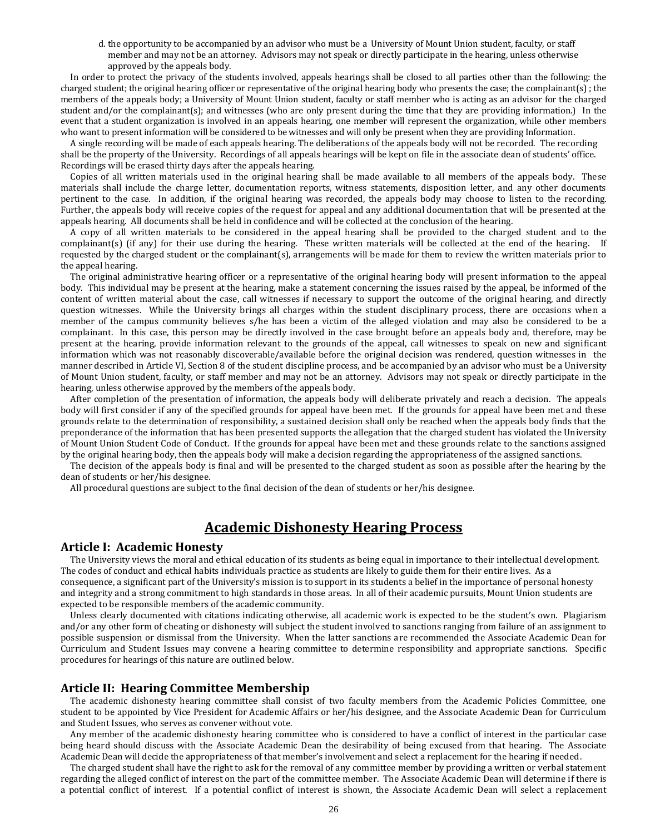d. the opportunity to be accompanied by an advisor who must be a University of Mount Union student, faculty, or staff member and may not be an attorney. Advisors may not speak or directly participate in the hearing, unless otherwise approved by the appeals body.

In order to protect the privacy of the students involved, appeals hearings shall be closed to all parties other than the following: the charged student; the original hearing officer or representative of the original hearing body who presents the case; the complainant(s) ; the members of the appeals body; a University of Mount Union student, faculty or staff member who is acting as an advisor for the charged student and/or the complainant(s); and witnesses (who are only present during the time that they are providing information.) In the event that a student organization is involved in an appeals hearing, one member will represent the organization, while other members who want to present information will be considered to be witnesses and will only be present when they are providing Information.

A single recording will be made of each appeals hearing. The deliberations of the appeals body will not be recorded. The recording shall be the property of the University. Recordings of all appeals hearings will be kept on file in the associate dean of students' office. Recordings will be erased thirty days after the appeals hearing.

Copies of all written materials used in the original hearing shall be made available to all members of the appeals body. These materials shall include the charge letter, documentation reports, witness statements, disposition letter, and any other documents pertinent to the case. In addition, if the original hearing was recorded, the appeals body may choose to listen to the recording. Further, the appeals body will receive copies of the request for appeal and any additional documentation that will be presented at the appeals hearing. All documents shall be held in confidence and will be collected at the conclusion of the hearing.

A copy of all written materials to be considered in the appeal hearing shall be provided to the charged student and to the complainant(s) (if any) for their use during the hearing. These written materials will be collected at the end of the hearing. If requested by the charged student or the complainant(s), arrangements will be made for them to review the written materials prior to the appeal hearing.

The original administrative hearing officer or a representative of the original hearing body will present information to the appeal body. This individual may be present at the hearing, make a statement concerning the issues raised by the appeal, be informed of the content of written material about the case, call witnesses if necessary to support the outcome of the original hearing, and directly question witnesses. While the University brings all charges within the student disciplinary process, there are occasions when a member of the campus community believes s/he has been a victim of the alleged violation and may also be considered to be a complainant. In this case, this person may be directly involved in the case brought before an appeals body and, therefore, may be present at the hearing, provide information relevant to the grounds of the appeal, call witnesses to speak on new and significant information which was not reasonably discoverable/available before the original decision was rendered, question witnesses in the manner described in Article VI, Section 8 of the student discipline process, and be accompanied by an advisor who must be a University of Mount Union student, faculty, or staff member and may not be an attorney. Advisors may not speak or directly participate in the hearing, unless otherwise approved by the members of the appeals body.

After completion of the presentation of information, the appeals body will deliberate privately and reach a decision. The appeals body will first consider if any of the specified grounds for appeal have been met. If the grounds for appeal have been met and these grounds relate to the determination of responsibility, a sustained decision shall only be reached when the appeals body finds that the preponderance of the information that has been presented supports the allegation that the charged student has violated the University of Mount Union Student Code of Conduct. If the grounds for appeal have been met and these grounds relate to the sanctions assigned by the original hearing body, then the appeals body will make a decision regarding the appropriateness of the assigned sanctions.

The decision of the appeals body is final and will be presented to the charged student as soon as possible after the hearing by the dean of students or her/his designee.

All procedural questions are subject to the final decision of the dean of students or her/his designee.

# **Academic Dishonesty Hearing Process**

### **Article I: Academic Honesty**

The University views the moral and ethical education of its students as being equal in importance to their intellectual development. The codes of conduct and ethical habits individuals practice as students are likely to guide them for their entire lives. As a consequence, a significant part of the University's mission is to support in its students a belief in the importance of personal honesty and integrity and a strong commitment to high standards in those areas. In all of their academic pursuits, Mount Union students are expected to be responsible members of the academic community.

Unless clearly documented with citations indicating otherwise, all academic work is expected to be the student's own. Plagiarism and/or any other form of cheating or dishonesty will subject the student involved to sanctions ranging from failure of an assignment to possible suspension or dismissal from the University. When the latter sanctions are recommended the Associate Academic Dean for Curriculum and Student Issues may convene a hearing committee to determine responsibility and appropriate sanctions. Specific procedures for hearings of this nature are outlined below.

### **Article II: Hearing Committee Membership**

The academic dishonesty hearing committee shall consist of two faculty members from the Academic Policies Committee, one student to be appointed by Vice President for Academic Affairs or her/his designee, and the Associate Academic Dean for Curriculum and Student Issues, who serves as convener without vote.

Any member of the academic dishonesty hearing committee who is considered to have a conflict of interest in the particular case being heard should discuss with the Associate Academic Dean the desirability of being excused from that hearing. The Associate Academic Dean will decide the appropriateness of that member's involvement and select a replacement for the hearing if needed.

The charged student shall have the right to ask for the removal of any committee member by providing a written or verbal statement regarding the alleged conflict of interest on the part of the committee member. The Associate Academic Dean will determine if there is a potential conflict of interest. If a potential conflict of interest is shown, the Associate Academic Dean will select a replacement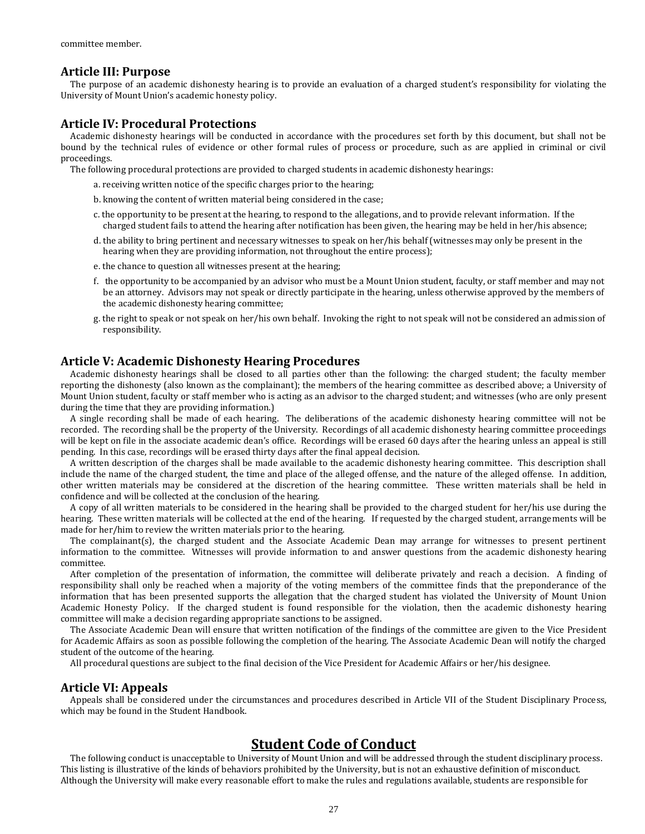# **Article III: Purpose**

The purpose of an academic dishonesty hearing is to provide an evaluation of a charged student's responsibility for violating the University of Mount Union's academic honesty policy.

# **Article IV: Procedural Protections**

Academic dishonesty hearings will be conducted in accordance with the procedures set forth by this document, but shall not be bound by the technical rules of evidence or other formal rules of process or procedure, such as are applied in criminal or civil proceedings.

The following procedural protections are provided to charged students in academic dishonesty hearings:

- a. receiving written notice of the specific charges prior to the hearing;
- b. knowing the content of written material being considered in the case;
- c. the opportunity to be present at the hearing, to respond to the allegations, and to provide relevant information. If the charged student fails to attend the hearing after notification has been given, the hearing may be held in her/his absence;
- d. the ability to bring pertinent and necessary witnesses to speak on her/his behalf (witnesses may only be present in the hearing when they are providing information, not throughout the entire process);
- e. the chance to question all witnesses present at the hearing;
- f. the opportunity to be accompanied by an advisor who must be a Mount Union student, faculty, or staff member and may not be an attorney. Advisors may not speak or directly participate in the hearing, unless otherwise approved by the members of the academic dishonesty hearing committee;
- g. the right to speak or not speak on her/his own behalf. Invoking the right to not speak will not be considered an admission of responsibility.

# **Article V: Academic Dishonesty Hearing Procedures**

Academic dishonesty hearings shall be closed to all parties other than the following: the charged student; the faculty member reporting the dishonesty (also known as the complainant); the members of the hearing committee as described above; a University of Mount Union student, faculty or staff member who is acting as an advisor to the charged student; and witnesses (who are only present during the time that they are providing information.)

A single recording shall be made of each hearing. The deliberations of the academic dishonesty hearing committee will not be recorded. The recording shall be the property of the University. Recordings of all academic dishonesty hearing committee proceedings will be kept on file in the associate academic dean's office. Recordings will be erased 60 days after the hearing unless an appeal is still pending. In this case, recordings will be erased thirty days after the final appeal decision.

A written description of the charges shall be made available to the academic dishonesty hearing committee. This description shall include the name of the charged student, the time and place of the alleged offense, and the nature of the alleged offense. In addition, other written materials may be considered at the discretion of the hearing committee. These written materials shall be held in confidence and will be collected at the conclusion of the hearing.

A copy of all written materials to be considered in the hearing shall be provided to the charged student for her/his use during the hearing. These written materials will be collected at the end of the hearing. If requested by the charged student, arrangements will be made for her/him to review the written materials prior to the hearing.

The complainant(s), the charged student and the Associate Academic Dean may arrange for witnesses to present pertinent information to the committee. Witnesses will provide information to and answer questions from the academic dishonesty hearing committee.

After completion of the presentation of information, the committee will deliberate privately and reach a decision. A finding of responsibility shall only be reached when a majority of the voting members of the committee finds that the preponderance of the information that has been presented supports the allegation that the charged student has violated the University of Mount Union Academic Honesty Policy. If the charged student is found responsible for the violation, then the academic dishonesty hearing committee will make a decision regarding appropriate sanctions to be assigned.

The Associate Academic Dean will ensure that written notification of the findings of the committee are given to the Vice President for Academic Affairs as soon as possible following the completion of the hearing. The Associate Academic Dean will notify the charged student of the outcome of the hearing.

All procedural questions are subject to the final decision of the Vice President for Academic Affairs or her/his designee.

### **Article VI: Appeals**

Appeals shall be considered under the circumstances and procedures described in Article VII of the Student Disciplinary Process, which may be found in the Student Handbook.

# **Student Code of Conduct**

The following conduct is unacceptable to University of Mount Union and will be addressed through the student disciplinary process. This listing is illustrative of the kinds of behaviors prohibited by the University, but is not an exhaustive definition of misconduct. Although the University will make every reasonable effort to make the rules and regulations available, students are responsible for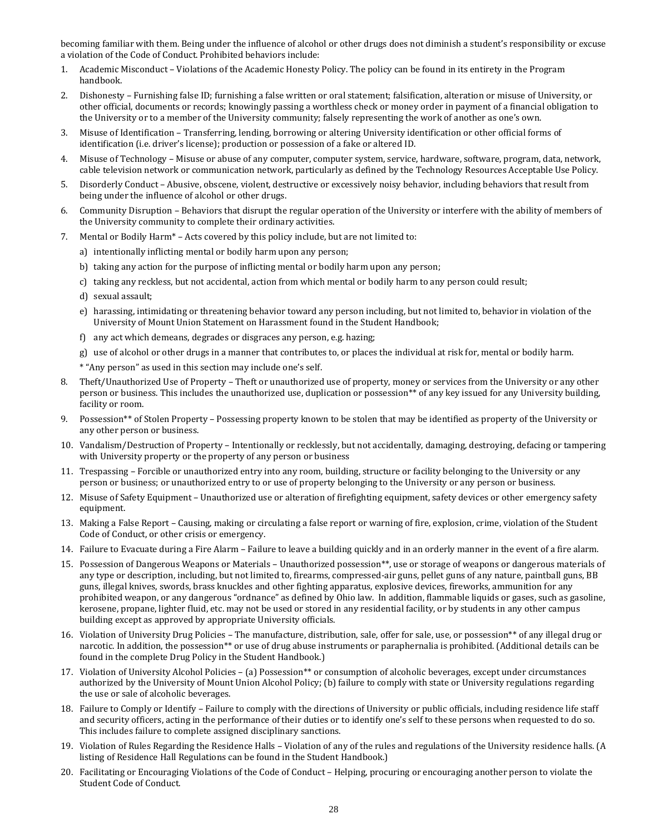becoming familiar with them. Being under the influence of alcohol or other drugs does not diminish a student's responsibility or excuse a violation of the Code of Conduct. Prohibited behaviors include:

- 1. Academic Misconduct Violations of the Academic Honesty Policy. The policy can be found in its entirety in the Program handbook.
- 2. Dishonesty Furnishing false ID; furnishing a false written or oral statement; falsification, alteration or misuse of University, or other official, documents or records; knowingly passing a worthless check or money order in payment of a financial obligation to the University or to a member of the University community; falsely representing the work of another as one's own.
- 3. Misuse of Identification Transferring, lending, borrowing or altering University identification or other official forms of identification (i.e. driver's license); production or possession of a fake or altered ID.
- 4. Misuse of Technology Misuse or abuse of any computer, computer system, service, hardware, software, program, data, network, cable television network or communication network, particularly as defined by the Technology Resources Acceptable Use Policy.
- 5. Disorderly Conduct Abusive, obscene, violent, destructive or excessively noisy behavior, including behaviors that result from being under the influence of alcohol or other drugs.
- 6. Community Disruption Behaviors that disrupt the regular operation of the University or interfere with the ability of members of the University community to complete their ordinary activities.
- 7. Mental or Bodily Harm\* Acts covered by this policy include, but are not limited to:
	- a) intentionally inflicting mental or bodily harm upon any person;
	- b) taking any action for the purpose of inflicting mental or bodily harm upon any person;
	- c) taking any reckless, but not accidental, action from which mental or bodily harm to any person could result;
	- d) sexual assault;
	- e) harassing, intimidating or threatening behavior toward any person including, but not limited to, behavior in violation of the University of Mount Union Statement on Harassment found in the Student Handbook;
	- f) any act which demeans, degrades or disgraces any person, e.g. hazing;
	- g) use of alcohol or other drugs in a manner that contributes to, or places the individual at risk for, mental or bodily harm.
	- \* "Any person" as used in this section may include one's self.
- 8. Theft/Unauthorized Use of Property Theft or unauthorized use of property, money or services from the University or any other person or business. This includes the unauthorized use, duplication or possession\*\* of any key issued for any University building, facility or room.
- 9. Possession\*\* of Stolen Property Possessing property known to be stolen that may be identified as property of the University or any other person or business.
- 10. Vandalism/Destruction of Property Intentionally or recklessly, but not accidentally, damaging, destroying, defacing or tampering with University property or the property of any person or business
- 11. Trespassing Forcible or unauthorized entry into any room, building, structure or facility belonging to the University or any person or business; or unauthorized entry to or use of property belonging to the University or any person or business.
- 12. Misuse of Safety Equipment Unauthorized use or alteration of firefighting equipment, safety devices or other emergency safety equipment.
- 13. Making a False Report Causing, making or circulating a false report or warning of fire, explosion, crime, violation of the Student Code of Conduct, or other crisis or emergency.
- 14. Failure to Evacuate during a Fire Alarm Failure to leave a building quickly and in an orderly manner in the event of a fire alarm.
- 15. Possession of Dangerous Weapons or Materials Unauthorized possession\*\*, use or storage of weapons or dangerous materials of any type or description, including, but not limited to, firearms, compressed-air guns, pellet guns of any nature, paintball guns, BB guns, illegal knives, swords, brass knuckles and other fighting apparatus, explosive devices, fireworks, ammunition for any prohibited weapon, or any dangerous "ordnance" as defined by Ohio law. In addition, flammable liquids or gases, such as gasoline, kerosene, propane, lighter fluid, etc. may not be used or stored in any residential facility, or by students in any other campus building except as approved by appropriate University officials.
- 16. Violation of University Drug Policies The manufacture, distribution, sale, offer for sale, use, or possession\*\* of any illegal drug or narcotic. In addition, the possession\*\* or use of drug abuse instruments or paraphernalia is prohibited. (Additional details can be found in the complete Drug Policy in the Student Handbook.)
- 17. Violation of University Alcohol Policies (a) Possession\*\* or consumption of alcoholic beverages, except under circumstances authorized by the University of Mount Union Alcohol Policy; (b) failure to comply with state or University regulations regarding the use or sale of alcoholic beverages.
- 18. Failure to Comply or Identify Failure to comply with the directions of University or public officials, including residence life staff and security officers, acting in the performance of their duties or to identify one's self to these persons when requested to do so. This includes failure to complete assigned disciplinary sanctions.
- 19. Violation of Rules Regarding the Residence Halls Violation of any of the rules and regulations of the University residence halls. (A listing of Residence Hall Regulations can be found in the Student Handbook.)
- 20. Facilitating or Encouraging Violations of the Code of Conduct Helping, procuring or encouraging another person to violate the Student Code of Conduct.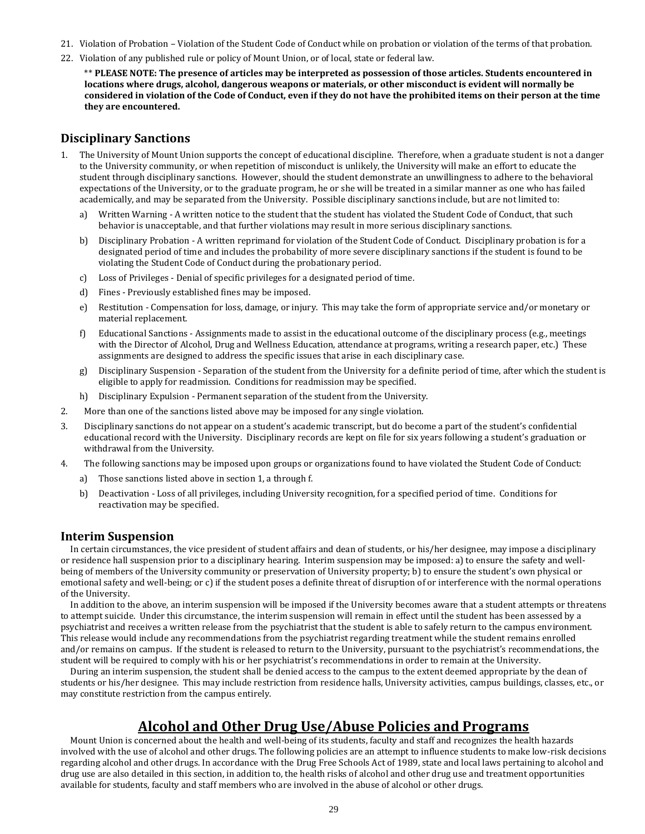- 21. Violation of Probation Violation of the Student Code of Conduct while on probation or violation of the terms of that probation.
- 22. Violation of any published rule or policy of Mount Union, or of local, state or federal law.

\*\* **PLEASE NOTE: The presence of articles may be interpreted as possession of those articles. Students encountered in locations where drugs, alcohol, dangerous weapons or materials, or other misconduct is evident will normally be considered in violation of the Code of Conduct, even if they do not have the prohibited items on their person at the time they are encountered.**

# **Disciplinary Sanctions**

- 1. The University of Mount Union supports the concept of educational discipline. Therefore, when a graduate student is not a danger to the University community, or when repetition of misconduct is unlikely, the University will make an effort to educate the student through disciplinary sanctions. However, should the student demonstrate an unwillingness to adhere to the behavioral expectations of the University, or to the graduate program, he or she will be treated in a similar manner as one who has failed academically, and may be separated from the University. Possible disciplinary sanctions include, but are not limited to:
	- a) Written Warning A written notice to the student that the student has violated the Student Code of Conduct, that such behavior is unacceptable, and that further violations may result in more serious disciplinary sanctions.
	- b) Disciplinary Probation A written reprimand for violation of the Student Code of Conduct. Disciplinary probation is for a designated period of time and includes the probability of more severe disciplinary sanctions if the student is found to be violating the Student Code of Conduct during the probationary period.
	- c) Loss of Privileges Denial of specific privileges for a designated period of time.
	- d) Fines Previously established fines may be imposed.
	- e) Restitution Compensation for loss, damage, or injury. This may take the form of appropriate service and/or monetary or material replacement.
	- f) Educational Sanctions Assignments made to assist in the educational outcome of the disciplinary process (e.g., meetings with the Director of Alcohol, Drug and Wellness Education, attendance at programs, writing a research paper, etc.) These assignments are designed to address the specific issues that arise in each disciplinary case.
	- g) Disciplinary Suspension Separation of the student from the University for a definite period of time, after which the student is eligible to apply for readmission. Conditions for readmission may be specified.
	- h) Disciplinary Expulsion Permanent separation of the student from the University.
- 2. More than one of the sanctions listed above may be imposed for any single violation.
- 3. Disciplinary sanctions do not appear on a student's academic transcript, but do become a part of the student's confidential educational record with the University. Disciplinary records are kept on file for six years following a student's graduation or withdrawal from the University.
- 4. The following sanctions may be imposed upon groups or organizations found to have violated the Student Code of Conduct:
	- a) Those sanctions listed above in section 1, a through f.
	- b) Deactivation Loss of all privileges, including University recognition, for a specified period of time. Conditions for reactivation may be specified.

# **Interim Suspension**

In certain circumstances, the vice president of student affairs and dean of students, or his/her designee, may impose a disciplinary or residence hall suspension prior to a disciplinary hearing. Interim suspension may be imposed: a) to ensure the safety and wellbeing of members of the University community or preservation of University property; b) to ensure the student's own physical or emotional safety and well-being; or c) if the student poses a definite threat of disruption of or interference with the normal operations of the University.

In addition to the above, an interim suspension will be imposed if the University becomes aware that a student attempts or threatens to attempt suicide. Under this circumstance, the interim suspension will remain in effect until the student has been assessed by a psychiatrist and receives a written release from the psychiatrist that the student is able to safely return to the campus environment. This release would include any recommendations from the psychiatrist regarding treatment while the student remains enrolled and/or remains on campus. If the student is released to return to the University, pursuant to the psychiatrist's recommendations, the student will be required to comply with his or her psychiatrist's recommendations in order to remain at the University.

During an interim suspension, the student shall be denied access to the campus to the extent deemed appropriate by the dean of students or his/her designee. This may include restriction from residence halls, University activities, campus buildings, classes, etc., or may constitute restriction from the campus entirely.

# **Alcohol and Other Drug Use/Abuse Policies and Programs**

Mount Union is concerned about the health and well-being of its students, faculty and staff and recognizes the health hazards involved with the use of alcohol and other drugs. The following policies are an attempt to influence students to make low-risk decisions regarding alcohol and other drugs. In accordance with the Drug Free Schools Act of 1989, state and local laws pertaining to alcohol and drug use are also detailed in this section, in addition to, the health risks of alcohol and other drug use and treatment opportunities available for students, faculty and staff members who are involved in the abuse of alcohol or other drugs.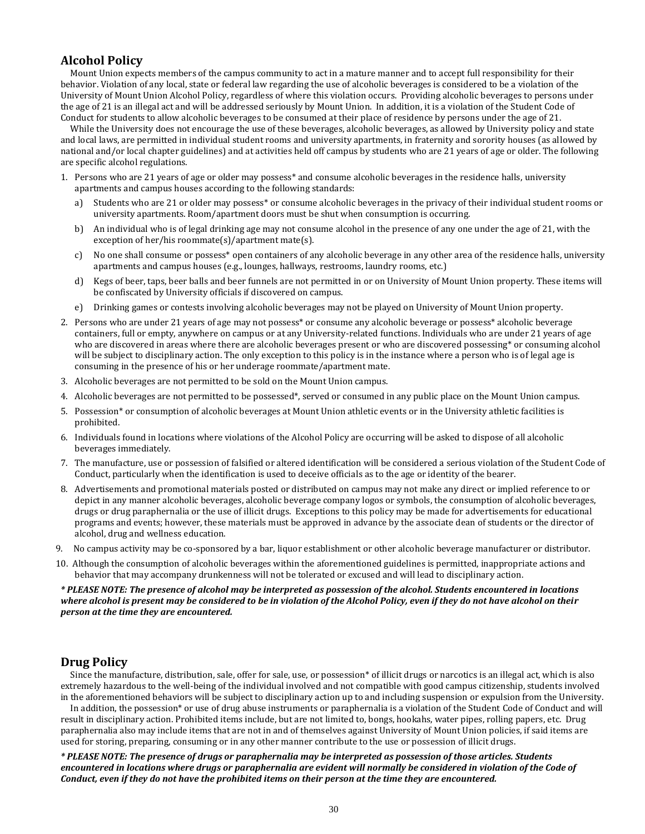# **Alcohol Policy**

Mount Union expects members of the campus community to act in a mature manner and to accept full responsibility for their behavior. Violation of any local, state or federal law regarding the use of alcoholic beverages is considered to be a violation of the University of Mount Union Alcohol Policy, regardless of where this violation occurs. Providing alcoholic beverages to persons under the age of 21 is an illegal act and will be addressed seriously by Mount Union. In addition, it is a violation of the Student Code of Conduct for students to allow alcoholic beverages to be consumed at their place of residence by persons under the age of 21.

While the University does not encourage the use of these beverages, alcoholic beverages, as allowed by University policy and state and local laws, are permitted in individual student rooms and university apartments, in fraternity and sorority houses (as allowed by national and/or local chapter guidelines) and at activities held off campus by students who are 21 years of age or older. The following are specific alcohol regulations.

- 1. Persons who are 21 years of age or older may possess\* and consume alcoholic beverages in the residence halls, university apartments and campus houses according to the following standards:
	- a) Students who are 21 or older may possess\* or consume alcoholic beverages in the privacy of their individual student rooms or university apartments. Room/apartment doors must be shut when consumption is occurring.
	- b) An individual who is of legal drinking age may not consume alcohol in the presence of any one under the age of 21, with the exception of her/his roommate(s)/apartment mate(s).
	- c) No one shall consume or possess\* open containers of any alcoholic beverage in any other area of the residence halls, university apartments and campus houses (e.g., lounges, hallways, restrooms, laundry rooms, etc.)
	- d) Kegs of beer, taps, beer balls and beer funnels are not permitted in or on University of Mount Union property. These items will be confiscated by University officials if discovered on campus.
	- e) Drinking games or contests involving alcoholic beverages may not be played on University of Mount Union property.
- 2. Persons who are under 21 years of age may not possess\* or consume any alcoholic beverage or possess\* alcoholic beverage containers, full or empty, anywhere on campus or at any University-related functions. Individuals who are under 21 years of age who are discovered in areas where there are alcoholic beverages present or who are discovered possessing\* or consuming alcohol will be subject to disciplinary action. The only exception to this policy is in the instance where a person who is of legal age is consuming in the presence of his or her underage roommate/apartment mate.
- 3. Alcoholic beverages are not permitted to be sold on the Mount Union campus.
- 4. Alcoholic beverages are not permitted to be possessed\*, served or consumed in any public place on the Mount Union campus.
- 5. Possession\* or consumption of alcoholic beverages at Mount Union athletic events or in the University athletic facilities is prohibited.
- 6. Individuals found in locations where violations of the Alcohol Policy are occurring will be asked to dispose of all alcoholic beverages immediately.
- 7. The manufacture, use or possession of falsified or altered identification will be considered a serious violation of the Student Code of Conduct, particularly when the identification is used to deceive officials as to the age or identity of the bearer.
- 8. Advertisements and promotional materials posted or distributed on campus may not make any direct or implied reference to or depict in any manner alcoholic beverages, alcoholic beverage company logos or symbols, the consumption of alcoholic beverages, drugs or drug paraphernalia or the use of illicit drugs. Exceptions to this policy may be made for advertisements for educational programs and events; however, these materials must be approved in advance by the associate dean of students or the director of alcohol, drug and wellness education.
- 9. No campus activity may be co-sponsored by a bar, liquor establishment or other alcoholic beverage manufacturer or distributor.
- 10. Although the consumption of alcoholic beverages within the aforementioned guidelines is permitted, inappropriate actions and behavior that may accompany drunkenness will not be tolerated or excused and will lead to disciplinary action.

### *\* PLEASE NOTE: The presence of alcohol may be interpreted as possession of the alcohol. Students encountered in locations where alcohol is present may be considered to be in violation of the Alcohol Policy, even if they do not have alcohol on their person at the time they are encountered.*

# **Drug Policy**

Since the manufacture, distribution, sale, offer for sale, use, or possession\* of illicit drugs or narcotics is an illegal act, which is also extremely hazardous to the well-being of the individual involved and not compatible with good campus citizenship, students involved in the aforementioned behaviors will be subject to disciplinary action up to and including suspension or expulsion from the University.

In addition, the possession\* or use of drug abuse instruments or paraphernalia is a violation of the Student Code of Conduct and will result in disciplinary action. Prohibited items include, but are not limited to, bongs, hookahs, water pipes, rolling papers, etc. Drug paraphernalia also may include items that are not in and of themselves against University of Mount Union policies, if said items are used for storing, preparing, consuming or in any other manner contribute to the use or possession of illicit drugs.

*\* PLEASE NOTE: The presence of drugs or paraphernalia may be interpreted as possession of those articles. Students encountered in locations where drugs or paraphernalia are evident will normally be considered in violation of the Code of Conduct, even if they do not have the prohibited items on their person at the time they are encountered.*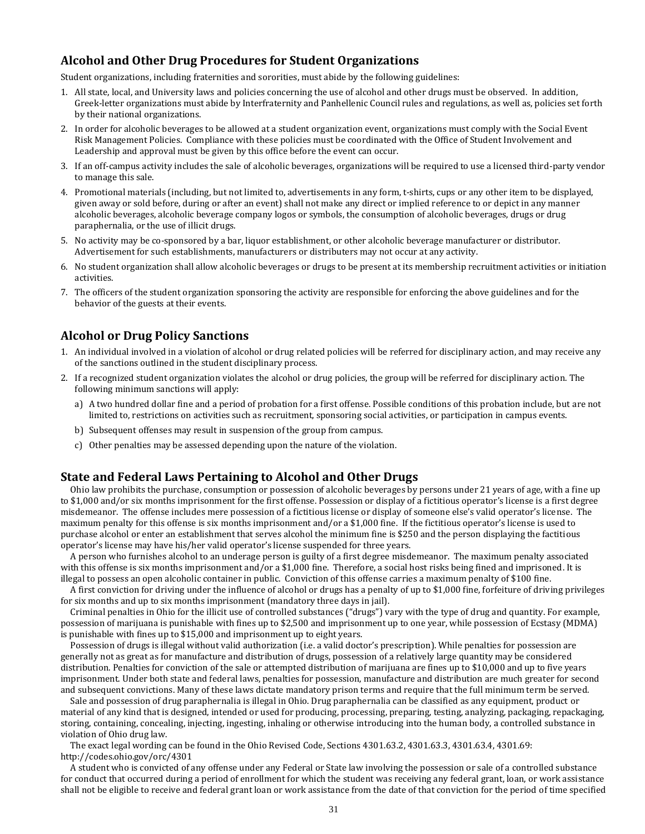# **Alcohol and Other Drug Procedures for Student Organizations**

Student organizations, including fraternities and sororities, must abide by the following guidelines:

- 1. All state, local, and University laws and policies concerning the use of alcohol and other drugs must be observed. In addition, Greek-letter organizations must abide by Interfraternity and Panhellenic Council rules and regulations, as well as, policies set forth by their national organizations.
- 2. In order for alcoholic beverages to be allowed at a student organization event, organizations must comply with the Social Event Risk Management Policies. Compliance with these policies must be coordinated with the Office of Student Involvement and Leadership and approval must be given by this office before the event can occur.
- 3. If an off-campus activity includes the sale of alcoholic beverages, organizations will be required to use a licensed third-party vendor to manage this sale.
- 4. Promotional materials (including, but not limited to, advertisements in any form, t-shirts, cups or any other item to be displayed, given away or sold before, during or after an event) shall not make any direct or implied reference to or depict in any manner alcoholic beverages, alcoholic beverage company logos or symbols, the consumption of alcoholic beverages, drugs or drug paraphernalia, or the use of illicit drugs.
- 5. No activity may be co-sponsored by a bar, liquor establishment, or other alcoholic beverage manufacturer or distributor. Advertisement for such establishments, manufacturers or distributers may not occur at any activity.
- 6. No student organization shall allow alcoholic beverages or drugs to be present at its membership recruitment activities or initiation activities.
- 7. The officers of the student organization sponsoring the activity are responsible for enforcing the above guidelines and for the behavior of the guests at their events.

# **Alcohol or Drug Policy Sanctions**

- 1. An individual involved in a violation of alcohol or drug related policies will be referred for disciplinary action, and may receive any of the sanctions outlined in the student disciplinary process.
- 2. If a recognized student organization violates the alcohol or drug policies, the group will be referred for disciplinary action. The following minimum sanctions will apply:
	- a) A two hundred dollar fine and a period of probation for a first offense. Possible conditions of this probation include, but are not limited to, restrictions on activities such as recruitment, sponsoring social activities, or participation in campus events.
	- b) Subsequent offenses may result in suspension of the group from campus.
	- c) Other penalties may be assessed depending upon the nature of the violation.

# **State and Federal Laws Pertaining to Alcohol and Other Drugs**

Ohio law prohibits the purchase, consumption or possession of alcoholic beverages by persons under 21 years of age, with a fine up to \$1,000 and/or six months imprisonment for the first offense. Possession or display of a fictitious operator's license is a first degree misdemeanor. The offense includes mere possession of a fictitious license or display of someone else's valid operator's license. The maximum penalty for this offense is six months imprisonment and/or a \$1,000 fine. If the fictitious operator's license is used to purchase alcohol or enter an establishment that serves alcohol the minimum fine is \$250 and the person displaying the factitious operator's license may have his/her valid operator's license suspended for three years.

A person who furnishes alcohol to an underage person is guilty of a first degree misdemeanor. The maximum penalty associated with this offense is six months imprisonment and/or a \$1,000 fine. Therefore, a social host risks being fined and imprisoned. It is illegal to possess an open alcoholic container in public. Conviction of this offense carries a maximum penalty of \$100 fine.

A first conviction for driving under the influence of alcohol or drugs has a penalty of up to \$1,000 fine, forfeiture of driving privileges for six months and up to six months imprisonment (mandatory three days in jail).

Criminal penalties in Ohio for the illicit use of controlled substances ("drugs") vary with the type of drug and quantity. For example, possession of marijuana is punishable with fines up to \$2,500 and imprisonment up to one year, while possession of Ecstasy (MDMA) is punishable with fines up to \$15,000 and imprisonment up to eight years.

Possession of drugs is illegal without valid authorization (i.e. a valid doctor's prescription). While penalties for possession are generally not as great as for manufacture and distribution of drugs, possession of a relatively large quantity may be considered distribution. Penalties for conviction of the sale or attempted distribution of marijuana are fines up to \$10,000 and up to five years imprisonment. Under both state and federal laws, penalties for possession, manufacture and distribution are much greater for second and subsequent convictions. Many of these laws dictate mandatory prison terms and require that the full minimum term be served.

Sale and possession of drug paraphernalia is illegal in Ohio. Drug paraphernalia can be classified as any equipment, product or material of any kind that is designed, intended or used for producing, processing, preparing, testing, analyzing, packaging, repackaging, storing, containing, concealing, injecting, ingesting, inhaling or otherwise introducing into the human body, a controlled substance in violation of Ohio drug law.

The exact legal wording can be found in the Ohio Revised Code, Sections 4301.63.2, 4301.63.3, 4301.63.4, 4301.69: http://codes.ohio.gov/orc/4301

A student who is convicted of any offense under any Federal or State law involving the possession or sale of a controlled substance for conduct that occurred during a period of enrollment for which the student was receiving any federal grant, loan, or work assistance shall not be eligible to receive and federal grant loan or work assistance from the date of that conviction for the period of time specified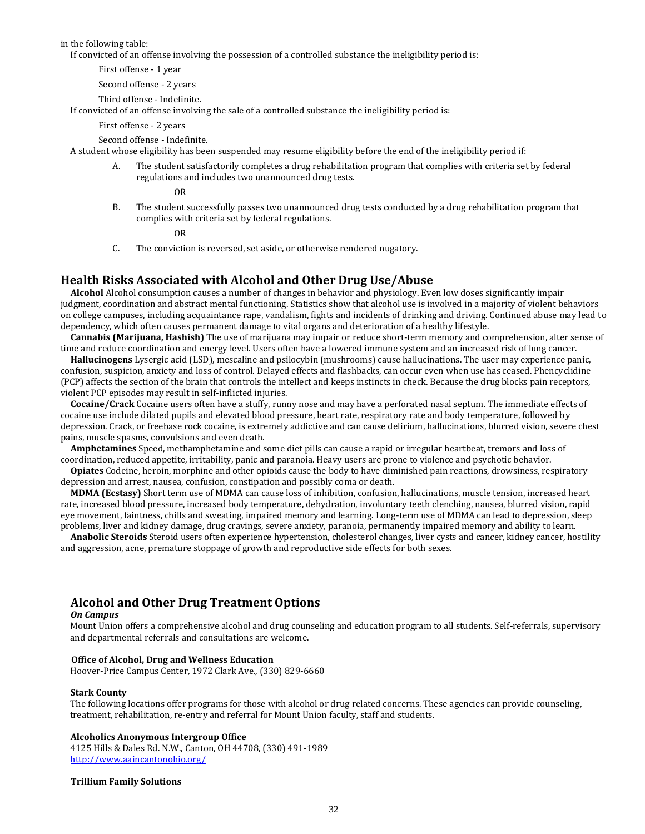in the following table:

If convicted of an offense involving the possession of a controlled substance the ineligibility period is:

First offense - 1 year

Second offense - 2 years

Third offense - Indefinite. If convicted of an offense involving the sale of a controlled substance the ineligibility period is:

First offense - 2 years

Second offense - Indefinite.

A student whose eligibility has been suspended may resume eligibility before the end of the ineligibility period if:

A. The student satisfactorily completes a drug rehabilitation program that complies with criteria set by federal regulations and includes two unannounced drug tests.

OR

B. The student successfully passes two unannounced drug tests conducted by a drug rehabilitation program that complies with criteria set by federal regulations.

OR

C. The conviction is reversed, set aside, or otherwise rendered nugatory.

# **Health Risks Associated with Alcohol and Other Drug Use/Abuse**

**Alcohol** Alcohol consumption causes a number of changes in behavior and physiology. Even low doses significantly impair judgment, coordination and abstract mental functioning. Statistics show that alcohol use is involved in a majority of violent behaviors on college campuses, including acquaintance rape, vandalism, fights and incidents of drinking and driving. Continued abuse may lead to dependency, which often causes permanent damage to vital organs and deterioration of a healthy lifestyle.

**Cannabis (Marijuana, Hashish)** The use of marijuana may impair or reduce short-term memory and comprehension, alter sense of time and reduce coordination and energy level. Users often have a lowered immune system and an increased risk of lung cancer.

**Hallucinogens** Lysergic acid (LSD), mescaline and psilocybin (mushrooms) cause hallucinations. The user may experience panic, confusion, suspicion, anxiety and loss of control. Delayed effects and flashbacks, can occur even when use has ceased. Phencyclidine (PCP) affects the section of the brain that controls the intellect and keeps instincts in check. Because the drug blocks pain receptors, violent PCP episodes may result in self-inflicted injuries.

**Cocaine/Crack** Cocaine users often have a stuffy, runny nose and may have a perforated nasal septum. The immediate effects of cocaine use include dilated pupils and elevated blood pressure, heart rate, respiratory rate and body temperature, followed by depression. Crack, or freebase rock cocaine, is extremely addictive and can cause delirium, hallucinations, blurred vision, severe chest pains, muscle spasms, convulsions and even death.

**Amphetamines** Speed, methamphetamine and some diet pills can cause a rapid or irregular heartbeat, tremors and loss of coordination, reduced appetite, irritability, panic and paranoia. Heavy users are prone to violence and psychotic behavior.

**Opiates** Codeine, heroin, morphine and other opioids cause the body to have diminished pain reactions, drowsiness, respiratory depression and arrest, nausea, confusion, constipation and possibly coma or death.

**MDMA (Ecstasy)** Short term use of MDMA can cause loss of inhibition, confusion, hallucinations, muscle tension, increased heart rate, increased blood pressure, increased body temperature, dehydration, involuntary teeth clenching, nausea, blurred vision, rapid eye movement, faintness, chills and sweating, impaired memory and learning. Long-term use of MDMA can lead to depression, sleep problems, liver and kidney damage, drug cravings, severe anxiety, paranoia, permanently impaired memory and ability to learn.

**Anabolic Steroids** Steroid users often experience hypertension, cholesterol changes, liver cysts and cancer, kidney cancer, hostility and aggression, acne, premature stoppage of growth and reproductive side effects for both sexes.

# **Alcohol and Other Drug Treatment Options**

#### *On Campus*

Mount Union offers a comprehensive alcohol and drug counseling and education program to all students. Self-referrals, supervisory and departmental referrals and consultations are welcome.

# **Office of Alcohol, Drug and Wellness Education**

Hoover-Price Campus Center, 1972 Clark Ave., (330) 829-6660

#### **Stark County**

The following locations offer programs for those with alcohol or drug related concerns. These agencies can provide counseling, treatment, rehabilitation, re-entry and referral for Mount Union faculty, staff and students.

#### **Alcoholics Anonymous Intergroup Office**

4125 Hills & Dales Rd. N.W., Canton, OH 44708, (330) 491-1989 <http://www.aaincantonohio.org/>

#### **Trillium Family Solutions**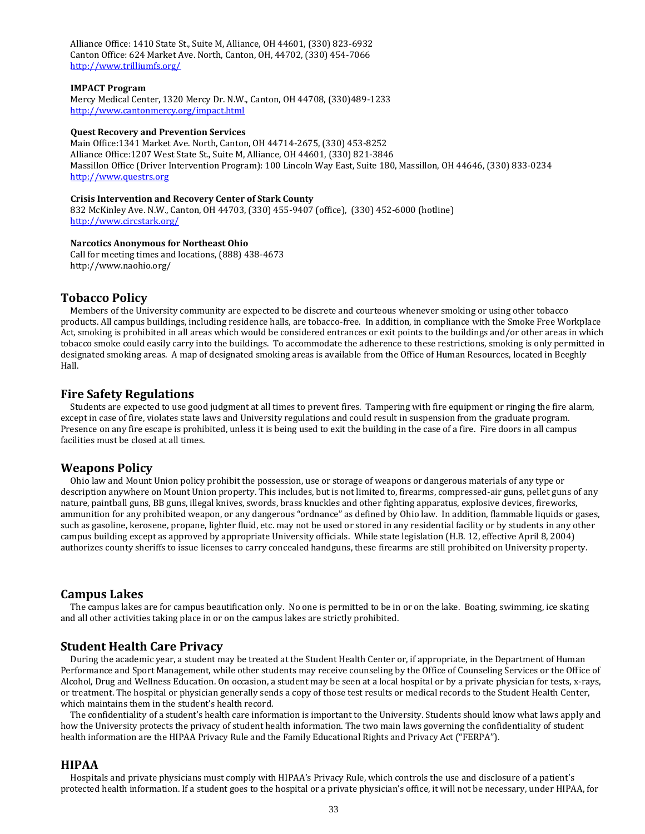Alliance Office: 1410 State St., Suite M, Alliance, OH 44601, (330) 823-6932 Canton Office: 624 Market Ave. North, Canton, OH, 44702, (330) 454-7066 <http://www.trilliumfs.org/>

#### **IMPACT Program**

Mercy Medical Center, 1320 Mercy Dr. N.W., Canton, OH 44708, (330)489-1233 <http://www.cantonmercy.org/impact.html>

#### **Quest Recovery and Prevention Services**

Main Office:1341 Market Ave. North, Canton, OH 44714-2675, (330) 453-8252 Alliance Office:1207 West State St., Suite M, Alliance, OH 44601, (330) 821-3846 Massillon Office (Driver Intervention Program): 100 Lincoln Way East, Suite 180, Massillon, OH 44646, (330) 833-0234 [http://www.questrs.org](http://www.questrs.org/)

#### **Crisis Intervention and Recovery Center of Stark County**

832 McKinley Ave. N.W., Canton, OH 44703, (330) 455-9407 (office), (330) 452-6000 (hotline) <http://www.circstark.org/>

#### **Narcotics Anonymous for Northeast Ohio**

Call for meeting times and locations, (888) 438-4673 http://www.naohio.org/

# **Tobacco Policy**

Members of the University community are expected to be discrete and courteous whenever smoking or using other tobacco products. All campus buildings, including residence halls, are tobacco-free. In addition, in compliance with the Smoke Free Workplace Act, smoking is prohibited in all areas which would be considered entrances or exit points to the buildings and/or other areas in which tobacco smoke could easily carry into the buildings. To accommodate the adherence to these restrictions, smoking is only permitted in designated smoking areas. A map of designated smoking areas is available from the Office of Human Resources, located in Beeghly Hall.

# **Fire Safety Regulations**

Students are expected to use good judgment at all times to prevent fires. Tampering with fire equipment or ringing the fire alarm, except in case of fire, violates state laws and University regulations and could result in suspension from the graduate program. Presence on any fire escape is prohibited, unless it is being used to exit the building in the case of a fire. Fire doors in all campus facilities must be closed at all times.

# **Weapons Policy**

Ohio law and Mount Union policy prohibit the possession, use or storage of weapons or dangerous materials of any type or description anywhere on Mount Union property. This includes, but is not limited to, firearms, compressed-air guns, pellet guns of any nature, paintball guns, BB guns, illegal knives, swords, brass knuckles and other fighting apparatus, explosive devices, fireworks, ammunition for any prohibited weapon, or any dangerous "ordnance" as defined by Ohio law. In addition, flammable liquids or gases, such as gasoline, kerosene, propane, lighter fluid, etc. may not be used or stored in any residential facility or by students in any other campus building except as approved by appropriate University officials. While state legislation (H.B. 12, effective April 8, 2004) authorizes county sheriffs to issue licenses to carry concealed handguns, these firearms are still prohibited on University property.

### **Campus Lakes**

The campus lakes are for campus beautification only. No one is permitted to be in or on the lake. Boating, swimming, ice skating and all other activities taking place in or on the campus lakes are strictly prohibited.

# **Student Health Care Privacy**

During the academic year, a student may be treated at the Student Health Center or, if appropriate, in the Department of Human Performance and Sport Management, while other students may receive counseling by the Office of Counseling Services or the Office of Alcohol, Drug and Wellness Education. On occasion, a student may be seen at a local hospital or by a private physician for tests, x-rays, or treatment. The hospital or physician generally sends a copy of those test results or medical records to the Student Health Center, which maintains them in the student's health record.

The confidentiality of a student's health care information is important to the University. Students should know what laws apply and how the University protects the privacy of student health information. The two main laws governing the confidentiality of student health information are the HIPAA Privacy Rule and the Family Educational Rights and Privacy Act ("FERPA").

# **HIPAA**

Hospitals and private physicians must comply with HIPAA's Privacy Rule, which controls the use and disclosure of a patient's protected health information. If a student goes to the hospital or a private physician's office, it will not be necessary, under HIPAA, for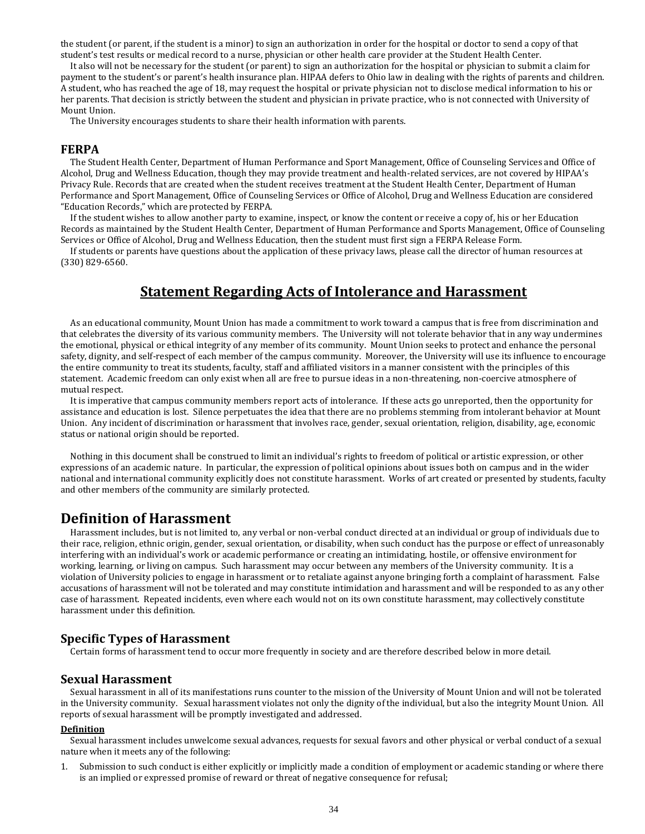the student (or parent, if the student is a minor) to sign an authorization in order for the hospital or doctor to send a copy of that student's test results or medical record to a nurse, physician or other health care provider at the Student Health Center.

It also will not be necessary for the student (or parent) to sign an authorization for the hospital or physician to submit a claim for payment to the student's or parent's health insurance plan. HIPAA defers to Ohio law in dealing with the rights of parents and children. A student, who has reached the age of 18, may request the hospital or private physician not to disclose medical information to his or her parents. That decision is strictly between the student and physician in private practice, who is not connected with University of Mount Union.

The University encourages students to share their health information with parents.

# **FERPA**

The Student Health Center, Department of Human Performance and Sport Management, Office of Counseling Services and Office of Alcohol, Drug and Wellness Education, though they may provide treatment and health-related services, are not covered by HIPAA's Privacy Rule. Records that are created when the student receives treatment at the Student Health Center, Department of Human Performance and Sport Management, Office of Counseling Services or Office of Alcohol, Drug and Wellness Education are considered "Education Records," which are protected by FERPA.

If the student wishes to allow another party to examine, inspect, or know the content or receive a copy of, his or her Education Records as maintained by the Student Health Center, Department of Human Performance and Sports Management, Office of Counseling Services or Office of Alcohol, Drug and Wellness Education, then the student must first sign a FERPA Release Form.

If students or parents have questions about the application of these privacy laws, please call the director of human resources at (330) 829-6560.

# **Statement Regarding Acts of Intolerance and Harassment**

As an educational community, Mount Union has made a commitment to work toward a campus that is free from discrimination and that celebrates the diversity of its various community members. The University will not tolerate behavior that in any way undermines the emotional, physical or ethical integrity of any member of its community. Mount Union seeks to protect and enhance the personal safety, dignity, and self-respect of each member of the campus community. Moreover, the University will use its influence to encourage the entire community to treat its students, faculty, staff and affiliated visitors in a manner consistent with the principles of this statement. Academic freedom can only exist when all are free to pursue ideas in a non-threatening, non-coercive atmosphere of mutual respect.

It is imperative that campus community members report acts of intolerance. If these acts go unreported, then the opportunity for assistance and education is lost. Silence perpetuates the idea that there are no problems stemming from intolerant behavior at Mount Union. Any incident of discrimination or harassment that involves race, gender, sexual orientation, religion, disability, age, economic status or national origin should be reported.

Nothing in this document shall be construed to limit an individual's rights to freedom of political or artistic expression, or other expressions of an academic nature. In particular, the expression of political opinions about issues both on campus and in the wider national and international community explicitly does not constitute harassment. Works of art created or presented by students, faculty and other members of the community are similarly protected.

# **Definition of Harassment**

Harassment includes, but is not limited to, any verbal or non-verbal conduct directed at an individual or group of individuals due to their race, religion, ethnic origin, gender, sexual orientation, or disability, when such conduct has the purpose or effect of unreasonably interfering with an individual's work or academic performance or creating an intimidating, hostile, or offensive environment for working, learning, or living on campus. Such harassment may occur between any members of the University community. It is a violation of University policies to engage in harassment or to retaliate against anyone bringing forth a complaint of harassment. False accusations of harassment will not be tolerated and may constitute intimidation and harassment and will be responded to as any other case of harassment. Repeated incidents, even where each would not on its own constitute harassment, may collectively constitute harassment under this definition.

# **Specific Types of Harassment**

Certain forms of harassment tend to occur more frequently in society and are therefore described below in more detail.

# **Sexual Harassment**

Sexual harassment in all of its manifestations runs counter to the mission of the University of Mount Union and will not be tolerated in the University community. Sexual harassment violates not only the dignity of the individual, but also the integrity Mount Union. All reports of sexual harassment will be promptly investigated and addressed.

#### **Definition**

Sexual harassment includes unwelcome sexual advances, requests for sexual favors and other physical or verbal conduct of a sexual nature when it meets any of the following:

Submission to such conduct is either explicitly or implicitly made a condition of employment or academic standing or where there is an implied or expressed promise of reward or threat of negative consequence for refusal;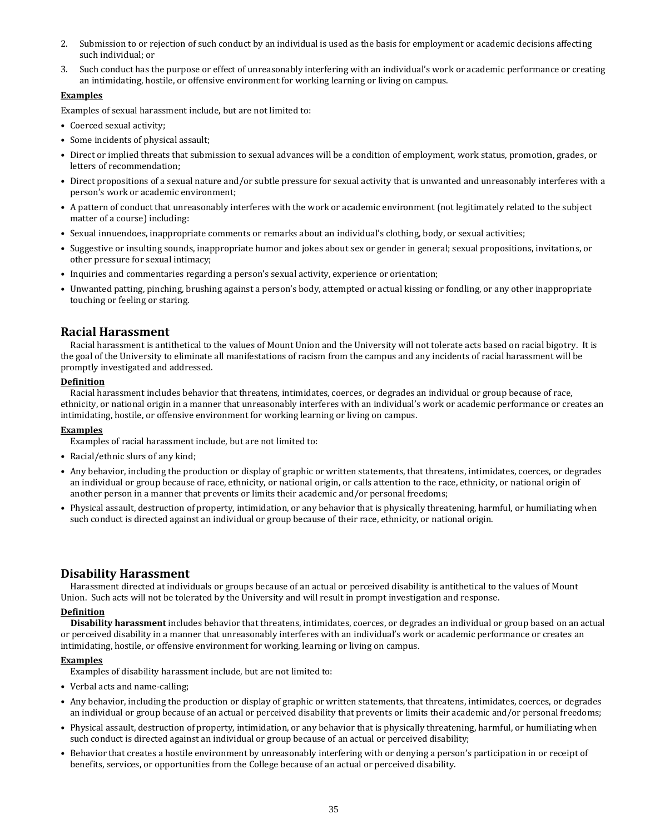- 2. Submission to or rejection of such conduct by an individual is used as the basis for employment or academic decisions affecting such individual; or
- 3. Such conduct has the purpose or effect of unreasonably interfering with an individual's work or academic performance or creating an intimidating, hostile, or offensive environment for working learning or living on campus.

# **Examples**

Examples of sexual harassment include, but are not limited to:

- Coerced sexual activity;
- Some incidents of physical assault;
- Direct or implied threats that submission to sexual advances will be a condition of employment, work status, promotion, grades, or letters of recommendation;
- Direct propositions of a sexual nature and/or subtle pressure for sexual activity that is unwanted and unreasonably interferes with a person's work or academic environment;
- A pattern of conduct that unreasonably interferes with the work or academic environment (not legitimately related to the subject matter of a course) including:
- Sexual innuendoes, inappropriate comments or remarks about an individual's clothing, body, or sexual activities;
- Suggestive or insulting sounds, inappropriate humor and jokes about sex or gender in general; sexual propositions, invitations, or other pressure for sexual intimacy;
- Inquiries and commentaries regarding a person's sexual activity, experience or orientation;
- Unwanted patting, pinching, brushing against a person's body, attempted or actual kissing or fondling, or any other inappropriate touching or feeling or staring.

# **Racial Harassment**

Racial harassment is antithetical to the values of Mount Union and the University will not tolerate acts based on racial bigotry. It is the goal of the University to eliminate all manifestations of racism from the campus and any incidents of racial harassment will be promptly investigated and addressed.

#### **Definition**

Racial harassment includes behavior that threatens, intimidates, coerces, or degrades an individual or group because of race, ethnicity, or national origin in a manner that unreasonably interferes with an individual's work or academic performance or creates an intimidating, hostile, or offensive environment for working learning or living on campus.

### **Examples**

Examples of racial harassment include, but are not limited to:

- Racial/ethnic slurs of any kind;
- Any behavior, including the production or display of graphic or written statements, that threatens, intimidates, coerces, or degrades an individual or group because of race, ethnicity, or national origin, or calls attention to the race, ethnicity, or national origin of another person in a manner that prevents or limits their academic and/or personal freedoms;
- Physical assault, destruction of property, intimidation, or any behavior that is physically threatening, harmful, or humiliating when such conduct is directed against an individual or group because of their race, ethnicity, or national origin.

# **Disability Harassment**

Harassment directed at individuals or groups because of an actual or perceived disability is antithetical to the values of Mount Union. Such acts will not be tolerated by the University and will result in prompt investigation and response.

### **Definition**

**Disability harassment** includes behavior that threatens, intimidates, coerces, or degrades an individual or group based on an actual or perceived disability in a manner that unreasonably interferes with an individual's work or academic performance or creates an intimidating, hostile, or offensive environment for working, learning or living on campus.

### **Examples**

Examples of disability harassment include, but are not limited to:

- Verbal acts and name-calling;
- Any behavior, including the production or display of graphic or written statements, that threatens, intimidates, coerces, or degrades an individual or group because of an actual or perceived disability that prevents or limits their academic and/or personal freedoms;
- Physical assault, destruction of property, intimidation, or any behavior that is physically threatening, harmful, or humiliating when such conduct is directed against an individual or group because of an actual or perceived disability;
- Behavior that creates a hostile environment by unreasonably interfering with or denying a person's participation in or receipt of benefits, services, or opportunities from the College because of an actual or perceived disability.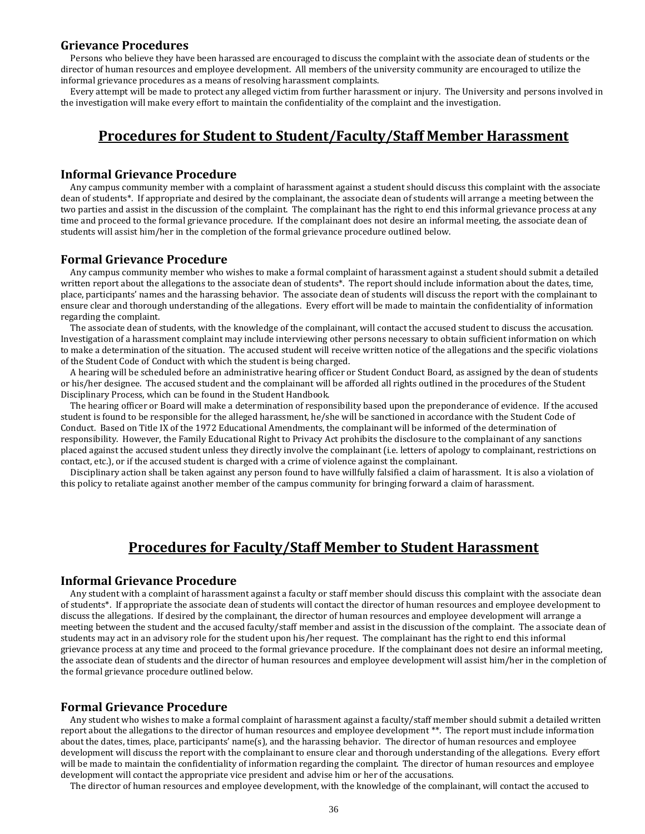# **Grievance Procedures**

Persons who believe they have been harassed are encouraged to discuss the complaint with the associate dean of students or the director of human resources and employee development. All members of the university community are encouraged to utilize the informal grievance procedures as a means of resolving harassment complaints.

Every attempt will be made to protect any alleged victim from further harassment or injury. The University and persons involved in the investigation will make every effort to maintain the confidentiality of the complaint and the investigation.

# **Procedures for Student to Student/Faculty/Staff Member Harassment**

### **Informal Grievance Procedure**

Any campus community member with a complaint of harassment against a student should discuss this complaint with the associate dean of students\*. If appropriate and desired by the complainant, the associate dean of students will arrange a meeting between the two parties and assist in the discussion of the complaint. The complainant has the right to end this informal grievance process at any time and proceed to the formal grievance procedure. If the complainant does not desire an informal meeting, the associate dean of students will assist him/her in the completion of the formal grievance procedure outlined below.

# **Formal Grievance Procedure**

Any campus community member who wishes to make a formal complaint of harassment against a student should submit a detailed written report about the allegations to the associate dean of students\*. The report should include information about the dates, time, place, participants' names and the harassing behavior. The associate dean of students will discuss the report with the complainant to ensure clear and thorough understanding of the allegations. Every effort will be made to maintain the confidentiality of information regarding the complaint.

The associate dean of students, with the knowledge of the complainant, will contact the accused student to discuss the accusation. Investigation of a harassment complaint may include interviewing other persons necessary to obtain sufficient information on which to make a determination of the situation. The accused student will receive written notice of the allegations and the specific violations of the Student Code of Conduct with which the student is being charged.

A hearing will be scheduled before an administrative hearing officer or Student Conduct Board, as assigned by the dean of students or his/her designee. The accused student and the complainant will be afforded all rights outlined in the procedures of the Student Disciplinary Process, which can be found in the Student Handbook.

The hearing officer or Board will make a determination of responsibility based upon the preponderance of evidence. If the accused student is found to be responsible for the alleged harassment, he/she will be sanctioned in accordance with the Student Code of Conduct. Based on Title IX of the 1972 Educational Amendments, the complainant will be informed of the determination of responsibility. However, the Family Educational Right to Privacy Act prohibits the disclosure to the complainant of any sanctions placed against the accused student unless they directly involve the complainant (i.e. letters of apology to complainant, restrictions on contact, etc.), or if the accused student is charged with a crime of violence against the complainant.

Disciplinary action shall be taken against any person found to have willfully falsified a claim of harassment. It is also a violation of this policy to retaliate against another member of the campus community for bringing forward a claim of harassment.

# **Procedures for Faculty/Staff Member to Student Harassment**

### **Informal Grievance Procedure**

Any student with a complaint of harassment against a faculty or staff member should discuss this complaint with the associate dean of students\*. If appropriate the associate dean of students will contact the director of human resources and employee development to discuss the allegations. If desired by the complainant, the director of human resources and employee development will arrange a meeting between the student and the accused faculty/staff member and assist in the discussion of the complaint. The associate dean of students may act in an advisory role for the student upon his/her request. The complainant has the right to end this informal grievance process at any time and proceed to the formal grievance procedure. If the complainant does not desire an informal meeting, the associate dean of students and the director of human resources and employee development will assist him/her in the completion of the formal grievance procedure outlined below.

# **Formal Grievance Procedure**

Any student who wishes to make a formal complaint of harassment against a faculty/staff member should submit a detailed written report about the allegations to the director of human resources and employee development \*\*. The report must include information about the dates, times, place, participants' name(s), and the harassing behavior. The director of human resources and employee development will discuss the report with the complainant to ensure clear and thorough understanding of the allegations. Every effort will be made to maintain the confidentiality of information regarding the complaint. The director of human resources and employee development will contact the appropriate vice president and advise him or her of the accusations.

The director of human resources and employee development, with the knowledge of the complainant, will contact the accused to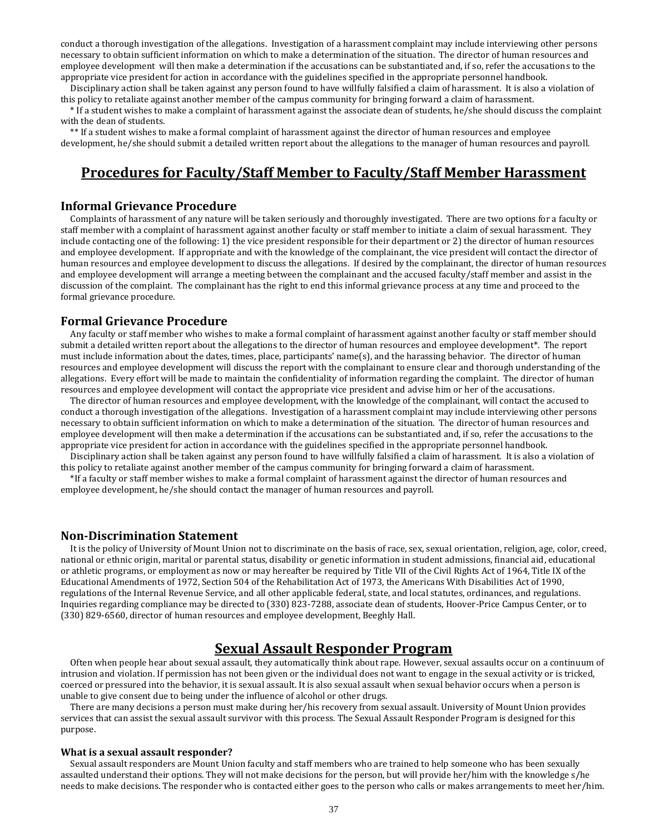conduct a thorough investigation of the allegations. Investigation of a harassment complaint may include interviewing other persons necessary to obtain sufficient information on which to make a determination of the situation. The director of human resources and employee development will then make a determination if the accusations can be substantiated and, if so, refer the accusations to the appropriate vice president for action in accordance with the guidelines specified in the appropriate personnel handbook.

Disciplinary action shall be taken against any person found to have willfully falsified a claim of harassment. It is also a violation of this policy to retaliate against another member of the campus community for bringing forward a claim of harassment.

\* If a student wishes to make a complaint of harassment against the associate dean of students, he/she should discuss the complaint with the dean of students.

\*\* If a student wishes to make a formal complaint of harassment against the director of human resources and employee development, he/she should submit a detailed written report about the allegations to the manager of human resources and payroll.

# **Procedures for Faculty/Staff Member to Faculty/Staff Member Harassment**

### **Informal Grievance Procedure**

Complaints of harassment of any nature will be taken seriously and thoroughly investigated. There are two options for a faculty or staff member with a complaint of harassment against another faculty or staff member to initiate a claim of sexual harassment. They include contacting one of the following: 1) the vice president responsible for their department or 2) the director of human resources and employee development. If appropriate and with the knowledge of the complainant, the vice president will contact the director of human resources and employee development to discuss the allegations. If desired by the complainant, the director of human resources and employee development will arrange a meeting between the complainant and the accused faculty/staff member and assist in the discussion of the complaint. The complainant has the right to end this informal grievance process at any time and proceed to the formal grievance procedure.

# **Formal Grievance Procedure**

Any faculty or staff member who wishes to make a formal complaint of harassment against another faculty or staff member should submit a detailed written report about the allegations to the director of human resources and employee development\*. The report must include information about the dates, times, place, participants' name(s), and the harassing behavior. The director of human resources and employee development will discuss the report with the complainant to ensure clear and thorough understanding of the allegations. Every effort will be made to maintain the confidentiality of information regarding the complaint. The director of human resources and employee development will contact the appropriate vice president and advise him or her of the accusations.

The director of human resources and employee development, with the knowledge of the complainant, will contact the accused to conduct a thorough investigation of the allegations. Investigation of a harassment complaint may include interviewing other persons necessary to obtain sufficient information on which to make a determination of the situation. The director of human resources and employee development will then make a determination if the accusations can be substantiated and, if so, refer the accusations to the appropriate vice president for action in accordance with the guidelines specified in the appropriate personnel handbook.

Disciplinary action shall be taken against any person found to have willfully falsified a claim of harassment. It is also a violation of this policy to retaliate against another member of the campus community for bringing forward a claim of harassment.

\*If a faculty or staff member wishes to make a formal complaint of harassment against the director of human resources and employee development, he/she should contact the manager of human resources and payroll.

# **Non-Discrimination Statement**

It is the policy of University of Mount Union not to discriminate on the basis of race, sex, sexual orientation, religion, age, color, creed, national or ethnic origin, marital or parental status, disability or genetic information in student admissions, financial aid, educational or athletic programs, or employment as now or may hereafter be required by Title VII of the Civil Rights Act of 1964, Title IX of the Educational Amendments of 1972, Section 504 of the Rehabilitation Act of 1973, the Americans With Disabilities Act of 1990, regulations of the Internal Revenue Service, and all other applicable federal, state, and local statutes, ordinances, and regulations. Inquiries regarding compliance may be directed to (330) 823-7288, associate dean of students, Hoover-Price Campus Center, or to (330) 829-6560, director of human resources and employee development, Beeghly Hall.

# **Sexual Assault Responder Program**

Often when people hear about sexual assault, they automatically think about rape. However, sexual assaults occur on a continuum of intrusion and violation. If permission has not been given or the individual does not want to engage in the sexual activity or is tricked, coerced or pressured into the behavior, it is sexual assault. It is also sexual assault when sexual behavior occurs when a person is unable to give consent due to being under the influence of alcohol or other drugs.

There are many decisions a person must make during her/his recovery from sexual assault. University of Mount Union provides services that can assist the sexual assault survivor with this process. The Sexual Assault Responder Program is designed for this purpose.

#### **What is a sexual assault responder?**

Sexual assault responders are Mount Union faculty and staff members who are trained to help someone who has been sexually assaulted understand their options. They will not make decisions for the person, but will provide her/him with the knowledge s/he needs to make decisions. The responder who is contacted either goes to the person who calls or makes arrangements to meet her/him.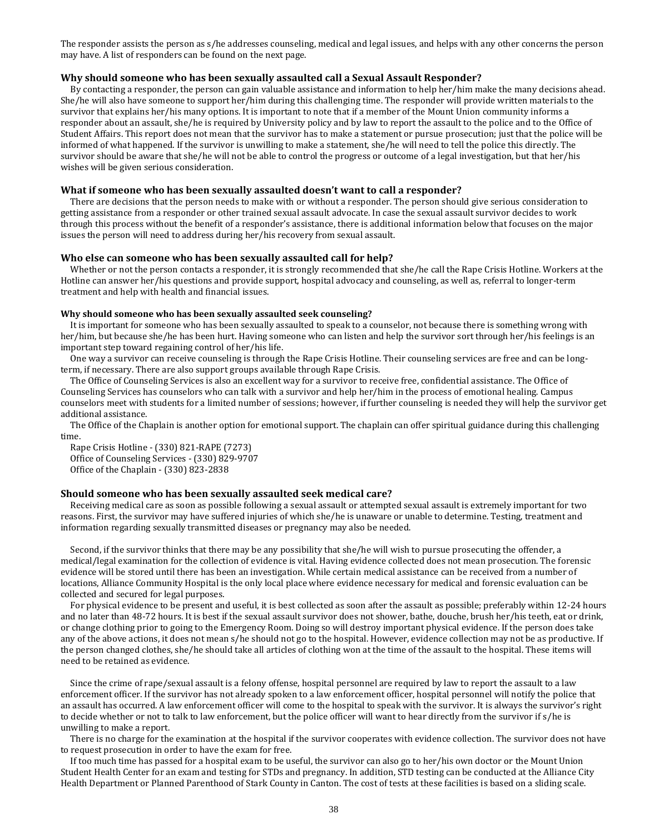The responder assists the person as s/he addresses counseling, medical and legal issues, and helps with any other concerns the person may have. A list of responders can be found on the next page.

#### **Why should someone who has been sexually assaulted call a Sexual Assault Responder?**

By contacting a responder, the person can gain valuable assistance and information to help her/him make the many decisions ahead. She/he will also have someone to support her/him during this challenging time. The responder will provide written materials to the survivor that explains her/his many options. It is important to note that if a member of the Mount Union community informs a responder about an assault, she/he is required by University policy and by law to report the assault to the police and to the Office of Student Affairs. This report does not mean that the survivor has to make a statement or pursue prosecution; just that the police will be informed of what happened. If the survivor is unwilling to make a statement, she/he will need to tell the police this directly. The survivor should be aware that she/he will not be able to control the progress or outcome of a legal investigation, but that her/his wishes will be given serious consideration.

#### **What if someone who has been sexually assaulted doesn't want to call a responder?**

There are decisions that the person needs to make with or without a responder. The person should give serious consideration to getting assistance from a responder or other trained sexual assault advocate. In case the sexual assault survivor decides to work through this process without the benefit of a responder's assistance, there is additional information below that focuses on the major issues the person will need to address during her/his recovery from sexual assault.

#### **Who else can someone who has been sexually assaulted call for help?**

Whether or not the person contacts a responder, it is strongly recommended that she/he call the Rape Crisis Hotline. Workers at the Hotline can answer her/his questions and provide support, hospital advocacy and counseling, as well as, referral to longer-term treatment and help with health and financial issues.

#### **Why should someone who has been sexually assaulted seek counseling?**

It is important for someone who has been sexually assaulted to speak to a counselor, not because there is something wrong with her/him, but because she/he has been hurt. Having someone who can listen and help the survivor sort through her/his feelings is an important step toward regaining control of her/his life.

One way a survivor can receive counseling is through the Rape Crisis Hotline. Their counseling services are free and can be longterm, if necessary. There are also support groups available through Rape Crisis.

The Office of Counseling Services is also an excellent way for a survivor to receive free, confidential assistance. The Office of Counseling Services has counselors who can talk with a survivor and help her/him in the process of emotional healing. Campus counselors meet with students for a limited number of sessions; however, if further counseling is needed they will help the survivor get additional assistance.

The Office of the Chaplain is another option for emotional support. The chaplain can offer spiritual guidance during this challenging time.

Rape Crisis Hotline - (330) 821-RAPE (7273) Office of Counseling Services - (330) 829-9707 Office of the Chaplain - (330) 823-2838

#### **Should someone who has been sexually assaulted seek medical care?**

Receiving medical care as soon as possible following a sexual assault or attempted sexual assault is extremely important for two reasons. First, the survivor may have suffered injuries of which she/he is unaware or unable to determine. Testing, treatment and information regarding sexually transmitted diseases or pregnancy may also be needed.

Second, if the survivor thinks that there may be any possibility that she/he will wish to pursue prosecuting the offender, a medical/legal examination for the collection of evidence is vital. Having evidence collected does not mean prosecution. The forensic evidence will be stored until there has been an investigation. While certain medical assistance can be received from a number of locations, Alliance Community Hospital is the only local place where evidence necessary for medical and forensic evaluation can be collected and secured for legal purposes.

For physical evidence to be present and useful, it is best collected as soon after the assault as possible; preferably within 12-24 hours and no later than 48-72 hours. It is best if the sexual assault survivor does not shower, bathe, douche, brush her/his teeth, eat or drink, or change clothing prior to going to the Emergency Room. Doing so will destroy important physical evidence. If the person does take any of the above actions, it does not mean s/he should not go to the hospital. However, evidence collection may not be as productive. If the person changed clothes, she/he should take all articles of clothing won at the time of the assault to the hospital. These items will need to be retained as evidence.

Since the crime of rape/sexual assault is a felony offense, hospital personnel are required by law to report the assault to a law enforcement officer. If the survivor has not already spoken to a law enforcement officer, hospital personnel will notify the police that an assault has occurred. A law enforcement officer will come to the hospital to speak with the survivor. It is always the survivor's right to decide whether or not to talk to law enforcement, but the police officer will want to hear directly from the survivor if s/he is unwilling to make a report.

There is no charge for the examination at the hospital if the survivor cooperates with evidence collection. The survivor does not have to request prosecution in order to have the exam for free.

If too much time has passed for a hospital exam to be useful, the survivor can also go to her/his own doctor or the Mount Union Student Health Center for an exam and testing for STDs and pregnancy. In addition, STD testing can be conducted at the Alliance City Health Department or Planned Parenthood of Stark County in Canton. The cost of tests at these facilities is based on a sliding scale.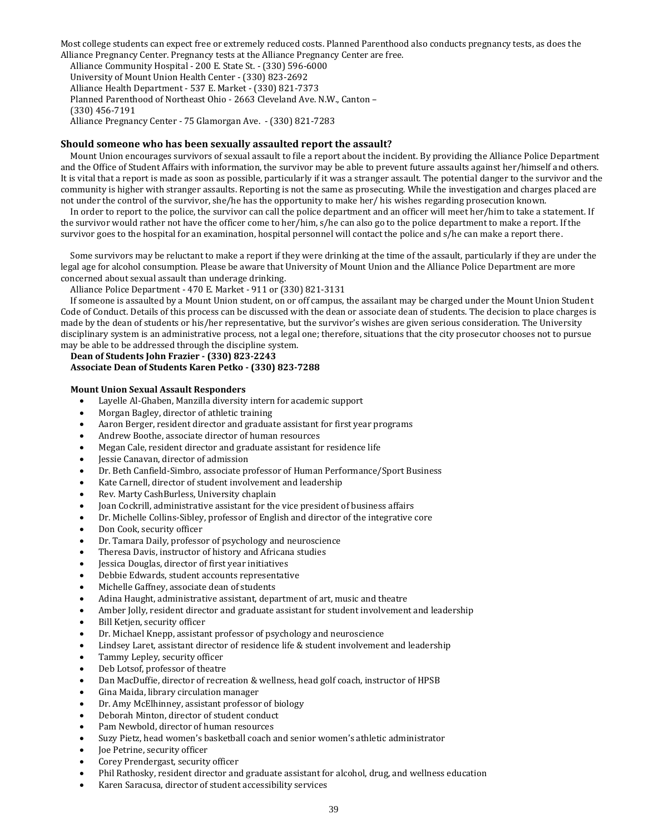Most college students can expect free or extremely reduced costs. Planned Parenthood also conducts pregnancy tests, as does the Alliance Pregnancy Center. Pregnancy tests at the Alliance Pregnancy Center are free.

Alliance Community Hospital - 200 E. State St. - (330) 596-6000 University of Mount Union Health Center - (330) 823-2692 Alliance Health Department - 537 E. Market - (330) 821-7373 Planned Parenthood of Northeast Ohio - 2663 Cleveland Ave. N.W., Canton – (330) 456-7191 Alliance Pregnancy Center - 75 Glamorgan Ave. - (330) 821-7283

#### **Should someone who has been sexually assaulted report the assault?**

Mount Union encourages survivors of sexual assault to file a report about the incident. By providing the Alliance Police Department and the Office of Student Affairs with information, the survivor may be able to prevent future assaults against her/himself and others. It is vital that a report is made as soon as possible, particularly if it was a stranger assault. The potential danger to the survivor and the community is higher with stranger assaults. Reporting is not the same as prosecuting. While the investigation and charges placed are not under the control of the survivor, she/he has the opportunity to make her/ his wishes regarding prosecution known.

In order to report to the police, the survivor can call the police department and an officer will meet her/him to take a statement. If the survivor would rather not have the officer come to her/him, s/he can also go to the police department to make a report. If the survivor goes to the hospital for an examination, hospital personnel will contact the police and s/he can make a report there.

Some survivors may be reluctant to make a report if they were drinking at the time of the assault, particularly if they are under the legal age for alcohol consumption. Please be aware that University of Mount Union and the Alliance Police Department are more concerned about sexual assault than underage drinking.

Alliance Police Department - 470 E. Market - 911 or (330) 821-3131

If someone is assaulted by a Mount Union student, on or off campus, the assailant may be charged under the Mount Union Student Code of Conduct. Details of this process can be discussed with the dean or associate dean of students. The decision to place charges is made by the dean of students or his/her representative, but the survivor's wishes are given serious consideration. The University disciplinary system is an administrative process, not a legal one; therefore, situations that the city prosecutor chooses not to pursue may be able to be addressed through the discipline system.

# **Dean of Students John Frazier - (330) 823-2243 Associate Dean of Students Karen Petko - (330) 823-7288**

#### **Mount Union Sexual Assault Responders**

- Layelle Al-Ghaben, Manzilla diversity intern for academic support
- Morgan Bagley, director of athletic training
- Aaron Berger, resident director and graduate assistant for first year programs
- Andrew Boothe, associate director of human resources
- Megan Cale, resident director and graduate assistant for residence life
- Jessie Canavan, director of admission
- Dr. Beth Canfield-Simbro, associate professor of Human Performance/Sport Business
- Kate Carnell, director of student involvement and leadership
- Rev. Marty CashBurless, University chaplain
- Joan Cockrill, administrative assistant for the vice president of business affairs
- Dr. Michelle Collins-Sibley, professor of English and director of the integrative core
- Don Cook, security officer
- Dr. Tamara Daily, professor of psychology and neuroscience
- Theresa Davis, instructor of history and Africana studies
- Jessica Douglas, director of first year initiatives
- Debbie Edwards, student accounts representative
- Michelle Gaffney, associate dean of students
- Adina Haught, administrative assistant, department of art, music and theatre
- Amber Jolly, resident director and graduate assistant for student involvement and leadership
- Bill Ketjen, security officer
- Dr. Michael Knepp, assistant professor of psychology and neuroscience
- Lindsey Laret, assistant director of residence life & student involvement and leadership
- Tammy Lepley, security officer
- Deb Lotsof, professor of theatre
- Dan MacDuffie, director of recreation & wellness, head golf coach, instructor of HPSB
- Gina Maida, library circulation manager
- Dr. Amy McElhinney, assistant professor of biology
- Deborah Minton, director of student conduct
- Pam Newbold, director of human resources
- Suzy Pietz, head women's basketball coach and senior women's athletic administrator
- Joe Petrine, security officer
- Corey Prendergast, security officer
- Phil Rathosky, resident director and graduate assistant for alcohol, drug, and wellness education
- Karen Saracusa, director of student accessibility services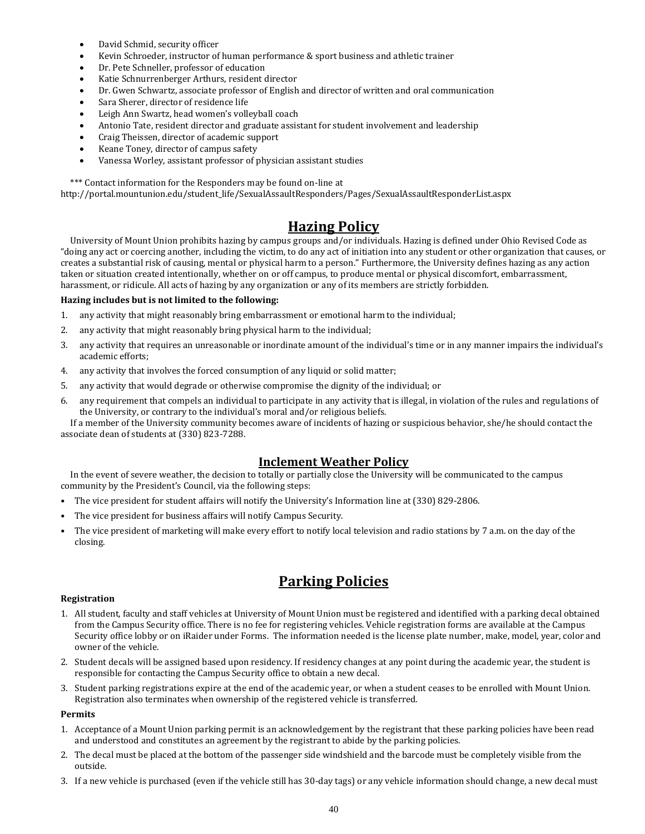- David Schmid, security officer
- Kevin Schroeder, instructor of human performance & sport business and athletic trainer
- Dr. Pete Schneller, professor of education
- Katie Schnurrenberger Arthurs, resident director
- Dr. Gwen Schwartz, associate professor of English and director of written and oral communication
- Sara Sherer, director of residence life
- Leigh Ann Swartz, head women's volleyball coach
- Antonio Tate, resident director and graduate assistant for student involvement and leadership
- Craig Theissen, director of academic support
- Keane Toney, director of campus safety
- Vanessa Worley, assistant professor of physician assistant studies

\*\*\* Contact information for the Responders may be found on-line at

http://portal.mountunion.edu/student\_life/SexualAssaultResponders/Pages/SexualAssaultResponderList.aspx

# **Hazing Policy**

University of Mount Union prohibits hazing by campus groups and/or individuals. Hazing is defined under Ohio Revised Code as "doing any act or coercing another, including the victim, to do any act of initiation into any student or other organization that causes, or creates a substantial risk of causing, mental or physical harm to a person." Furthermore, the University defines hazing as any action taken or situation created intentionally, whether on or off campus, to produce mental or physical discomfort, embarrassment, harassment, or ridicule. All acts of hazing by any organization or any of its members are strictly forbidden.

# **Hazing includes but is not limited to the following:**

- 1. any activity that might reasonably bring embarrassment or emotional harm to the individual;
- 2. any activity that might reasonably bring physical harm to the individual;
- 3. any activity that requires an unreasonable or inordinate amount of the individual's time or in any manner impairs the individual's academic efforts;
- 4. any activity that involves the forced consumption of any liquid or solid matter;
- 5. any activity that would degrade or otherwise compromise the dignity of the individual; or
- 6. any requirement that compels an individual to participate in any activity that is illegal, in violation of the rules and regulations of the University, or contrary to the individual's moral and/or religious beliefs.

If a member of the University community becomes aware of incidents of hazing or suspicious behavior, she/he should contact the associate dean of students at (330) 823-7288.

# **Inclement Weather Policy**

In the event of severe weather, the decision to totally or partially close the University will be communicated to the campus community by the President's Council, via the following steps:

- The vice president for student affairs will notify the University's Information line at (330) 829-2806.
- The vice president for business affairs will notify Campus Security.
- The vice president of marketing will make every effort to notify local television and radio stations by 7 a.m. on the day of the closing.

# **Parking Policies**

### **Registration**

- 1. All student, faculty and staff vehicles at University of Mount Union must be registered and identified with a parking decal obtained from the Campus Security office. There is no fee for registering vehicles. Vehicle registration forms are available at the Campus Security office lobby or on iRaider under Forms. The information needed is the license plate number, make, model, year, color and owner of the vehicle.
- 2. Student decals will be assigned based upon residency. If residency changes at any point during the academic year, the student is responsible for contacting the Campus Security office to obtain a new decal.
- 3. Student parking registrations expire at the end of the academic year, or when a student ceases to be enrolled with Mount Union. Registration also terminates when ownership of the registered vehicle is transferred.

### **Permits**

- 1. Acceptance of a Mount Union parking permit is an acknowledgement by the registrant that these parking policies have been read and understood and constitutes an agreement by the registrant to abide by the parking policies.
- 2. The decal must be placed at the bottom of the passenger side windshield and the barcode must be completely visible from the outside.
- 3. If a new vehicle is purchased (even if the vehicle still has 30-day tags) or any vehicle information should change, a new decal must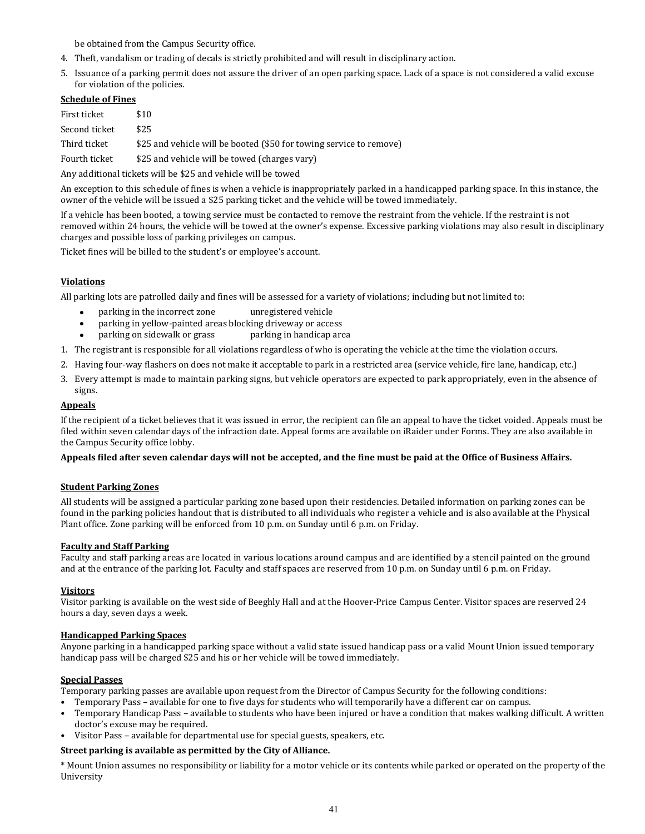be obtained from the Campus Security office.

- 4. Theft, vandalism or trading of decals is strictly prohibited and will result in disciplinary action.
- 5. Issuance of a parking permit does not assure the driver of an open parking space. Lack of a space is not considered a valid excuse for violation of the policies.

# **Schedule of Fines**

| First ticket  | \$10                                                                |
|---------------|---------------------------------------------------------------------|
| Second ticket | \$25.                                                               |
| Third ticket  | \$25 and vehicle will be booted (\$50 for towing service to remove) |

Fourth ticket  $$25$  and vehicle will be towed (charges vary)

Any additional tickets will be \$25 and vehicle will be towed

An exception to this schedule of fines is when a vehicle is inappropriately parked in a handicapped parking space. In this instance, the owner of the vehicle will be issued a \$25 parking ticket and the vehicle will be towed immediately.

If a vehicle has been booted, a towing service must be contacted to remove the restraint from the vehicle. If the restraint is not removed within 24 hours, the vehicle will be towed at the owner's expense. Excessive parking violations may also result in disciplinary charges and possible loss of parking privileges on campus.

Ticket fines will be billed to the student's or employee's account.

# **Violations**

All parking lots are patrolled daily and fines will be assessed for a variety of violations; including but not limited to:

- parking in the incorrect zone unregistered vehicle
- parking in yellow-painted areas blocking driveway or access
- parking on sidewalk or grass parking in handicap area
- 1. The registrant is responsible for all violations regardless of who is operating the vehicle at the time the violation occurs.
- 2. Having four-way flashers on does not make it acceptable to park in a restricted area (service vehicle, fire lane, handicap, etc.)
- 3. Every attempt is made to maintain parking signs, but vehicle operators are expected to park appropriately, even in the absence of signs.

# **Appeals**

If the recipient of a ticket believes that it was issued in error, the recipient can file an appeal to have the ticket voided. Appeals must be filed within seven calendar days of the infraction date. Appeal forms are available on iRaider under Forms. They are also available in the Campus Security office lobby.

# **Appeals filed after seven calendar days will not be accepted, and the fine must be paid at the Office of Business Affairs.**

# **Student Parking Zones**

All students will be assigned a particular parking zone based upon their residencies. Detailed information on parking zones can be found in the parking policies handout that is distributed to all individuals who register a vehicle and is also available at the Physical Plant office. Zone parking will be enforced from 10 p.m. on Sunday until 6 p.m. on Friday.

# **Faculty and Staff Parking**

Faculty and staff parking areas are located in various locations around campus and are identified by a stencil painted on the ground and at the entrance of the parking lot. Faculty and staff spaces are reserved from 10 p.m. on Sunday until 6 p.m. on Friday.

### **Visitors**

Visitor parking is available on the west side of Beeghly Hall and at the Hoover-Price Campus Center. Visitor spaces are reserved 24 hours a day, seven days a week.

### **Handicapped Parking Spaces**

Anyone parking in a handicapped parking space without a valid state issued handicap pass or a valid Mount Union issued temporary handicap pass will be charged \$25 and his or her vehicle will be towed immediately.

### **Special Passes**

Temporary parking passes are available upon request from the Director of Campus Security for the following conditions:

- Temporary Pass available for one to five days for students who will temporarily have a different car on campus.
- Temporary Handicap Pass available to students who have been injured or have a condition that makes walking difficult. A written doctor's excuse may be required.
- Visitor Pass available for departmental use for special guests, speakers, etc.

# **Street parking is available as permitted by the City of Alliance.**

\* Mount Union assumes no responsibility or liability for a motor vehicle or its contents while parked or operated on the property of the University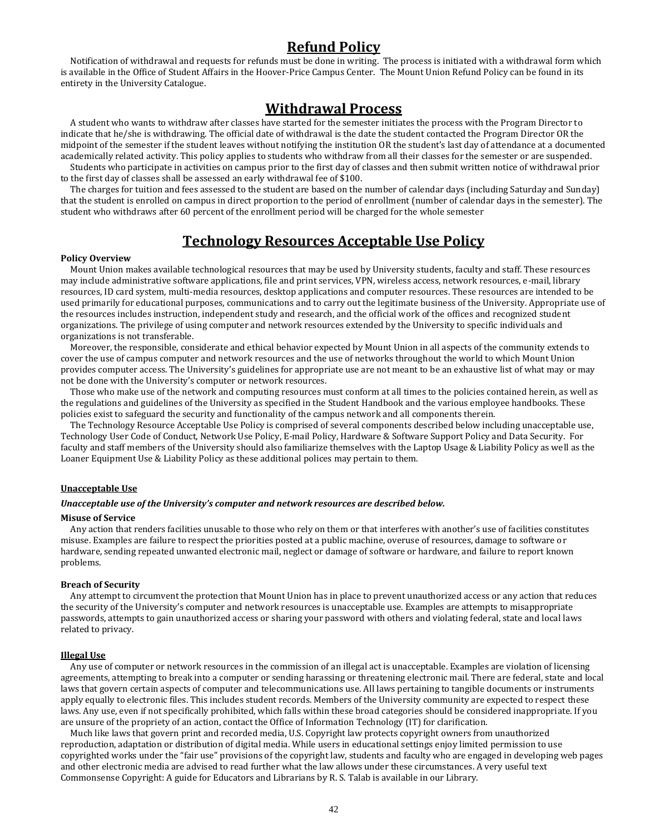# **Refund Policy**

Notification of withdrawal and requests for refunds must be done in writing. The process is initiated with a withdrawal form which is available in the Office of Student Affairs in the Hoover-Price Campus Center. The Mount Union Refund Policy can be found in its entirety in the University Catalogue.

# **Withdrawal Process**

A student who wants to withdraw after classes have started for the semester initiates the process with the Program Director to indicate that he/she is withdrawing. The official date of withdrawal is the date the student contacted the Program Director OR the midpoint of the semester if the student leaves without notifying the institution OR the student's last day of attendance at a documented academically related activity. This policy applies to students who withdraw from all their classes for the semester or are suspended.

Students who participate in activities on campus prior to the first day of classes and then submit written notice of withdrawal prior to the first day of classes shall be assessed an early withdrawal fee of \$100.

The charges for tuition and fees assessed to the student are based on the number of calendar days (including Saturday and Sunday) that the student is enrolled on campus in direct proportion to the period of enrollment (number of calendar days in the semester). The student who withdraws after 60 percent of the enrollment period will be charged for the whole semester

# **Technology Resources Acceptable Use Policy**

#### **Policy Overview**

Mount Union makes available technological resources that may be used by University students, faculty and staff. These resources may include administrative software applications, file and print services, VPN, wireless access, network resources, e-mail, library resources, ID card system, multi-media resources, desktop applications and computer resources. These resources are intended to be used primarily for educational purposes, communications and to carry out the legitimate business of the University. Appropriate use of the resources includes instruction, independent study and research, and the official work of the offices and recognized student organizations. The privilege of using computer and network resources extended by the University to specific individuals and organizations is not transferable.

Moreover, the responsible, considerate and ethical behavior expected by Mount Union in all aspects of the community extends to cover the use of campus computer and network resources and the use of networks throughout the world to which Mount Union provides computer access. The University's guidelines for appropriate use are not meant to be an exhaustive list of what may or may not be done with the University's computer or network resources.

Those who make use of the network and computing resources must conform at all times to the policies contained herein, as well as the regulations and guidelines of the University as specified in the Student Handbook and the various employee handbooks. These policies exist to safeguard the security and functionality of the campus network and all components therein.

The Technology Resource Acceptable Use Policy is comprised of several components described below including unacceptable use, Technology User Code of Conduct, Network Use Policy, E-mail Policy, Hardware & Software Support Policy and Data Security. For faculty and staff members of the University should also familiarize themselves with the Laptop Usage & Liability Policy as well as the Loaner Equipment Use & Liability Policy as these additional polices may pertain to them.

#### **Unacceptable Use**

#### *Unacceptable use of the University's computer and network resources are described below.*

#### **Misuse of Service**

Any action that renders facilities unusable to those who rely on them or that interferes with another's use of facilities constitutes misuse. Examples are failure to respect the priorities posted at a public machine, overuse of resources, damage to software or hardware, sending repeated unwanted electronic mail, neglect or damage of software or hardware, and failure to report known problems.

#### **Breach of Security**

Any attempt to circumvent the protection that Mount Union has in place to prevent unauthorized access or any action that reduces the security of the University's computer and network resources is unacceptable use. Examples are attempts to misappropriate passwords, attempts to gain unauthorized access or sharing your password with others and violating federal, state and local laws related to privacy.

#### **Illegal Use**

Any use of computer or network resources in the commission of an illegal act is unacceptable. Examples are violation of licensing agreements, attempting to break into a computer or sending harassing or threatening electronic mail. There are federal, state and local laws that govern certain aspects of computer and telecommunications use. All laws pertaining to tangible documents or instruments apply equally to electronic files. This includes student records. Members of the University community are expected to respect these laws. Any use, even if not specifically prohibited, which falls within these broad categories should be considered inappropriate. If you are unsure of the propriety of an action, contact the Office of Information Technology (IT) for clarification.

Much like laws that govern print and recorded media, U.S. Copyright law protects copyright owners from unauthorized reproduction, adaptation or distribution of digital media. While users in educational settings enjoy limited permission to use copyrighted works under the "fair use" provisions of the copyright law, students and faculty who are engaged in developing web pages and other electronic media are advised to read further what the law allows under these circumstances. A very useful text Commonsense Copyright: A guide for Educators and Librarians by R. S. Talab is available in our Library.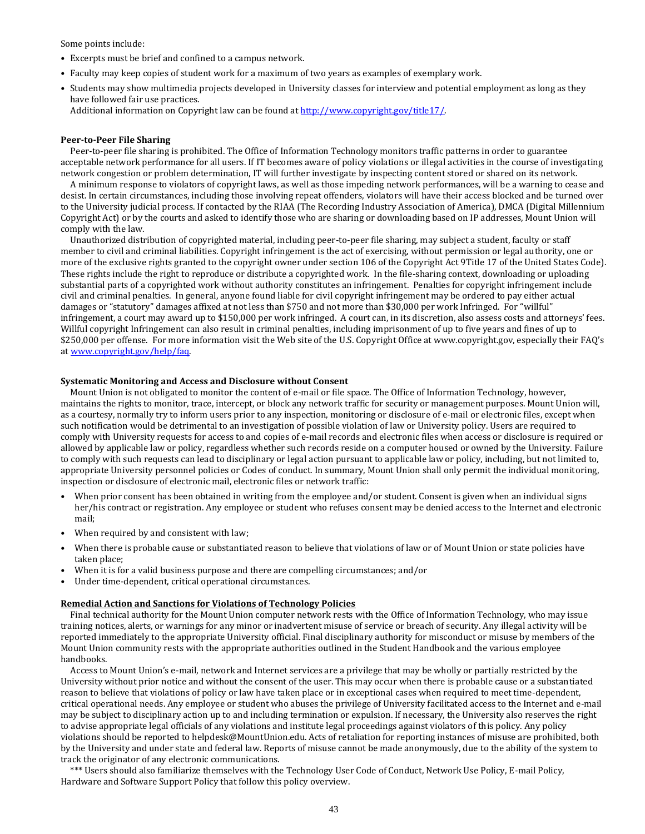Some points include:

- Excerpts must be brief and confined to a campus network.
- Faculty may keep copies of student work for a maximum of two years as examples of exemplary work.
- Students may show multimedia projects developed in University classes for interview and potential employment as long as they have followed fair use practices.
	- Additional information on Copyright law can be found a[t http://www.copyright.gov/title17/.](http://www.copyright.gov/title17/)

#### **Peer-to-Peer File Sharing**

Peer-to-peer file sharing is prohibited. The Office of Information Technology monitors traffic patterns in order to guarantee acceptable network performance for all users. If IT becomes aware of policy violations or illegal activities in the course of investigating network congestion or problem determination, IT will further investigate by inspecting content stored or shared on its network.

A minimum response to violators of copyright laws, as well as those impeding network performances, will be a warning to cease and desist. In certain circumstances, including those involving repeat offenders, violators will have their access blocked and be turned over to the University judicial process. If contacted by the RIAA (The Recording Industry Association of America), DMCA (Digital Millennium Copyright Act) or by the courts and asked to identify those who are sharing or downloading based on IP addresses, Mount Union will comply with the law.

Unauthorized distribution of copyrighted material, including peer-to-peer file sharing, may subject a student, faculty or staff member to civil and criminal liabilities. Copyright infringement is the act of exercising, without permission or legal authority, one or more of the exclusive rights granted to the copyright owner under section 106 of the Copyright Act 9Title 17 of the United States Code). These rights include the right to reproduce or distribute a copyrighted work. In the file-sharing context, downloading or uploading substantial parts of a copyrighted work without authority constitutes an infringement. Penalties for copyright infringement include civil and criminal penalties. In general, anyone found liable for civil copyright infringement may be ordered to pay either actual damages or "statutory" damages affixed at not less than \$750 and not more than \$30,000 per work Infringed. For "willful" infringement, a court may award up to \$150,000 per work infringed. A court can, in its discretion, also assess costs and attorneys' fees. Willful copyright Infringement can also result in criminal penalties, including imprisonment of up to five years and fines of up to \$250,000 per offense. For more information visit the Web site of the U.S. Copyright Office at www.copyright.gov, especially their FAQ's a[t www.copyright.gov/help/faq.](http://www.copyright.gov/help/faq)

#### **Systematic Monitoring and Access and Disclosure without Consent**

Mount Union is not obligated to monitor the content of e-mail or file space. The Office of Information Technology, however, maintains the rights to monitor, trace, intercept, or block any network traffic for security or management purposes. Mount Union will, as a courtesy, normally try to inform users prior to any inspection, monitoring or disclosure of e-mail or electronic files, except when such notification would be detrimental to an investigation of possible violation of law or University policy. Users are required to comply with University requests for access to and copies of e-mail records and electronic files when access or disclosure is required or allowed by applicable law or policy, regardless whether such records reside on a computer housed or owned by the University. Failure to comply with such requests can lead to disciplinary or legal action pursuant to applicable law or policy, including, but not limited to, appropriate University personnel policies or Codes of conduct. In summary, Mount Union shall only permit the individual monitoring, inspection or disclosure of electronic mail, electronic files or network traffic:

- When prior consent has been obtained in writing from the employee and/or student. Consent is given when an individual signs her/his contract or registration. Any employee or student who refuses consent may be denied access to the Internet and electronic mail;
- When required by and consistent with law;
- When there is probable cause or substantiated reason to believe that violations of law or of Mount Union or state policies have taken place;
- When it is for a valid business purpose and there are compelling circumstances; and/or
- Under time-dependent, critical operational circumstances.

#### **Remedial Action and Sanctions for Violations of Technology Policies**

Final technical authority for the Mount Union computer network rests with the Office of Information Technology, who may issue training notices, alerts, or warnings for any minor or inadvertent misuse of service or breach of security. Any illegal activity will be reported immediately to the appropriate University official. Final disciplinary authority for misconduct or misuse by members of the Mount Union community rests with the appropriate authorities outlined in the Student Handbook and the various employee handbooks.

Access to Mount Union's e-mail, network and Internet services are a privilege that may be wholly or partially restricted by the University without prior notice and without the consent of the user. This may occur when there is probable cause or a substantiated reason to believe that violations of policy or law have taken place or in exceptional cases when required to meet time-dependent, critical operational needs. Any employee or student who abuses the privilege of University facilitated access to the Internet and e-mail may be subject to disciplinary action up to and including termination or expulsion. If necessary, the University also reserves the right to advise appropriate legal officials of any violations and institute legal proceedings against violators of this policy. Any policy violations should be reported to helpdesk@MountUnion.edu. Acts of retaliation for reporting instances of misuse are prohibited, both by the University and under state and federal law. Reports of misuse cannot be made anonymously, due to the ability of the system to track the originator of any electronic communications.

\*\*\* Users should also familiarize themselves with the Technology User Code of Conduct, Network Use Policy, E-mail Policy, Hardware and Software Support Policy that follow this policy overview.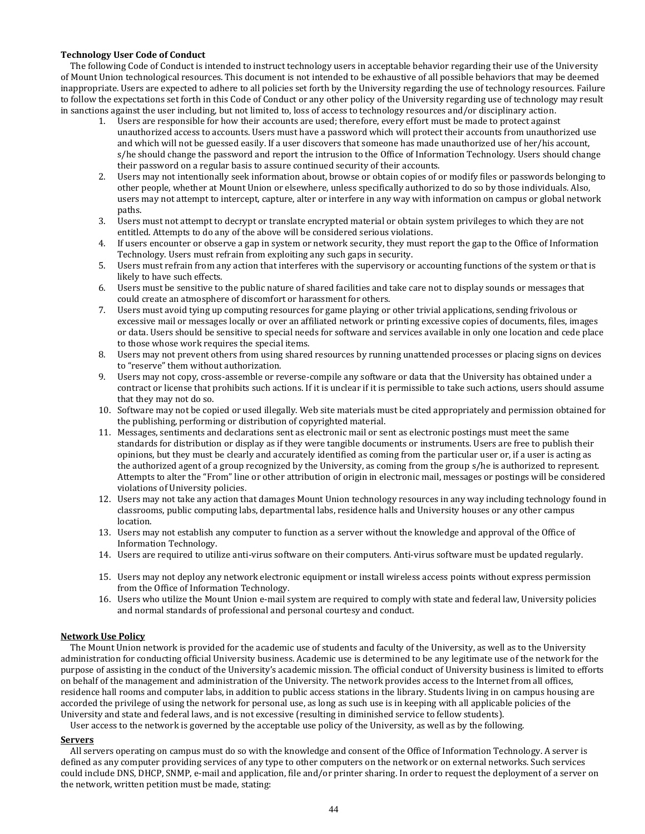#### **Technology User Code of Conduct**

The following Code of Conduct is intended to instruct technology users in acceptable behavior regarding their use of the University of Mount Union technological resources. This document is not intended to be exhaustive of all possible behaviors that may be deemed inappropriate. Users are expected to adhere to all policies set forth by the University regarding the use of technology resources. Failure to follow the expectations set forth in this Code of Conduct or any other policy of the University regarding use of technology may result in sanctions against the user including, but not limited to, loss of access to technology resources and/or disciplinary action.

- 1. Users are responsible for how their accounts are used; therefore, every effort must be made to protect against unauthorized access to accounts. Users must have a password which will protect their accounts from unauthorized use and which will not be guessed easily. If a user discovers that someone has made unauthorized use of her/his account, s/he should change the password and report the intrusion to the Office of Information Technology. Users should change their password on a regular basis to assure continued security of their accounts.
- 2. Users may not intentionally seek information about, browse or obtain copies of or modify files or passwords belonging to other people, whether at Mount Union or elsewhere, unless specifically authorized to do so by those individuals. Also, users may not attempt to intercept, capture, alter or interfere in any way with information on campus or global network paths.
- 3. Users must not attempt to decrypt or translate encrypted material or obtain system privileges to which they are not entitled. Attempts to do any of the above will be considered serious violations.
- 4. If users encounter or observe a gap in system or network security, they must report the gap to the Office of Information Technology. Users must refrain from exploiting any such gaps in security.
- 5. Users must refrain from any action that interferes with the supervisory or accounting functions of the system or that is likely to have such effects.
- 6. Users must be sensitive to the public nature of shared facilities and take care not to display sounds or messages that could create an atmosphere of discomfort or harassment for others.
- 7. Users must avoid tying up computing resources for game playing or other trivial applications, sending frivolous or excessive mail or messages locally or over an affiliated network or printing excessive copies of documents, files, images or data. Users should be sensitive to special needs for software and services available in only one location and cede place to those whose work requires the special items.
- 8. Users may not prevent others from using shared resources by running unattended processes or placing signs on devices to "reserve" them without authorization.
- 9. Users may not copy, cross-assemble or reverse-compile any software or data that the University has obtained under a contract or license that prohibits such actions. If it is unclear if it is permissible to take such actions, users should assume that they may not do so.
- 10. Software may not be copied or used illegally. Web site materials must be cited appropriately and permission obtained for the publishing, performing or distribution of copyrighted material.
- 11. Messages, sentiments and declarations sent as electronic mail or sent as electronic postings must meet the same standards for distribution or display as if they were tangible documents or instruments. Users are free to publish their opinions, but they must be clearly and accurately identified as coming from the particular user or, if a user is acting as the authorized agent of a group recognized by the University, as coming from the group s/he is authorized to represent. Attempts to alter the "From" line or other attribution of origin in electronic mail, messages or postings will be considered violations of University policies.
- 12. Users may not take any action that damages Mount Union technology resources in any way including technology found in classrooms, public computing labs, departmental labs, residence halls and University houses or any other campus location.
- 13. Users may not establish any computer to function as a server without the knowledge and approval of the Office of Information Technology.
- 14. Users are required to utilize anti-virus software on their computers. Anti-virus software must be updated regularly.
- 15. Users may not deploy any network electronic equipment or install wireless access points without express permission from the Office of Information Technology.
- 16. Users who utilize the Mount Union e-mail system are required to comply with state and federal law, University policies and normal standards of professional and personal courtesy and conduct.

### **Network Use Policy**

The Mount Union network is provided for the academic use of students and faculty of the University, as well as to the University administration for conducting official University business. Academic use is determined to be any legitimate use of the network for the purpose of assisting in the conduct of the University's academic mission. The official conduct of University business is limited to efforts on behalf of the management and administration of the University. The network provides access to the Internet from all offices, residence hall rooms and computer labs, in addition to public access stations in the library. Students living in on campus housing are accorded the privilege of using the network for personal use, as long as such use is in keeping with all applicable policies of the University and state and federal laws, and is not excessive (resulting in diminished service to fellow students).

User access to the network is governed by the acceptable use policy of the University, as well as by the following.

### **Servers**

All servers operating on campus must do so with the knowledge and consent of the Office of Information Technology. A server is defined as any computer providing services of any type to other computers on the network or on external networks. Such services could include DNS, DHCP, SNMP, e-mail and application, file and/or printer sharing. In order to request the deployment of a server on the network, written petition must be made, stating: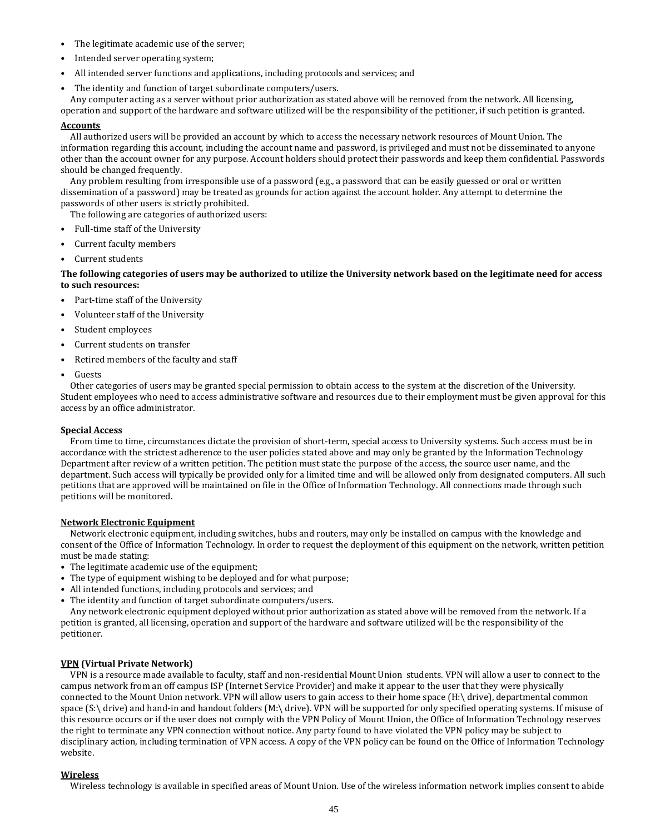- The legitimate academic use of the server;
- Intended server operating system;
- All intended server functions and applications, including protocols and services; and
- The identity and function of target subordinate computers/users.

Any computer acting as a server without prior authorization as stated above will be removed from the network. All licensing, operation and support of the hardware and software utilized will be the responsibility of the petitioner, if such petition is granted.

#### **Accounts**

All authorized users will be provided an account by which to access the necessary network resources of Mount Union. The information regarding this account, including the account name and password, is privileged and must not be disseminated to anyone other than the account owner for any purpose. Account holders should protect their passwords and keep them confidential. Passwords should be changed frequently.

Any problem resulting from irresponsible use of a password (e.g., a password that can be easily guessed or oral or written dissemination of a password) may be treated as grounds for action against the account holder. Any attempt to determine the passwords of other users is strictly prohibited.

The following are categories of authorized users:

- Full-time staff of the University
- Current faculty members
- Current students

**The following categories of users may be authorized to utilize the University network based on the legitimate need for access to such resources:**

- Part-time staff of the University
- Volunteer staff of the University
- Student employees
- Current students on transfer
- Retired members of the faculty and staff
- **Guests**

Other categories of users may be granted special permission to obtain access to the system at the discretion of the University. Student employees who need to access administrative software and resources due to their employment must be given approval for this access by an office administrator.

#### **Special Access**

From time to time, circumstances dictate the provision of short-term, special access to University systems. Such access must be in accordance with the strictest adherence to the user policies stated above and may only be granted by the Information Technology Department after review of a written petition. The petition must state the purpose of the access, the source user name, and the department. Such access will typically be provided only for a limited time and will be allowed only from designated computers. All such petitions that are approved will be maintained on file in the Office of Information Technology. All connections made through such petitions will be monitored.

#### **Network Electronic Equipment**

Network electronic equipment, including switches, hubs and routers, may only be installed on campus with the knowledge and consent of the Office of Information Technology. In order to request the deployment of this equipment on the network, written petition must be made stating:

- The legitimate academic use of the equipment;
- The type of equipment wishing to be deployed and for what purpose;
- All intended functions, including protocols and services; and
- The identity and function of target subordinate computers/users.

Any network electronic equipment deployed without prior authorization as stated above will be removed from the network. If a petition is granted, all licensing, operation and support of the hardware and software utilized will be the responsibility of the petitioner.

### **VPN (Virtual Private Network)**

VPN is a resource made available to faculty, staff and non-residential Mount Union students. VPN will allow a user to connect to the campus network from an off campus ISP (Internet Service Provider) and make it appear to the user that they were physically connected to the Mount Union network. VPN will allow users to gain access to their home space (H:\ drive), departmental common space (S:\ drive) and hand-in and handout folders (M:\ drive). VPN will be supported for only specified operating systems. If misuse of this resource occurs or if the user does not comply with the VPN Policy of Mount Union, the Office of Information Technology reserves the right to terminate any VPN connection without notice. Any party found to have violated the VPN policy may be subject to disciplinary action, including termination of VPN access. A copy of the VPN policy can be found on the Office of Information Technology website.

### **Wireless**

Wireless technology is available in specified areas of Mount Union. Use of the wireless information network implies consent to abide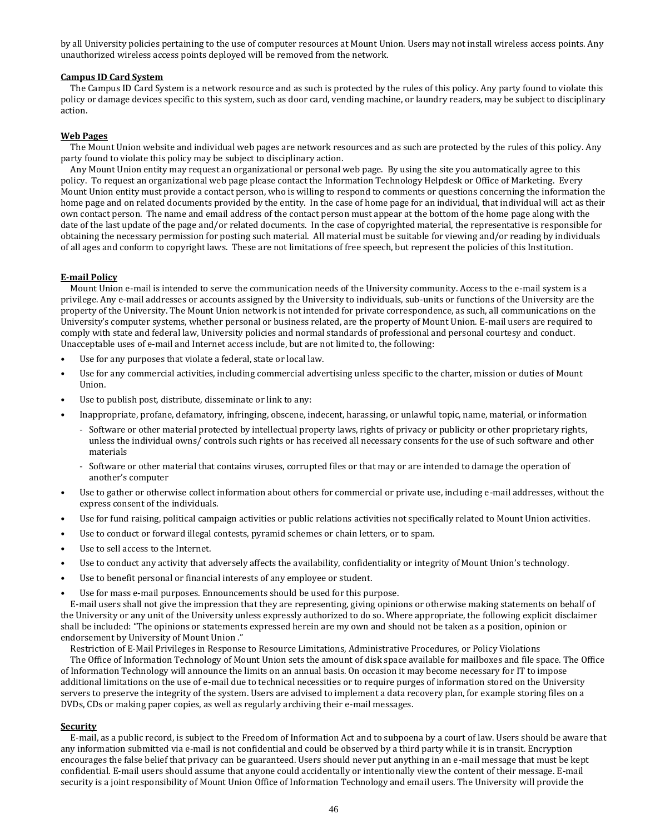by all University policies pertaining to the use of computer resources at Mount Union. Users may not install wireless access points. Any unauthorized wireless access points deployed will be removed from the network.

#### **Campus ID Card System**

The Campus ID Card System is a network resource and as such is protected by the rules of this policy. Any party found to violate this policy or damage devices specific to this system, such as door card, vending machine, or laundry readers, may be subject to disciplinary action.

#### **Web Pages**

The Mount Union website and individual web pages are network resources and as such are protected by the rules of this policy. Any party found to violate this policy may be subject to disciplinary action.

Any Mount Union entity may request an organizational or personal web page. By using the site you automatically agree to this policy. To request an organizational web page please contact the Information Technology Helpdesk or Office of Marketing. Every Mount Union entity must provide a contact person, who is willing to respond to comments or questions concerning the information the home page and on related documents provided by the entity. In the case of home page for an individual, that individual will act as their own contact person. The name and email address of the contact person must appear at the bottom of the home page along with the date of the last update of the page and/or related documents. In the case of copyrighted material, the representative is responsible for obtaining the necessary permission for posting such material. All material must be suitable for viewing and/or reading by individuals of all ages and conform to copyright laws. These are not limitations of free speech, but represent the policies of this Institution.

#### **E-mail Policy**

Mount Union e-mail is intended to serve the communication needs of the University community. Access to the e-mail system is a privilege. Any e-mail addresses or accounts assigned by the University to individuals, sub-units or functions of the University are the property of the University. The Mount Union network is not intended for private correspondence, as such, all communications on the University's computer systems, whether personal or business related, are the property of Mount Union. E-mail users are required to comply with state and federal law, University policies and normal standards of professional and personal courtesy and conduct. Unacceptable uses of e-mail and Internet access include, but are not limited to, the following:

- Use for any purposes that violate a federal, state or local law.
- Use for any commercial activities, including commercial advertising unless specific to the charter, mission or duties of Mount Union.
- Use to publish post, distribute, disseminate or link to any:
- Inappropriate, profane, defamatory, infringing, obscene, indecent, harassing, or unlawful topic, name, material, or information
	- Software or other material protected by intellectual property laws, rights of privacy or publicity or other proprietary rights, unless the individual owns/ controls such rights or has received all necessary consents for the use of such software and other materials
	- Software or other material that contains viruses, corrupted files or that may or are intended to damage the operation of another's computer
- Use to gather or otherwise collect information about others for commercial or private use, including e-mail addresses, without the express consent of the individuals.
- Use for fund raising, political campaign activities or public relations activities not specifically related to Mount Union activities.
- Use to conduct or forward illegal contests, pyramid schemes or chain letters, or to spam.
- Use to sell access to the Internet.
- Use to conduct any activity that adversely affects the availability, confidentiality or integrity of Mount Union's technology.
- Use to benefit personal or financial interests of any employee or student.
- Use for mass e-mail purposes. Ennouncements should be used for this purpose.

E-mail users shall not give the impression that they are representing, giving opinions or otherwise making statements on behalf of the University or any unit of the University unless expressly authorized to do so. Where appropriate, the following explicit disclaimer shall be included: "The opinions or statements expressed herein are my own and should not be taken as a position, opinion or endorsement by University of Mount Union ."

Restriction of E-Mail Privileges in Response to Resource Limitations, Administrative Procedures, or Policy Violations

The Office of Information Technology of Mount Union sets the amount of disk space available for mailboxes and file space. The Office of Information Technology will announce the limits on an annual basis. On occasion it may become necessary for IT to impose additional limitations on the use of e-mail due to technical necessities or to require purges of information stored on the University servers to preserve the integrity of the system. Users are advised to implement a data recovery plan, for example storing files on a DVDs, CDs or making paper copies, as well as regularly archiving their e-mail messages.

#### **Security**

E-mail, as a public record, is subject to the Freedom of Information Act and to subpoena by a court of law. Users should be aware that any information submitted via e-mail is not confidential and could be observed by a third party while it is in transit. Encryption encourages the false belief that privacy can be guaranteed. Users should never put anything in an e-mail message that must be kept confidential. E-mail users should assume that anyone could accidentally or intentionally view the content of their message. E-mail security is a joint responsibility of Mount Union Office of Information Technology and email users. The University will provide the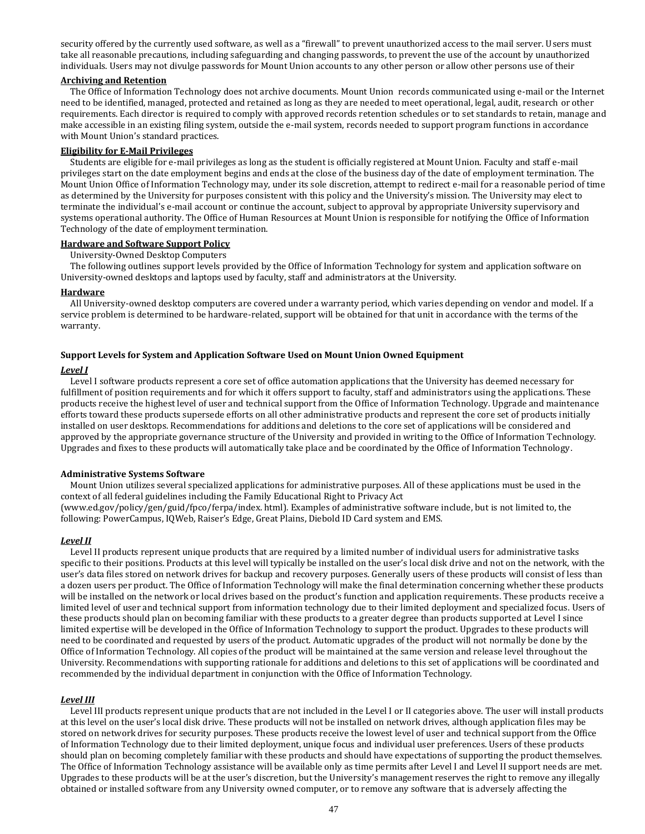security offered by the currently used software, as well as a "firewall" to prevent unauthorized access to the mail server. Users must take all reasonable precautions, including safeguarding and changing passwords, to prevent the use of the account by unauthorized individuals. Users may not divulge passwords for Mount Union accounts to any other person or allow other persons use of their

#### **Archiving and Retention**

The Office of Information Technology does not archive documents. Mount Union records communicated using e-mail or the Internet need to be identified, managed, protected and retained as long as they are needed to meet operational, legal, audit, research or other requirements. Each director is required to comply with approved records retention schedules or to set standards to retain, manage and make accessible in an existing filing system, outside the e-mail system, records needed to support program functions in accordance with Mount Union's standard practices.

### **Eligibility for E-Mail Privileges**

Students are eligible for e-mail privileges as long as the student is officially registered at Mount Union. Faculty and staff e-mail privileges start on the date employment begins and ends at the close of the business day of the date of employment termination. The Mount Union Office of Information Technology may, under its sole discretion, attempt to redirect e-mail for a reasonable period of time as determined by the University for purposes consistent with this policy and the University's mission. The University may elect to terminate the individual's e-mail account or continue the account, subject to approval by appropriate University supervisory and systems operational authority. The Office of Human Resources at Mount Union is responsible for notifying the Office of Information Technology of the date of employment termination.

#### **Hardware and Software Support Policy**

University-Owned Desktop Computers

The following outlines support levels provided by the Office of Information Technology for system and application software on University-owned desktops and laptops used by faculty, staff and administrators at the University.

#### **Hardware**

All University-owned desktop computers are covered under a warranty period, which varies depending on vendor and model. If a service problem is determined to be hardware-related, support will be obtained for that unit in accordance with the terms of the warranty.

#### **Support Levels for System and Application Software Used on Mount Union Owned Equipment**

following: PowerCampus, IQWeb, Raiser's Edge, Great Plains, Diebold ID Card system and EMS.

#### *Level I*

Level I software products represent a core set of office automation applications that the University has deemed necessary for fulfillment of position requirements and for which it offers support to faculty, staff and administrators using the applications. These products receive the highest level of user and technical support from the Office of Information Technology. Upgrade and maintenance efforts toward these products supersede efforts on all other administrative products and represent the core set of products initially installed on user desktops. Recommendations for additions and deletions to the core set of applications will be considered and approved by the appropriate governance structure of the University and provided in writing to the Office of Information Technology. Upgrades and fixes to these products will automatically take place and be coordinated by the Office of Information Technology.

#### **Administrative Systems Software**

Mount Union utilizes several specialized applications for administrative purposes. All of these applications must be used in the context of all federal guidelines including the Family Educational Right to Privacy Act (www.ed.gov/policy/gen/guid/fpco/ferpa/index. html). Examples of administrative software include, but is not limited to, the

#### *Level II*

Level II products represent unique products that are required by a limited number of individual users for administrative tasks specific to their positions. Products at this level will typically be installed on the user's local disk drive and not on the network, with the user's data files stored on network drives for backup and recovery purposes. Generally users of these products will consist of less than a dozen users per product. The Office of Information Technology will make the final determination concerning whether these products will be installed on the network or local drives based on the product's function and application requirements. These products receive a limited level of user and technical support from information technology due to their limited deployment and specialized focus. Users of these products should plan on becoming familiar with these products to a greater degree than products supported at Level I since limited expertise will be developed in the Office of Information Technology to support the product. Upgrades to these products will need to be coordinated and requested by users of the product. Automatic upgrades of the product will not normally be done by the Office of Information Technology. All copies of the product will be maintained at the same version and release level throughout the University. Recommendations with supporting rationale for additions and deletions to this set of applications will be coordinated and recommended by the individual department in conjunction with the Office of Information Technology.

#### *Level III*

Level III products represent unique products that are not included in the Level I or II categories above. The user will install products at this level on the user's local disk drive. These products will not be installed on network drives, although application files may be stored on network drives for security purposes. These products receive the lowest level of user and technical support from the Office of Information Technology due to their limited deployment, unique focus and individual user preferences. Users of these products should plan on becoming completely familiar with these products and should have expectations of supporting the product themselves. The Office of Information Technology assistance will be available only as time permits after Level I and Level II support needs are met. Upgrades to these products will be at the user's discretion, but the University's management reserves the right to remove any illegally obtained or installed software from any University owned computer, or to remove any software that is adversely affecting the